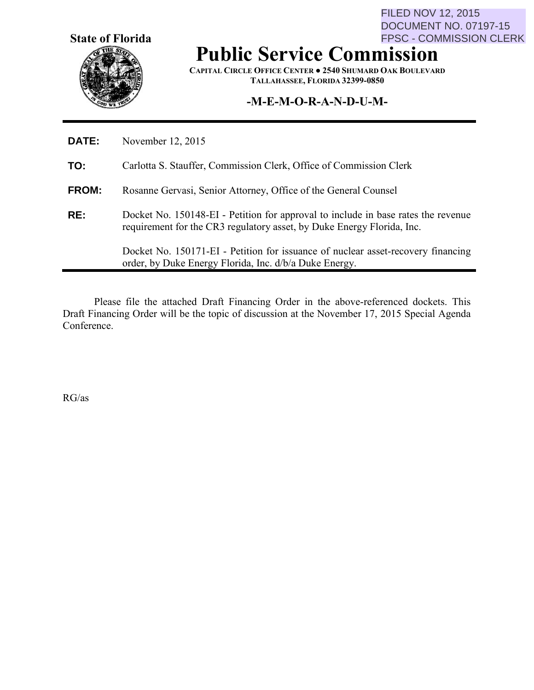**State of Florida**

FILED NOV 12, 2015 DOCUMENT NO. 07197-15 FPSC - COMMISSION CLERK

# **Public Service Commission**

**CAPITAL CIRCLE OFFICE CENTER ● 2540 SHUMARD OAK BOULEVARD TALLAHASSEE, FLORIDA 32399-0850**

# **-M-E-M-O-R-A-N-D-U-M-**

| DATE:        | November 12, 2015                                                                                                                                           |
|--------------|-------------------------------------------------------------------------------------------------------------------------------------------------------------|
| TO:          | Carlotta S. Stauffer, Commission Clerk, Office of Commission Clerk                                                                                          |
| <b>FROM:</b> | Rosanne Gervasi, Senior Attorney, Office of the General Counsel                                                                                             |
| RE:          | Docket No. 150148-EI - Petition for approval to include in base rates the revenue<br>requirement for the CR3 regulatory asset, by Duke Energy Florida, Inc. |
|              | Docket No. 150171-EI - Petition for issuance of nuclear asset-recovery financing<br>order, by Duke Energy Florida, Inc. d/b/a Duke Energy.                  |

Please file the attached Draft Financing Order in the above-referenced dockets. This Draft Financing Order will be the topic of discussion at the November 17, 2015 Special Agenda Conference.

RG/as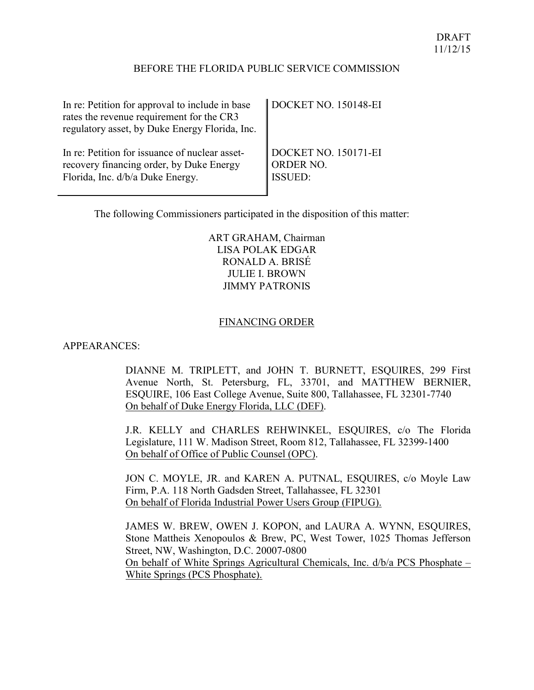#### BEFORE THE FLORIDA PUBLIC SERVICE COMMISSION

| In re: Petition for approval to include in base<br>rates the revenue requirement for the CR3<br>regulatory asset, by Duke Energy Florida, Inc. | DOCKET NO. 150148-EI |
|------------------------------------------------------------------------------------------------------------------------------------------------|----------------------|
| In re: Petition for issuance of nuclear asset-                                                                                                 | DOCKET NO. 150171-EI |
| recovery financing order, by Duke Energy                                                                                                       | ORDER NO.            |
| Florida, Inc. d/b/a Duke Energy.                                                                                                               | <b>ISSUED:</b>       |

The following Commissioners participated in the disposition of this matter:

ART GRAHAM, Chairman LISA POLAK EDGAR RONALD A. BRISÉ JULIE I. BROWN JIMMY PATRONIS

#### FINANCING ORDER

#### APPEARANCES:

DIANNE M. TRIPLETT, and JOHN T. BURNETT, ESQUIRES, 299 First Avenue North, St. Petersburg, FL, 33701, and MATTHEW BERNIER, ESQUIRE, 106 East College Avenue, Suite 800, Tallahassee, FL 32301-7740 On behalf of Duke Energy Florida, LLC (DEF).

J.R. KELLY and CHARLES REHWINKEL, ESQUIRES, c/o The Florida Legislature, 111 W. Madison Street, Room 812, Tallahassee, FL 32399-1400 On behalf of Office of Public Counsel (OPC).

JON C. MOYLE, JR. and KAREN A. PUTNAL, ESQUIRES, c/o Moyle Law Firm, P.A. 118 North Gadsden Street, Tallahassee, FL 32301 On behalf of Florida Industrial Power Users Group (FIPUG).

<span id="page-1-0"></span>JAMES W. BREW, OWEN J. KOPON, and LAURA A. WYNN, ESQUIRES, Stone Mattheis Xenopoulos & Brew, PC, West Tower, 1025 Thomas Jefferson Street, NW, Washington, D.C. 20007-0800 On behalf of White Springs Agricultural Chemicals, Inc. d/b/a PCS Phosphate – White Springs (PCS Phosphate).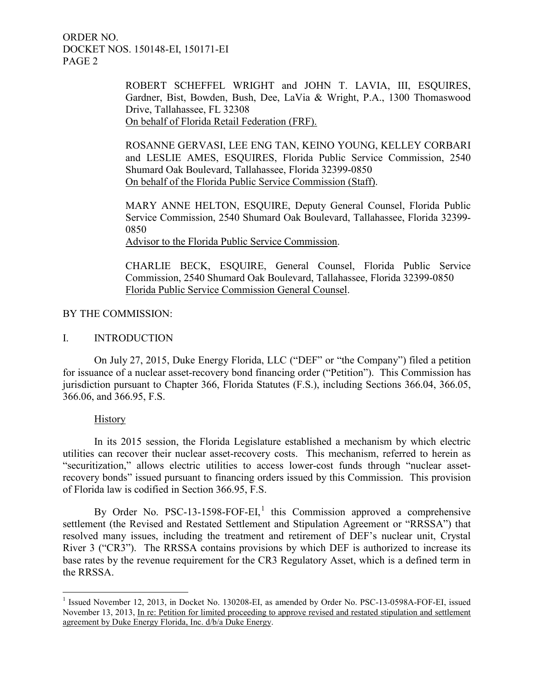> ROBERT SCHEFFEL WRIGHT and JOHN T. LAVIA, III, ESQUIRES, Gardner, Bist, Bowden, Bush, Dee, LaVia & Wright, P.A., 1300 Thomaswood Drive, Tallahassee, FL 32308 On behalf of Florida Retail Federation (FRF).

> ROSANNE GERVASI, LEE ENG TAN, KEINO YOUNG, KELLEY CORBARI and LESLIE AMES, ESQUIRES, Florida Public Service Commission, 2540 Shumard Oak Boulevard, Tallahassee, Florida 32399-0850 On behalf of the Florida Public Service Commission (Staff).

> MARY ANNE HELTON, ESQUIRE, Deputy General Counsel, Florida Public Service Commission, 2540 Shumard Oak Boulevard, Tallahassee, Florida 32399- 0850

Advisor to the Florida Public Service Commission.

CHARLIE BECK, ESQUIRE, General Counsel, Florida Public Service Commission, 2540 Shumard Oak Boulevard, Tallahassee, Florida 32399-0850 Florida Public Service Commission General Counsel.

## BY THE COMMISSION:

## I. INTRODUCTION

On July 27, 2015, Duke Energy Florida, LLC ("DEF" or "the Company") filed a petition for issuance of a nuclear asset-recovery bond financing order ("Petition"). This Commission has jurisdiction pursuant to Chapter 366, Florida Statutes (F.S.), including Sections 366.04, 366.05, 366.06, and 366.95, F.S.

## **History**

In its 2015 session, the Florida Legislature established a mechanism by which electric utilities can recover their nuclear asset-recovery costs. This mechanism, referred to herein as "securitization," allows electric utilities to access lower-cost funds through "nuclear assetrecovery bonds" issued pursuant to financing orders issued by this Commission. This provision of Florida law is codified in Section 366.95, F.S.

By Order No. PSC-[1](#page-1-0)3-1598-FOF-EI,<sup>1</sup> this Commission approved a comprehensive settlement (the Revised and Restated Settlement and Stipulation Agreement or "RRSSA") that resolved many issues, including the treatment and retirement of DEF's nuclear unit, Crystal River 3 ("CR3"). The RRSSA contains provisions by which DEF is authorized to increase its base rates by the revenue requirement for the CR3 Regulatory Asset, which is a defined term in the RRSSA.

<span id="page-2-0"></span> $\overline{a}$ <sup>1</sup> Issued November 12, 2013, in Docket No. 130208-EI, as amended by Order No. PSC-13-0598A-FOF-EI, issued November 13, 2013, In re: Petition for limited proceeding to approve revised and restated stipulation and settlement agreement by Duke Energy Florida, Inc. d/b/a Duke Energy.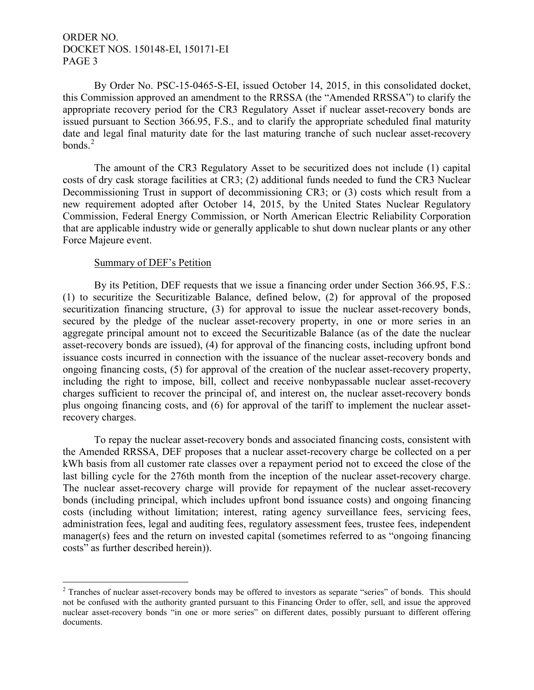By Order No. PSC-15-0465-S-EI, issued October 14, 2015, in this consolidated docket, this Commission approved an amendment to the RRSSA (the "Amended RRSSA") to clarify the appropriate recovery period for the CR3 Regulatory Asset if nuclear asset-recovery bonds are issued pursuant to Section 366.95, F.S., and to clarify the appropriate scheduled final maturity date and legal final maturity date for the last maturing tranche of such nuclear asset-recovery bonds $^2$  $^2$ 

The amount of the CR3 Regulatory Asset to be securitized does not include (1) capital costs of dry cask storage facilities at CR3; (2) additional funds needed to fund the CR3 Nuclear Decommissioning Trust in support of decommissioning CR3; or (3) costs which result from a new requirement adopted after October 14, 2015, by the United States Nuclear Regulatory Commission, Federal Energy Commission, or North American Electric Reliability Corporation that are applicable industry wide or generally applicable to shut down nuclear plants or any other Force Majeure event.

#### Summary of DEF's Petition

 $\overline{a}$ 

By its Petition, DEF requests that we issue a financing order under Section 366.95, F.S.: (1) to securitize the Securitizable Balance, defined below, (2) for approval of the proposed securitization financing structure, (3) for approval to issue the nuclear asset-recovery bonds, secured by the pledge of the nuclear asset-recovery property, in one or more series in an aggregate principal amount not to exceed the Securitizable Balance (as of the date the nuclear asset-recovery bonds are issued), (4) for approval of the financing costs, including upfront bond issuance costs incurred in connection with the issuance of the nuclear asset-recovery bonds and ongoing financing costs, (5) for approval of the creation of the nuclear asset-recovery property, including the right to impose, bill, collect and receive nonbypassable nuclear asset-recovery charges sufficient to recover the principal of, and interest on, the nuclear asset-recovery bonds plus ongoing financing costs, and (6) for approval of the tariff to implement the nuclear assetrecovery charges.

To repay the nuclear asset-recovery bonds and associated financing costs, consistent with the Amended RRSSA, DEF proposes that a nuclear asset-recovery charge be collected on a per kWh basis from all customer rate classes over a repayment period not to exceed the close of the last billing cycle for the 276th month from the inception of the nuclear asset-recovery charge. The nuclear asset-recovery charge will provide for repayment of the nuclear asset-recovery bonds (including principal, which includes upfront bond issuance costs) and ongoing financing costs (including without limitation; interest, rating agency surveillance fees, servicing fees, administration fees, legal and auditing fees, regulatory assessment fees, trustee fees, independent manager(s) fees and the return on invested capital (sometimes referred to as "ongoing financing costs" as further described herein)).

<sup>&</sup>lt;sup>2</sup> Tranches of nuclear asset-recovery bonds may be offered to investors as separate "series" of bonds. This should not be confused with the authority granted pursuant to this Financing Order to offer, sell, and issue the approved nuclear asset-recovery bonds "in one or more series" on different dates, possibly pursuant to different offering documents.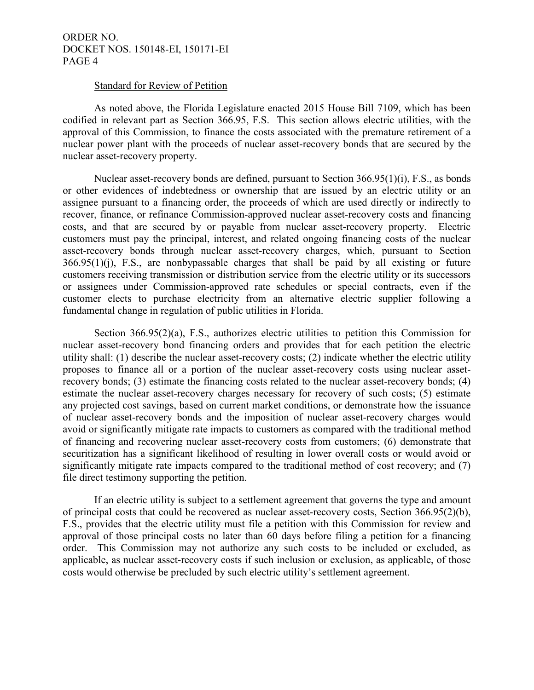#### Standard for Review of Petition

As noted above, the Florida Legislature enacted 2015 House Bill 7109, which has been codified in relevant part as Section 366.95, F.S. This section allows electric utilities, with the approval of this Commission, to finance the costs associated with the premature retirement of a nuclear power plant with the proceeds of nuclear asset-recovery bonds that are secured by the nuclear asset-recovery property.

Nuclear asset-recovery bonds are defined, pursuant to Section 366.95(1)(i), F.S., as bonds or other evidences of indebtedness or ownership that are issued by an electric utility or an assignee pursuant to a financing order, the proceeds of which are used directly or indirectly to recover, finance, or refinance Commission-approved nuclear asset-recovery costs and financing costs, and that are secured by or payable from nuclear asset-recovery property. Electric customers must pay the principal, interest, and related ongoing financing costs of the nuclear asset-recovery bonds through nuclear asset-recovery charges, which, pursuant to Section 366.95(1)(j), F.S., are nonbypassable charges that shall be paid by all existing or future customers receiving transmission or distribution service from the electric utility or its successors or assignees under Commission-approved rate schedules or special contracts, even if the customer elects to purchase electricity from an alternative electric supplier following a fundamental change in regulation of public utilities in Florida.

Section 366.95(2)(a), F.S., authorizes electric utilities to petition this Commission for nuclear asset-recovery bond financing orders and provides that for each petition the electric utility shall: (1) describe the nuclear asset-recovery costs; (2) indicate whether the electric utility proposes to finance all or a portion of the nuclear asset-recovery costs using nuclear assetrecovery bonds; (3) estimate the financing costs related to the nuclear asset-recovery bonds; (4) estimate the nuclear asset-recovery charges necessary for recovery of such costs; (5) estimate any projected cost savings, based on current market conditions, or demonstrate how the issuance of nuclear asset-recovery bonds and the imposition of nuclear asset-recovery charges would avoid or significantly mitigate rate impacts to customers as compared with the traditional method of financing and recovering nuclear asset-recovery costs from customers; (6) demonstrate that securitization has a significant likelihood of resulting in lower overall costs or would avoid or significantly mitigate rate impacts compared to the traditional method of cost recovery; and (7) file direct testimony supporting the petition.

If an electric utility is subject to a settlement agreement that governs the type and amount of principal costs that could be recovered as nuclear asset-recovery costs, Section 366.95(2)(b), F.S., provides that the electric utility must file a petition with this Commission for review and approval of those principal costs no later than 60 days before filing a petition for a financing order. This Commission may not authorize any such costs to be included or excluded, as applicable, as nuclear asset-recovery costs if such inclusion or exclusion, as applicable, of those costs would otherwise be precluded by such electric utility's settlement agreement.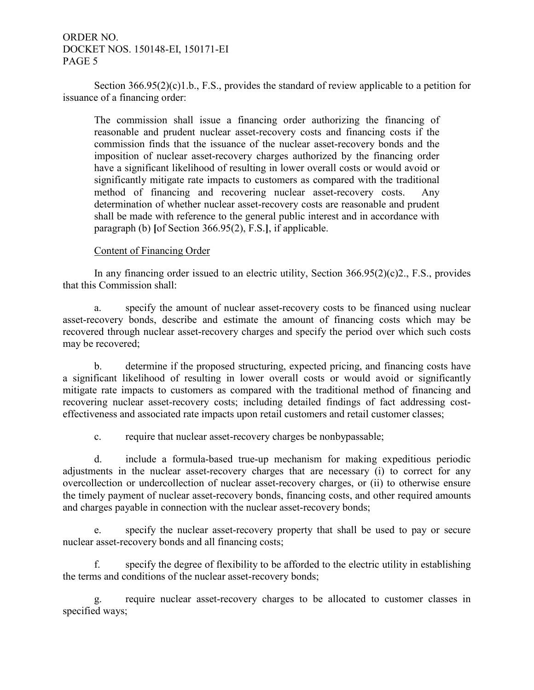Section 366.95(2)(c)1.b., F.S., provides the standard of review applicable to a petition for issuance of a financing order:

The commission shall issue a financing order authorizing the financing of reasonable and prudent nuclear asset-recovery costs and financing costs if the commission finds that the issuance of the nuclear asset-recovery bonds and the imposition of nuclear asset-recovery charges authorized by the financing order have a significant likelihood of resulting in lower overall costs or would avoid or significantly mitigate rate impacts to customers as compared with the traditional method of financing and recovering nuclear asset-recovery costs. Any determination of whether nuclear asset-recovery costs are reasonable and prudent shall be made with reference to the general public interest and in accordance with paragraph (b) **[**of Section 366.95(2), F.S.**]**, if applicable.

#### Content of Financing Order

In any financing order issued to an electric utility, Section 366.95(2)(c)2., F.S., provides that this Commission shall:

a. specify the amount of nuclear asset-recovery costs to be financed using nuclear asset-recovery bonds, describe and estimate the amount of financing costs which may be recovered through nuclear asset-recovery charges and specify the period over which such costs may be recovered;

b. determine if the proposed structuring, expected pricing, and financing costs have a significant likelihood of resulting in lower overall costs or would avoid or significantly mitigate rate impacts to customers as compared with the traditional method of financing and recovering nuclear asset-recovery costs; including detailed findings of fact addressing costeffectiveness and associated rate impacts upon retail customers and retail customer classes;

c. require that nuclear asset-recovery charges be nonbypassable;

d. include a formula-based true-up mechanism for making expeditious periodic adjustments in the nuclear asset-recovery charges that are necessary (i) to correct for any overcollection or undercollection of nuclear asset-recovery charges, or (ii) to otherwise ensure the timely payment of nuclear asset-recovery bonds, financing costs, and other required amounts and charges payable in connection with the nuclear asset-recovery bonds;

e. specify the nuclear asset-recovery property that shall be used to pay or secure nuclear asset-recovery bonds and all financing costs;

f. specify the degree of flexibility to be afforded to the electric utility in establishing the terms and conditions of the nuclear asset-recovery bonds;

g. require nuclear asset-recovery charges to be allocated to customer classes in specified ways;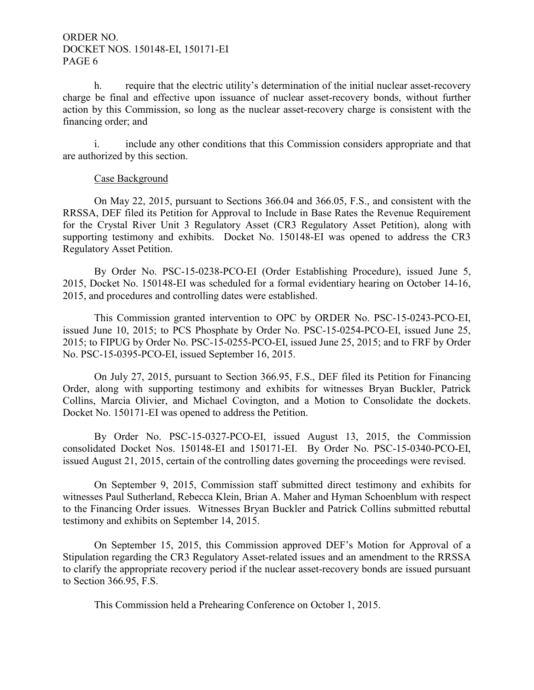h. require that the electric utility's determination of the initial nuclear asset-recovery charge be final and effective upon issuance of nuclear asset-recovery bonds, without further action by this Commission, so long as the nuclear asset-recovery charge is consistent with the financing order; and

i. include any other conditions that this Commission considers appropriate and that are authorized by this section.

#### Case Background

On May 22, 2015, pursuant to Sections 366.04 and 366.05, F.S., and consistent with the RRSSA, DEF filed its Petition for Approval to Include in Base Rates the Revenue Requirement for the Crystal River Unit 3 Regulatory Asset (CR3 Regulatory Asset Petition), along with supporting testimony and exhibits. Docket No. 150148-EI was opened to address the CR3 Regulatory Asset Petition.

By Order No. PSC-15-0238-PCO-EI (Order Establishing Procedure), issued June 5, 2015, Docket No. 150148-EI was scheduled for a formal evidentiary hearing on October 14-16, 2015, and procedures and controlling dates were established.

This Commission granted intervention to OPC by ORDER No. PSC-15-0243-PCO-EI, issued June 10, 2015; to PCS Phosphate by Order No. PSC-15-0254-PCO-EI, issued June 25, 2015; to FIPUG by Order No. PSC-15-0255-PCO-EI, issued June 25, 2015; and to FRF by Order No. PSC-15-0395-PCO-EI, issued September 16, 2015.

On July 27, 2015, pursuant to Section 366.95, F.S., DEF filed its Petition for Financing Order, along with supporting testimony and exhibits for witnesses Bryan Buckler, Patrick Collins, Marcia Olivier, and Michael Covington, and a Motion to Consolidate the dockets. Docket No. 150171-EI was opened to address the Petition.

By Order No. PSC-15-0327-PCO-EI, issued August 13, 2015, the Commission consolidated Docket Nos. 150148-EI and 150171-EI. By Order No. PSC-15-0340-PCO-EI, issued August 21, 2015, certain of the controlling dates governing the proceedings were revised.

On September 9, 2015, Commission staff submitted direct testimony and exhibits for witnesses Paul Sutherland, Rebecca Klein, Brian A. Maher and Hyman Schoenblum with respect to the Financing Order issues. Witnesses Bryan Buckler and Patrick Collins submitted rebuttal testimony and exhibits on September 14, 2015.

On September 15, 2015, this Commission approved DEF's Motion for Approval of a Stipulation regarding the CR3 Regulatory Asset-related issues and an amendment to the RRSSA to clarify the appropriate recovery period if the nuclear asset-recovery bonds are issued pursuant to Section 366.95, F.S.

This Commission held a Prehearing Conference on October 1, 2015.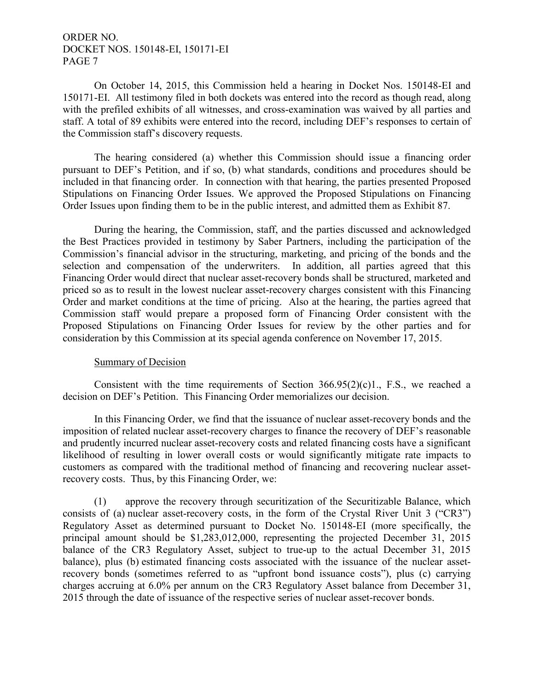On October 14, 2015, this Commission held a hearing in Docket Nos. 150148-EI and 150171-EI. All testimony filed in both dockets was entered into the record as though read, along with the prefiled exhibits of all witnesses, and cross-examination was waived by all parties and staff. A total of 89 exhibits were entered into the record, including DEF's responses to certain of the Commission staff's discovery requests.

The hearing considered (a) whether this Commission should issue a financing order pursuant to DEF's Petition, and if so, (b) what standards, conditions and procedures should be included in that financing order. In connection with that hearing, the parties presented Proposed Stipulations on Financing Order Issues. We approved the Proposed Stipulations on Financing Order Issues upon finding them to be in the public interest, and admitted them as Exhibit 87.

During the hearing, the Commission, staff, and the parties discussed and acknowledged the Best Practices provided in testimony by Saber Partners, including the participation of the Commission's financial advisor in the structuring, marketing, and pricing of the bonds and the selection and compensation of the underwriters. In addition, all parties agreed that this Financing Order would direct that nuclear asset-recovery bonds shall be structured, marketed and priced so as to result in the lowest nuclear asset-recovery charges consistent with this Financing Order and market conditions at the time of pricing. Also at the hearing, the parties agreed that Commission staff would prepare a proposed form of Financing Order consistent with the Proposed Stipulations on Financing Order Issues for review by the other parties and for consideration by this Commission at its special agenda conference on November 17, 2015.

## Summary of Decision

Consistent with the time requirements of Section  $366.95(2)(c)1$ ., F.S., we reached a decision on DEF's Petition. This Financing Order memorializes our decision.

In this Financing Order, we find that the issuance of nuclear asset-recovery bonds and the imposition of related nuclear asset-recovery charges to finance the recovery of DEF's reasonable and prudently incurred nuclear asset-recovery costs and related financing costs have a significant likelihood of resulting in lower overall costs or would significantly mitigate rate impacts to customers as compared with the traditional method of financing and recovering nuclear assetrecovery costs. Thus, by this Financing Order, we:

(1) approve the recovery through securitization of the Securitizable Balance, which consists of (a) nuclear asset-recovery costs, in the form of the Crystal River Unit 3 ("CR3") Regulatory Asset as determined pursuant to Docket No. 150148-EI (more specifically, the principal amount should be \$1,283,012,000, representing the projected December 31, 2015 balance of the CR3 Regulatory Asset, subject to true-up to the actual December 31, 2015 balance), plus (b) estimated financing costs associated with the issuance of the nuclear assetrecovery bonds (sometimes referred to as "upfront bond issuance costs"), plus (c) carrying charges accruing at 6.0% per annum on the CR3 Regulatory Asset balance from December 31, 2015 through the date of issuance of the respective series of nuclear asset-recover bonds.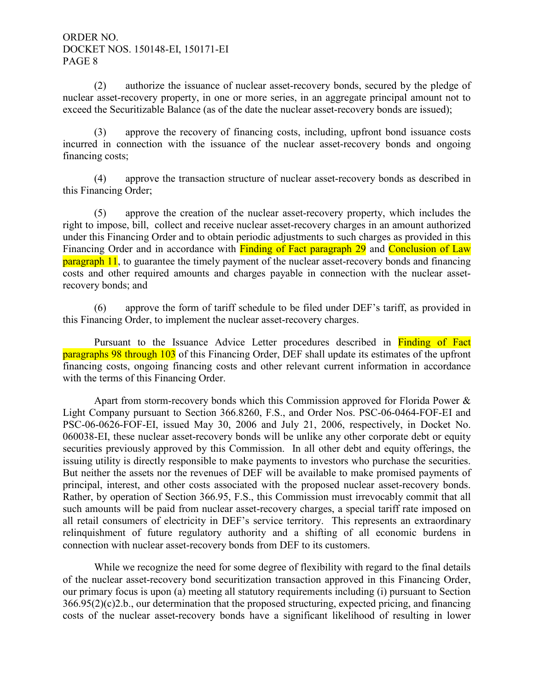(2) authorize the issuance of nuclear asset-recovery bonds, secured by the pledge of nuclear asset-recovery property, in one or more series, in an aggregate principal amount not to exceed the Securitizable Balance (as of the date the nuclear asset-recovery bonds are issued);

(3) approve the recovery of financing costs, including, upfront bond issuance costs incurred in connection with the issuance of the nuclear asset-recovery bonds and ongoing financing costs;

(4) approve the transaction structure of nuclear asset-recovery bonds as described in this Financing Order;

(5) approve the creation of the nuclear asset-recovery property, which includes the right to impose, bill, collect and receive nuclear asset-recovery charges in an amount authorized under this Financing Order and to obtain periodic adjustments to such charges as provided in this Financing Order and in accordance with Finding of Fact paragraph 29 and Conclusion of Law **paragraph 11**, to guarantee the timely payment of the nuclear asset-recovery bonds and financing costs and other required amounts and charges payable in connection with the nuclear assetrecovery bonds; and

(6) approve the form of tariff schedule to be filed under DEF's tariff, as provided in this Financing Order, to implement the nuclear asset-recovery charges.

Pursuant to the Issuance Advice Letter procedures described in Finding of Fact paragraphs 98 through 103 of this Financing Order, DEF shall update its estimates of the upfront financing costs, ongoing financing costs and other relevant current information in accordance with the terms of this Financing Order.

Apart from storm-recovery bonds which this Commission approved for Florida Power & Light Company pursuant to Section 366.8260, F.S., and Order Nos. PSC-06-0464-FOF-EI and PSC-06-0626-FOF-EI, issued May 30, 2006 and July 21, 2006, respectively, in Docket No. 060038-EI, these nuclear asset-recovery bonds will be unlike any other corporate debt or equity securities previously approved by this Commission. In all other debt and equity offerings, the issuing utility is directly responsible to make payments to investors who purchase the securities. But neither the assets nor the revenues of DEF will be available to make promised payments of principal, interest, and other costs associated with the proposed nuclear asset-recovery bonds. Rather, by operation of Section 366.95, F.S., this Commission must irrevocably commit that all such amounts will be paid from nuclear asset-recovery charges, a special tariff rate imposed on all retail consumers of electricity in DEF's service territory. This represents an extraordinary relinquishment of future regulatory authority and a shifting of all economic burdens in connection with nuclear asset-recovery bonds from DEF to its customers.

While we recognize the need for some degree of flexibility with regard to the final details of the nuclear asset-recovery bond securitization transaction approved in this Financing Order, our primary focus is upon (a) meeting all statutory requirements including (i) pursuant to Section 366.95(2)(c)2.b., our determination that the proposed structuring, expected pricing, and financing costs of the nuclear asset-recovery bonds have a significant likelihood of resulting in lower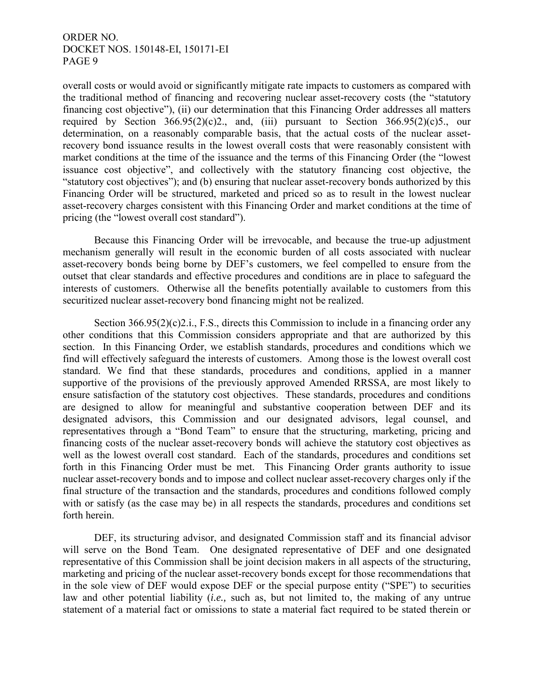overall costs or would avoid or significantly mitigate rate impacts to customers as compared with the traditional method of financing and recovering nuclear asset-recovery costs (the "statutory financing cost objective"), (ii) our determination that this Financing Order addresses all matters required by Section  $366.95(2)(c)2$ ., and, (iii) pursuant to Section  $366.95(2)(c)5$ ., our determination, on a reasonably comparable basis, that the actual costs of the nuclear assetrecovery bond issuance results in the lowest overall costs that were reasonably consistent with market conditions at the time of the issuance and the terms of this Financing Order (the "lowest issuance cost objective", and collectively with the statutory financing cost objective, the "statutory cost objectives"); and (b) ensuring that nuclear asset-recovery bonds authorized by this Financing Order will be structured, marketed and priced so as to result in the lowest nuclear asset-recovery charges consistent with this Financing Order and market conditions at the time of pricing (the "lowest overall cost standard").

Because this Financing Order will be irrevocable, and because the true-up adjustment mechanism generally will result in the economic burden of all costs associated with nuclear asset-recovery bonds being borne by DEF's customers, we feel compelled to ensure from the outset that clear standards and effective procedures and conditions are in place to safeguard the interests of customers. Otherwise all the benefits potentially available to customers from this securitized nuclear asset-recovery bond financing might not be realized.

Section  $366.95(2)(c)2.i., F.S.,$  directs this Commission to include in a financing order any other conditions that this Commission considers appropriate and that are authorized by this section. In this Financing Order, we establish standards, procedures and conditions which we find will effectively safeguard the interests of customers. Among those is the lowest overall cost standard. We find that these standards, procedures and conditions, applied in a manner supportive of the provisions of the previously approved Amended RRSSA, are most likely to ensure satisfaction of the statutory cost objectives. These standards, procedures and conditions are designed to allow for meaningful and substantive cooperation between DEF and its designated advisors, this Commission and our designated advisors, legal counsel, and representatives through a "Bond Team" to ensure that the structuring, marketing, pricing and financing costs of the nuclear asset-recovery bonds will achieve the statutory cost objectives as well as the lowest overall cost standard. Each of the standards, procedures and conditions set forth in this Financing Order must be met. This Financing Order grants authority to issue nuclear asset-recovery bonds and to impose and collect nuclear asset-recovery charges only if the final structure of the transaction and the standards, procedures and conditions followed comply with or satisfy (as the case may be) in all respects the standards, procedures and conditions set forth herein.

DEF, its structuring advisor, and designated Commission staff and its financial advisor will serve on the Bond Team. One designated representative of DEF and one designated representative of this Commission shall be joint decision makers in all aspects of the structuring, marketing and pricing of the nuclear asset-recovery bonds except for those recommendations that in the sole view of DEF would expose DEF or the special purpose entity ("SPE") to securities law and other potential liability (*i.e.,* such as, but not limited to, the making of any untrue statement of a material fact or omissions to state a material fact required to be stated therein or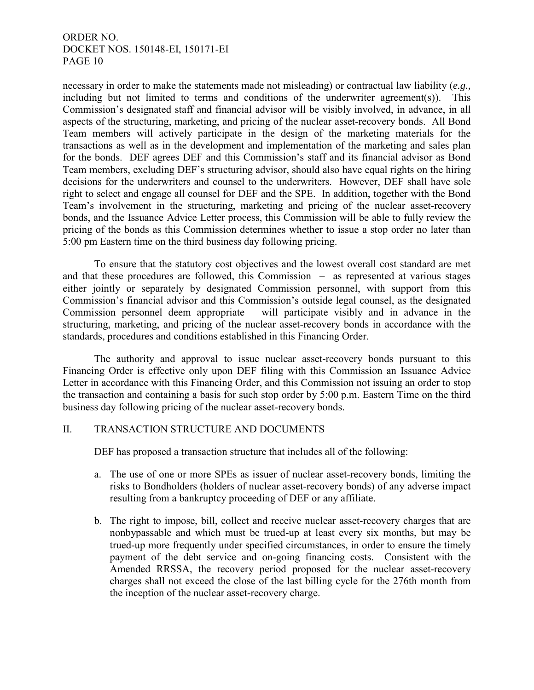necessary in order to make the statements made not misleading) or contractual law liability (*e.g.,* including but not limited to terms and conditions of the underwriter agreement(s)). This Commission's designated staff and financial advisor will be visibly involved, in advance, in all aspects of the structuring, marketing, and pricing of the nuclear asset-recovery bonds. All Bond Team members will actively participate in the design of the marketing materials for the transactions as well as in the development and implementation of the marketing and sales plan for the bonds. DEF agrees DEF and this Commission's staff and its financial advisor as Bond Team members, excluding DEF's structuring advisor, should also have equal rights on the hiring decisions for the underwriters and counsel to the underwriters. However, DEF shall have sole right to select and engage all counsel for DEF and the SPE. In addition, together with the Bond Team's involvement in the structuring, marketing and pricing of the nuclear asset-recovery bonds, and the Issuance Advice Letter process, this Commission will be able to fully review the pricing of the bonds as this Commission determines whether to issue a stop order no later than 5:00 pm Eastern time on the third business day following pricing.

To ensure that the statutory cost objectives and the lowest overall cost standard are met and that these procedures are followed, this Commission – as represented at various stages either jointly or separately by designated Commission personnel, with support from this Commission's financial advisor and this Commission's outside legal counsel, as the designated Commission personnel deem appropriate – will participate visibly and in advance in the structuring, marketing, and pricing of the nuclear asset-recovery bonds in accordance with the standards, procedures and conditions established in this Financing Order.

The authority and approval to issue nuclear asset-recovery bonds pursuant to this Financing Order is effective only upon DEF filing with this Commission an Issuance Advice Letter in accordance with this Financing Order, and this Commission not issuing an order to stop the transaction and containing a basis for such stop order by 5:00 p.m. Eastern Time on the third business day following pricing of the nuclear asset-recovery bonds.

## II. TRANSACTION STRUCTURE AND DOCUMENTS

DEF has proposed a transaction structure that includes all of the following:

- a. The use of one or more SPEs as issuer of nuclear asset-recovery bonds, limiting the risks to Bondholders (holders of nuclear asset-recovery bonds) of any adverse impact resulting from a bankruptcy proceeding of DEF or any affiliate.
- b. The right to impose, bill, collect and receive nuclear asset-recovery charges that are nonbypassable and which must be trued-up at least every six months, but may be trued-up more frequently under specified circumstances, in order to ensure the timely payment of the debt service and on-going financing costs. Consistent with the Amended RRSSA, the recovery period proposed for the nuclear asset-recovery charges shall not exceed the close of the last billing cycle for the 276th month from the inception of the nuclear asset-recovery charge.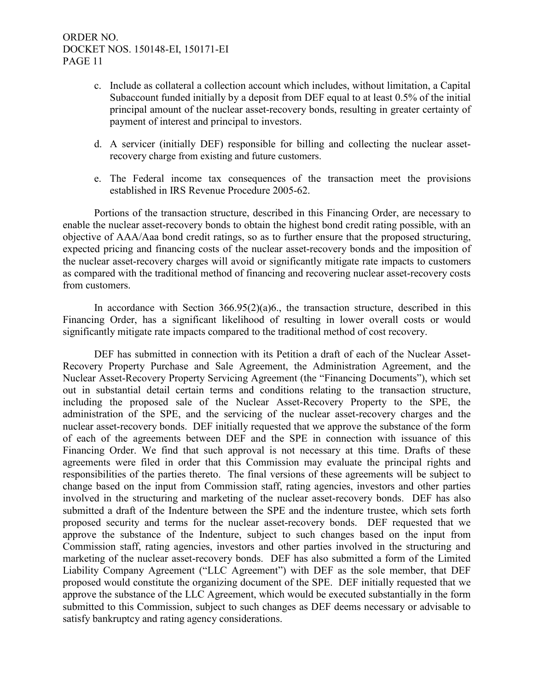- c. Include as collateral a collection account which includes, without limitation, a Capital Subaccount funded initially by a deposit from DEF equal to at least 0.5% of the initial principal amount of the nuclear asset-recovery bonds, resulting in greater certainty of payment of interest and principal to investors.
- d. A servicer (initially DEF) responsible for billing and collecting the nuclear assetrecovery charge from existing and future customers.
- e. The Federal income tax consequences of the transaction meet the provisions established in IRS Revenue Procedure 2005-62.

Portions of the transaction structure, described in this Financing Order, are necessary to enable the nuclear asset-recovery bonds to obtain the highest bond credit rating possible, with an objective of AAA/Aaa bond credit ratings, so as to further ensure that the proposed structuring, expected pricing and financing costs of the nuclear asset-recovery bonds and the imposition of the nuclear asset-recovery charges will avoid or significantly mitigate rate impacts to customers as compared with the traditional method of financing and recovering nuclear asset-recovery costs from customers.

In accordance with Section  $366.95(2)(a)6$ , the transaction structure, described in this Financing Order, has a significant likelihood of resulting in lower overall costs or would significantly mitigate rate impacts compared to the traditional method of cost recovery.

DEF has submitted in connection with its Petition a draft of each of the Nuclear Asset-Recovery Property Purchase and Sale Agreement, the Administration Agreement, and the Nuclear Asset-Recovery Property Servicing Agreement (the "Financing Documents"), which set out in substantial detail certain terms and conditions relating to the transaction structure, including the proposed sale of the Nuclear Asset-Recovery Property to the SPE, the administration of the SPE, and the servicing of the nuclear asset-recovery charges and the nuclear asset-recovery bonds. DEF initially requested that we approve the substance of the form of each of the agreements between DEF and the SPE in connection with issuance of this Financing Order. We find that such approval is not necessary at this time. Drafts of these agreements were filed in order that this Commission may evaluate the principal rights and responsibilities of the parties thereto. The final versions of these agreements will be subject to change based on the input from Commission staff, rating agencies, investors and other parties involved in the structuring and marketing of the nuclear asset-recovery bonds. DEF has also submitted a draft of the Indenture between the SPE and the indenture trustee, which sets forth proposed security and terms for the nuclear asset-recovery bonds. DEF requested that we approve the substance of the Indenture, subject to such changes based on the input from Commission staff, rating agencies, investors and other parties involved in the structuring and marketing of the nuclear asset-recovery bonds. DEF has also submitted a form of the Limited Liability Company Agreement ("LLC Agreement") with DEF as the sole member, that DEF proposed would constitute the organizing document of the SPE. DEF initially requested that we approve the substance of the LLC Agreement, which would be executed substantially in the form submitted to this Commission, subject to such changes as DEF deems necessary or advisable to satisfy bankruptcy and rating agency considerations.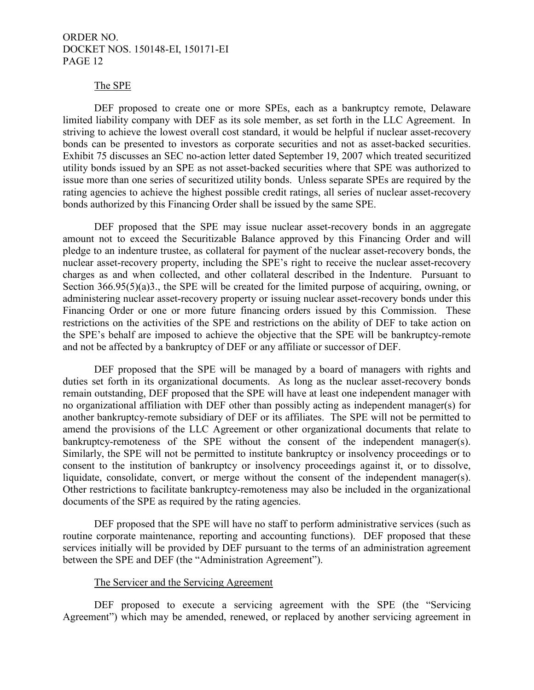#### The SPE

DEF proposed to create one or more SPEs, each as a bankruptcy remote, Delaware limited liability company with DEF as its sole member, as set forth in the LLC Agreement. In striving to achieve the lowest overall cost standard, it would be helpful if nuclear asset-recovery bonds can be presented to investors as corporate securities and not as asset-backed securities. Exhibit 75 discusses an SEC no-action letter dated September 19, 2007 which treated securitized utility bonds issued by an SPE as not asset-backed securities where that SPE was authorized to issue more than one series of securitized utility bonds. Unless separate SPEs are required by the rating agencies to achieve the highest possible credit ratings, all series of nuclear asset-recovery bonds authorized by this Financing Order shall be issued by the same SPE.

DEF proposed that the SPE may issue nuclear asset-recovery bonds in an aggregate amount not to exceed the Securitizable Balance approved by this Financing Order and will pledge to an indenture trustee, as collateral for payment of the nuclear asset-recovery bonds, the nuclear asset-recovery property, including the SPE's right to receive the nuclear asset-recovery charges as and when collected, and other collateral described in the Indenture. Pursuant to Section 366.95(5)(a)3., the SPE will be created for the limited purpose of acquiring, owning, or administering nuclear asset-recovery property or issuing nuclear asset-recovery bonds under this Financing Order or one or more future financing orders issued by this Commission. These restrictions on the activities of the SPE and restrictions on the ability of DEF to take action on the SPE's behalf are imposed to achieve the objective that the SPE will be bankruptcy-remote and not be affected by a bankruptcy of DEF or any affiliate or successor of DEF.

DEF proposed that the SPE will be managed by a board of managers with rights and duties set forth in its organizational documents. As long as the nuclear asset-recovery bonds remain outstanding, DEF proposed that the SPE will have at least one independent manager with no organizational affiliation with DEF other than possibly acting as independent manager(s) for another bankruptcy-remote subsidiary of DEF or its affiliates.The SPE will not be permitted to amend the provisions of the LLC Agreement or other organizational documents that relate to bankruptcy-remoteness of the SPE without the consent of the independent manager(s). Similarly, the SPE will not be permitted to institute bankruptcy or insolvency proceedings or to consent to the institution of bankruptcy or insolvency proceedings against it, or to dissolve, liquidate, consolidate, convert, or merge without the consent of the independent manager(s). Other restrictions to facilitate bankruptcy-remoteness may also be included in the organizational documents of the SPE as required by the rating agencies.

DEF proposed that the SPE will have no staff to perform administrative services (such as routine corporate maintenance, reporting and accounting functions). DEF proposed that these services initially will be provided by DEF pursuant to the terms of an administration agreement between the SPE and DEF (the "Administration Agreement").

#### The Servicer and the Servicing Agreement

DEF proposed to execute a servicing agreement with the SPE (the "Servicing Agreement") which may be amended, renewed, or replaced by another servicing agreement in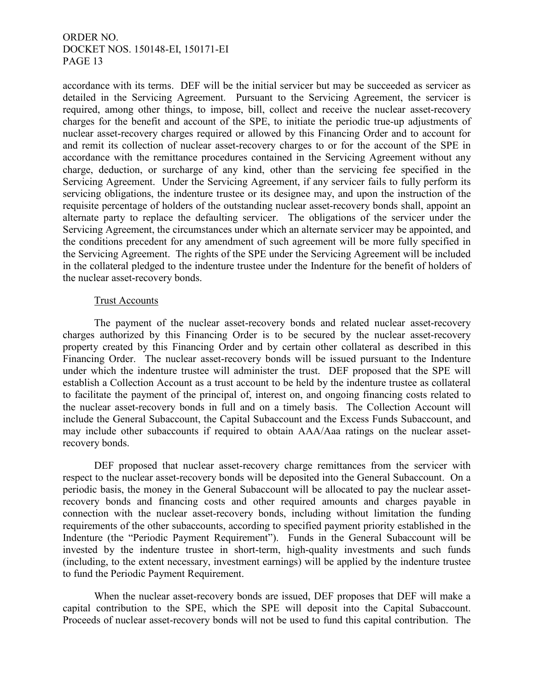accordance with its terms. DEF will be the initial servicer but may be succeeded as servicer as detailed in the Servicing Agreement. Pursuant to the Servicing Agreement, the servicer is required, among other things, to impose, bill, collect and receive the nuclear asset-recovery charges for the benefit and account of the SPE, to initiate the periodic true-up adjustments of nuclear asset-recovery charges required or allowed by this Financing Order and to account for and remit its collection of nuclear asset-recovery charges to or for the account of the SPE in accordance with the remittance procedures contained in the Servicing Agreement without any charge, deduction, or surcharge of any kind, other than the servicing fee specified in the Servicing Agreement. Under the Servicing Agreement, if any servicer fails to fully perform its servicing obligations, the indenture trustee or its designee may, and upon the instruction of the requisite percentage of holders of the outstanding nuclear asset-recovery bonds shall, appoint an alternate party to replace the defaulting servicer. The obligations of the servicer under the Servicing Agreement, the circumstances under which an alternate servicer may be appointed, and the conditions precedent for any amendment of such agreement will be more fully specified in the Servicing Agreement. The rights of the SPE under the Servicing Agreement will be included in the collateral pledged to the indenture trustee under the Indenture for the benefit of holders of the nuclear asset-recovery bonds.

## Trust Accounts

The payment of the nuclear asset-recovery bonds and related nuclear asset-recovery charges authorized by this Financing Order is to be secured by the nuclear asset-recovery property created by this Financing Order and by certain other collateral as described in this Financing Order. The nuclear asset-recovery bonds will be issued pursuant to the Indenture under which the indenture trustee will administer the trust. DEF proposed that the SPE will establish a Collection Account as a trust account to be held by the indenture trustee as collateral to facilitate the payment of the principal of, interest on, and ongoing financing costs related to the nuclear asset-recovery bonds in full and on a timely basis. The Collection Account will include the General Subaccount, the Capital Subaccount and the Excess Funds Subaccount, and may include other subaccounts if required to obtain AAA/Aaa ratings on the nuclear assetrecovery bonds.

DEF proposed that nuclear asset-recovery charge remittances from the servicer with respect to the nuclear asset-recovery bonds will be deposited into the General Subaccount. On a periodic basis, the money in the General Subaccount will be allocated to pay the nuclear assetrecovery bonds and financing costs and other required amounts and charges payable in connection with the nuclear asset-recovery bonds, including without limitation the funding requirements of the other subaccounts, according to specified payment priority established in the Indenture (the "Periodic Payment Requirement"). Funds in the General Subaccount will be invested by the indenture trustee in short-term, high-quality investments and such funds (including, to the extent necessary, investment earnings) will be applied by the indenture trustee to fund the Periodic Payment Requirement.

When the nuclear asset-recovery bonds are issued, DEF proposes that DEF will make a capital contribution to the SPE, which the SPE will deposit into the Capital Subaccount. Proceeds of nuclear asset-recovery bonds will not be used to fund this capital contribution. The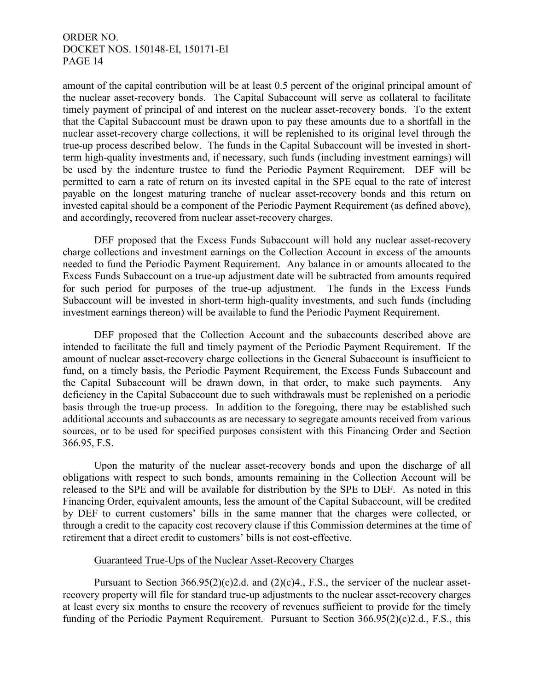amount of the capital contribution will be at least 0.5 percent of the original principal amount of the nuclear asset-recovery bonds. The Capital Subaccount will serve as collateral to facilitate timely payment of principal of and interest on the nuclear asset-recovery bonds. To the extent that the Capital Subaccount must be drawn upon to pay these amounts due to a shortfall in the nuclear asset-recovery charge collections, it will be replenished to its original level through the true-up process described below. The funds in the Capital Subaccount will be invested in shortterm high-quality investments and, if necessary, such funds (including investment earnings) will be used by the indenture trustee to fund the Periodic Payment Requirement. DEF will be permitted to earn a rate of return on its invested capital in the SPE equal to the rate of interest payable on the longest maturing tranche of nuclear asset-recovery bonds and this return on invested capital should be a component of the Periodic Payment Requirement (as defined above), and accordingly, recovered from nuclear asset-recovery charges.

DEF proposed that the Excess Funds Subaccount will hold any nuclear asset-recovery charge collections and investment earnings on the Collection Account in excess of the amounts needed to fund the Periodic Payment Requirement. Any balance in or amounts allocated to the Excess Funds Subaccount on a true-up adjustment date will be subtracted from amounts required for such period for purposes of the true-up adjustment. The funds in the Excess Funds Subaccount will be invested in short-term high-quality investments, and such funds (including investment earnings thereon) will be available to fund the Periodic Payment Requirement.

DEF proposed that the Collection Account and the subaccounts described above are intended to facilitate the full and timely payment of the Periodic Payment Requirement. If the amount of nuclear asset-recovery charge collections in the General Subaccount is insufficient to fund, on a timely basis, the Periodic Payment Requirement, the Excess Funds Subaccount and the Capital Subaccount will be drawn down, in that order, to make such payments. Any deficiency in the Capital Subaccount due to such withdrawals must be replenished on a periodic basis through the true-up process. In addition to the foregoing, there may be established such additional accounts and subaccounts as are necessary to segregate amounts received from various sources, or to be used for specified purposes consistent with this Financing Order and Section 366.95, F.S.

Upon the maturity of the nuclear asset-recovery bonds and upon the discharge of all obligations with respect to such bonds, amounts remaining in the Collection Account will be released to the SPE and will be available for distribution by the SPE to DEF. As noted in this Financing Order, equivalent amounts, less the amount of the Capital Subaccount, will be credited by DEF to current customers' bills in the same manner that the charges were collected, or through a credit to the capacity cost recovery clause if this Commission determines at the time of retirement that a direct credit to customers' bills is not cost-effective.

## Guaranteed True-Ups of the Nuclear Asset-Recovery Charges

Pursuant to Section  $366.95(2)(c)$  2.d. and  $(2)(c)$ 4., F.S., the servicer of the nuclear assetrecovery property will file for standard true-up adjustments to the nuclear asset-recovery charges at least every six months to ensure the recovery of revenues sufficient to provide for the timely funding of the Periodic Payment Requirement. Pursuant to Section 366.95(2)(c)2.d., F.S., this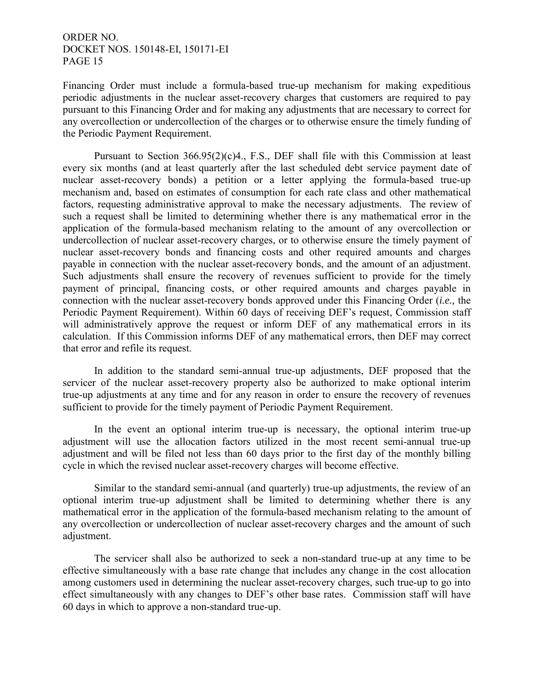Financing Order must include a formula-based true-up mechanism for making expeditious periodic adjustments in the nuclear asset-recovery charges that customers are required to pay pursuant to this Financing Order and for making any adjustments that are necessary to correct for any overcollection or undercollection of the charges or to otherwise ensure the timely funding of the Periodic Payment Requirement.

Pursuant to Section 366.95(2)(c)4., F.S., DEF shall file with this Commission at least every six months (and at least quarterly after the last scheduled debt service payment date of nuclear asset-recovery bonds) a petition or a letter applying the formula-based true-up mechanism and, based on estimates of consumption for each rate class and other mathematical factors, requesting administrative approval to make the necessary adjustments. The review of such a request shall be limited to determining whether there is any mathematical error in the application of the formula-based mechanism relating to the amount of any overcollection or undercollection of nuclear asset-recovery charges, or to otherwise ensure the timely payment of nuclear asset-recovery bonds and financing costs and other required amounts and charges payable in connection with the nuclear asset-recovery bonds, and the amount of an adjustment. Such adjustments shall ensure the recovery of revenues sufficient to provide for the timely payment of principal, financing costs, or other required amounts and charges payable in connection with the nuclear asset-recovery bonds approved under this Financing Order (*i.e.,* the Periodic Payment Requirement). Within 60 days of receiving DEF's request, Commission staff will administratively approve the request or inform DEF of any mathematical errors in its calculation. If this Commission informs DEF of any mathematical errors, then DEF may correct that error and refile its request.

In addition to the standard semi-annual true-up adjustments, DEF proposed that the servicer of the nuclear asset-recovery property also be authorized to make optional interim true-up adjustments at any time and for any reason in order to ensure the recovery of revenues sufficient to provide for the timely payment of Periodic Payment Requirement.

In the event an optional interim true-up is necessary, the optional interim true-up adjustment will use the allocation factors utilized in the most recent semi-annual true-up adjustment and will be filed not less than 60 days prior to the first day of the monthly billing cycle in which the revised nuclear asset-recovery charges will become effective.

Similar to the standard semi-annual (and quarterly) true-up adjustments, the review of an optional interim true-up adjustment shall be limited to determining whether there is any mathematical error in the application of the formula-based mechanism relating to the amount of any overcollection or undercollection of nuclear asset-recovery charges and the amount of such adjustment.

The servicer shall also be authorized to seek a non-standard true-up at any time to be effective simultaneously with a base rate change that includes any change in the cost allocation among customers used in determining the nuclear asset-recovery charges, such true-up to go into effect simultaneously with any changes to DEF's other base rates. Commission staff will have 60 days in which to approve a non-standard true-up.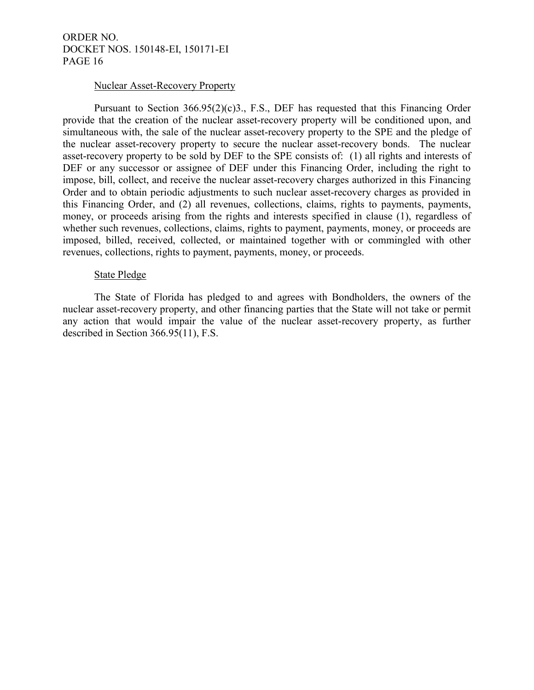#### Nuclear Asset-Recovery Property

Pursuant to Section 366.95(2)(c)3., F.S., DEF has requested that this Financing Order provide that the creation of the nuclear asset-recovery property will be conditioned upon, and simultaneous with, the sale of the nuclear asset-recovery property to the SPE and the pledge of the nuclear asset-recovery property to secure the nuclear asset-recovery bonds. The nuclear asset-recovery property to be sold by DEF to the SPE consists of: (1) all rights and interests of DEF or any successor or assignee of DEF under this Financing Order, including the right to impose, bill, collect, and receive the nuclear asset-recovery charges authorized in this Financing Order and to obtain periodic adjustments to such nuclear asset-recovery charges as provided in this Financing Order, and (2) all revenues, collections, claims, rights to payments, payments, money, or proceeds arising from the rights and interests specified in clause (1), regardless of whether such revenues, collections, claims, rights to payment, payments, money, or proceeds are imposed, billed, received, collected, or maintained together with or commingled with other revenues, collections, rights to payment, payments, money, or proceeds.

## State Pledge

The State of Florida has pledged to and agrees with Bondholders, the owners of the nuclear asset-recovery property, and other financing parties that the State will not take or permit any action that would impair the value of the nuclear asset-recovery property, as further described in Section 366.95(11), F.S.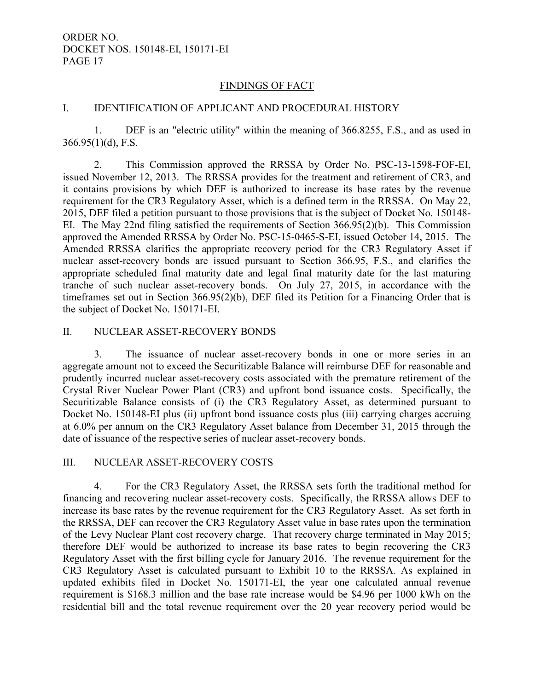## FINDINGS OF FACT

## I. IDENTIFICATION OF APPLICANT AND PROCEDURAL HISTORY

 1. DEF is an "electric utility" within the meaning of 366.8255, F.S., and as used in  $366.95(1)(d)$ , F.S.

 2. This Commission approved the RRSSA by Order No. PSC-13-1598-FOF-EI, issued November 12, 2013. The RRSSA provides for the treatment and retirement of CR3, and it contains provisions by which DEF is authorized to increase its base rates by the revenue requirement for the CR3 Regulatory Asset, which is a defined term in the RRSSA. On May 22, 2015, DEF filed a petition pursuant to those provisions that is the subject of Docket No. 150148- EI. The May 22nd filing satisfied the requirements of Section 366.95(2)(b). This Commission approved the Amended RRSSA by Order No. PSC-15-0465-S-EI, issued October 14, 2015. The Amended RRSSA clarifies the appropriate recovery period for the CR3 Regulatory Asset if nuclear asset-recovery bonds are issued pursuant to Section 366.95, F.S., and clarifies the appropriate scheduled final maturity date and legal final maturity date for the last maturing tranche of such nuclear asset-recovery bonds. On July 27, 2015, in accordance with the timeframes set out in Section 366.95(2)(b), DEF filed its Petition for a Financing Order that is the subject of Docket No. 150171-EI.

#### II. NUCLEAR ASSET-RECOVERY BONDS

 3. The issuance of nuclear asset-recovery bonds in one or more series in an aggregate amount not to exceed the Securitizable Balance will reimburse DEF for reasonable and prudently incurred nuclear asset-recovery costs associated with the premature retirement of the Crystal River Nuclear Power Plant (CR3) and upfront bond issuance costs. Specifically, the Securitizable Balance consists of (i) the CR3 Regulatory Asset, as determined pursuant to Docket No. 150148-EI plus (ii) upfront bond issuance costs plus (iii) carrying charges accruing at 6.0% per annum on the CR3 Regulatory Asset balance from December 31, 2015 through the date of issuance of the respective series of nuclear asset-recovery bonds.

## III. NUCLEAR ASSET-RECOVERY COSTS

 4. For the CR3 Regulatory Asset, the RRSSA sets forth the traditional method for financing and recovering nuclear asset-recovery costs. Specifically, the RRSSA allows DEF to increase its base rates by the revenue requirement for the CR3 Regulatory Asset. As set forth in the RRSSA, DEF can recover the CR3 Regulatory Asset value in base rates upon the termination of the Levy Nuclear Plant cost recovery charge. That recovery charge terminated in May 2015; therefore DEF would be authorized to increase its base rates to begin recovering the CR3 Regulatory Asset with the first billing cycle for January 2016. The revenue requirement for the CR3 Regulatory Asset is calculated pursuant to Exhibit 10 to the RRSSA. As explained in updated exhibits filed in Docket No. 150171-EI, the year one calculated annual revenue requirement is \$168.3 million and the base rate increase would be \$4.96 per 1000 kWh on the residential bill and the total revenue requirement over the 20 year recovery period would be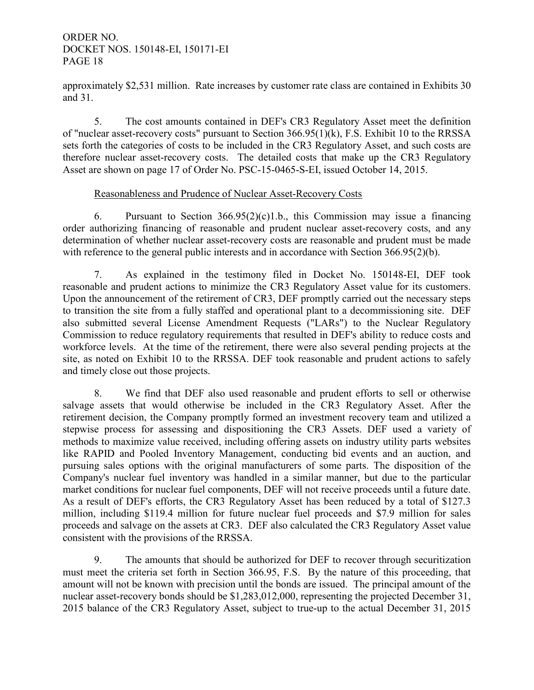approximately \$2,531 million. Rate increases by customer rate class are contained in Exhibits 30 and 31.

 5. The cost amounts contained in DEF's CR3 Regulatory Asset meet the definition of "nuclear asset-recovery costs" pursuant to Section 366.95(1)(k), F.S. Exhibit 10 to the RRSSA sets forth the categories of costs to be included in the CR3 Regulatory Asset, and such costs are therefore nuclear asset-recovery costs. The detailed costs that make up the CR3 Regulatory Asset are shown on page 17 of Order No. PSC-15-0465-S-EI, issued October 14, 2015.

## Reasonableness and Prudence of Nuclear Asset-Recovery Costs

6. Pursuant to Section  $366.95(2)(c)1.b.,$  this Commission may issue a financing order authorizing financing of reasonable and prudent nuclear asset-recovery costs, and any determination of whether nuclear asset-recovery costs are reasonable and prudent must be made with reference to the general public interests and in accordance with Section 366.95(2)(b).

 7. As explained in the testimony filed in Docket No. 150148-EI, DEF took reasonable and prudent actions to minimize the CR3 Regulatory Asset value for its customers. Upon the announcement of the retirement of CR3, DEF promptly carried out the necessary steps to transition the site from a fully staffed and operational plant to a decommissioning site. DEF also submitted several License Amendment Requests ("LARs") to the Nuclear Regulatory Commission to reduce regulatory requirements that resulted in DEF's ability to reduce costs and workforce levels. At the time of the retirement, there were also several pending projects at the site, as noted on Exhibit 10 to the RRSSA. DEF took reasonable and prudent actions to safely and timely close out those projects.

 8. We find that DEF also used reasonable and prudent efforts to sell or otherwise salvage assets that would otherwise be included in the CR3 Regulatory Asset. After the retirement decision, the Company promptly formed an investment recovery team and utilized a stepwise process for assessing and dispositioning the CR3 Assets. DEF used a variety of methods to maximize value received, including offering assets on industry utility parts websites like RAPID and Pooled Inventory Management, conducting bid events and an auction, and pursuing sales options with the original manufacturers of some parts. The disposition of the Company's nuclear fuel inventory was handled in a similar manner, but due to the particular market conditions for nuclear fuel components, DEF will not receive proceeds until a future date. As a result of DEF's efforts, the CR3 Regulatory Asset has been reduced by a total of \$127.3 million, including \$119.4 million for future nuclear fuel proceeds and \$7.9 million for sales proceeds and salvage on the assets at CR3. DEF also calculated the CR3 Regulatory Asset value consistent with the provisions of the RRSSA.

 9. The amounts that should be authorized for DEF to recover through securitization must meet the criteria set forth in Section 366.95, F.S. By the nature of this proceeding, that amount will not be known with precision until the bonds are issued. The principal amount of the nuclear asset-recovery bonds should be \$1,283,012,000, representing the projected December 31, 2015 balance of the CR3 Regulatory Asset, subject to true-up to the actual December 31, 2015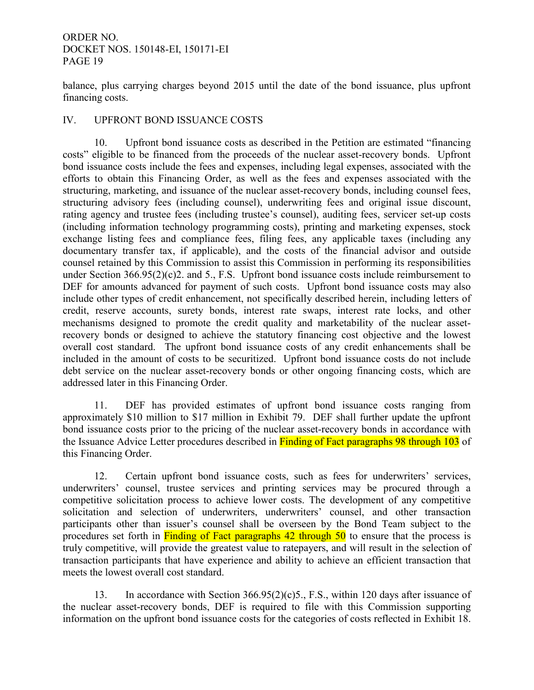balance, plus carrying charges beyond 2015 until the date of the bond issuance, plus upfront financing costs.

## IV. UPFRONT BOND ISSUANCE COSTS

 10. Upfront bond issuance costs as described in the Petition are estimated "financing costs" eligible to be financed from the proceeds of the nuclear asset-recovery bonds. Upfront bond issuance costs include the fees and expenses, including legal expenses, associated with the efforts to obtain this Financing Order, as well as the fees and expenses associated with the structuring, marketing, and issuance of the nuclear asset-recovery bonds, including counsel fees, structuring advisory fees (including counsel), underwriting fees and original issue discount, rating agency and trustee fees (including trustee's counsel), auditing fees, servicer set-up costs (including information technology programming costs), printing and marketing expenses, stock exchange listing fees and compliance fees, filing fees, any applicable taxes (including any documentary transfer tax, if applicable), and the costs of the financial advisor and outside counsel retained by this Commission to assist this Commission in performing its responsibilities under Section 366.95(2)(c)2. and 5., F.S. Upfront bond issuance costs include reimbursement to DEF for amounts advanced for payment of such costs. Upfront bond issuance costs may also include other types of credit enhancement, not specifically described herein, including letters of credit, reserve accounts, surety bonds, interest rate swaps, interest rate locks, and other mechanisms designed to promote the credit quality and marketability of the nuclear assetrecovery bonds or designed to achieve the statutory financing cost objective and the lowest overall cost standard. The upfront bond issuance costs of any credit enhancements shall be included in the amount of costs to be securitized. Upfront bond issuance costs do not include debt service on the nuclear asset-recovery bonds or other ongoing financing costs, which are addressed later in this Financing Order.

 11. DEF has provided estimates of upfront bond issuance costs ranging from approximately \$10 million to \$17 million in Exhibit 79. DEF shall further update the upfront bond issuance costs prior to the pricing of the nuclear asset-recovery bonds in accordance with the Issuance Advice Letter procedures described in Finding of Fact paragraphs 98 through 103 of this Financing Order.

 12. Certain upfront bond issuance costs, such as fees for underwriters' services, underwriters' counsel, trustee services and printing services may be procured through a competitive solicitation process to achieve lower costs. The development of any competitive solicitation and selection of underwriters, underwriters' counsel, and other transaction participants other than issuer's counsel shall be overseen by the Bond Team subject to the procedures set forth in Finding of Fact paragraphs 42 through 50 to ensure that the process is truly competitive, will provide the greatest value to ratepayers, and will result in the selection of transaction participants that have experience and ability to achieve an efficient transaction that meets the lowest overall cost standard.

 13. In accordance with Section 366.95(2)(c)5., F.S., within 120 days after issuance of the nuclear asset-recovery bonds, DEF is required to file with this Commission supporting information on the upfront bond issuance costs for the categories of costs reflected in Exhibit 18.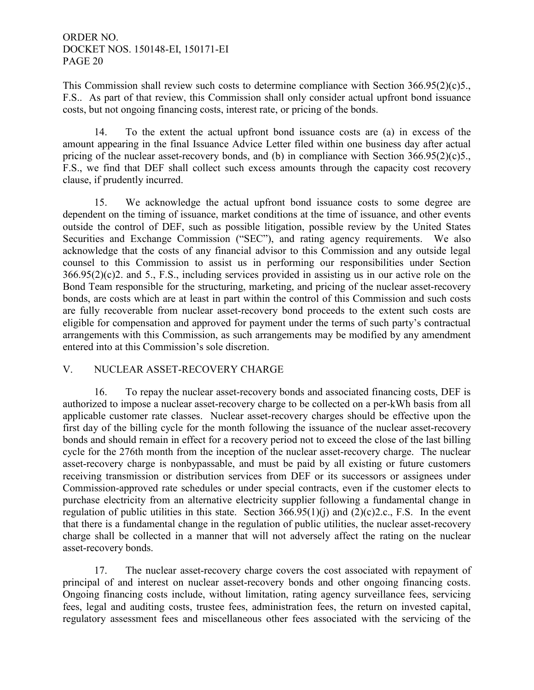This Commission shall review such costs to determine compliance with Section 366.95(2)(c)5., F.S.. As part of that review, this Commission shall only consider actual upfront bond issuance costs, but not ongoing financing costs, interest rate, or pricing of the bonds.

 14. To the extent the actual upfront bond issuance costs are (a) in excess of the amount appearing in the final Issuance Advice Letter filed within one business day after actual pricing of the nuclear asset-recovery bonds, and (b) in compliance with Section 366.95(2)(c)5., F.S., we find that DEF shall collect such excess amounts through the capacity cost recovery clause, if prudently incurred.

 15. We acknowledge the actual upfront bond issuance costs to some degree are dependent on the timing of issuance, market conditions at the time of issuance, and other events outside the control of DEF, such as possible litigation, possible review by the United States Securities and Exchange Commission ("SEC"), and rating agency requirements. We also acknowledge that the costs of any financial advisor to this Commission and any outside legal counsel to this Commission to assist us in performing our responsibilities under Section 366.95(2)(c)2. and 5., F.S., including services provided in assisting us in our active role on the Bond Team responsible for the structuring, marketing, and pricing of the nuclear asset-recovery bonds, are costs which are at least in part within the control of this Commission and such costs are fully recoverable from nuclear asset-recovery bond proceeds to the extent such costs are eligible for compensation and approved for payment under the terms of such party's contractual arrangements with this Commission, as such arrangements may be modified by any amendment entered into at this Commission's sole discretion.

# V. NUCLEAR ASSET-RECOVERY CHARGE

 16. To repay the nuclear asset-recovery bonds and associated financing costs, DEF is authorized to impose a nuclear asset-recovery charge to be collected on a per-kWh basis from all applicable customer rate classes. Nuclear asset-recovery charges should be effective upon the first day of the billing cycle for the month following the issuance of the nuclear asset-recovery bonds and should remain in effect for a recovery period not to exceed the close of the last billing cycle for the 276th month from the inception of the nuclear asset-recovery charge. The nuclear asset-recovery charge is nonbypassable, and must be paid by all existing or future customers receiving transmission or distribution services from DEF or its successors or assignees under Commission-approved rate schedules or under special contracts, even if the customer elects to purchase electricity from an alternative electricity supplier following a fundamental change in regulation of public utilities in this state. Section  $366.95(1)(i)$  and  $(2)(c)2.c., F.S.$  In the event that there is a fundamental change in the regulation of public utilities, the nuclear asset-recovery charge shall be collected in a manner that will not adversely affect the rating on the nuclear asset-recovery bonds.

 17. The nuclear asset-recovery charge covers the cost associated with repayment of principal of and interest on nuclear asset-recovery bonds and other ongoing financing costs. Ongoing financing costs include, without limitation, rating agency surveillance fees, servicing fees, legal and auditing costs, trustee fees, administration fees, the return on invested capital, regulatory assessment fees and miscellaneous other fees associated with the servicing of the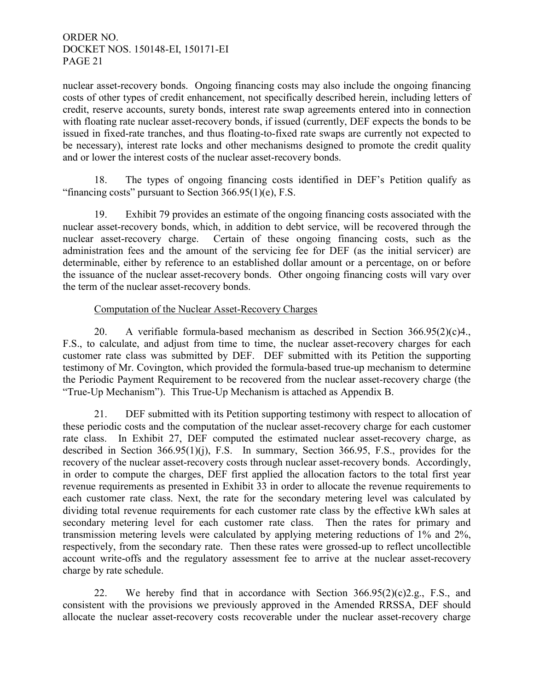nuclear asset-recovery bonds. Ongoing financing costs may also include the ongoing financing costs of other types of credit enhancement, not specifically described herein, including letters of credit, reserve accounts, surety bonds, interest rate swap agreements entered into in connection with floating rate nuclear asset-recovery bonds, if issued (currently, DEF expects the bonds to be issued in fixed-rate tranches, and thus floating-to-fixed rate swaps are currently not expected to be necessary), interest rate locks and other mechanisms designed to promote the credit quality and or lower the interest costs of the nuclear asset-recovery bonds.

 18. The types of ongoing financing costs identified in DEF's Petition qualify as "financing costs" pursuant to Section  $366.95(1)(e)$ , F.S.

 19. Exhibit 79 provides an estimate of the ongoing financing costs associated with the nuclear asset-recovery bonds, which, in addition to debt service, will be recovered through the nuclear asset-recovery charge. Certain of these ongoing financing costs, such as the administration fees and the amount of the servicing fee for DEF (as the initial servicer) are determinable, either by reference to an established dollar amount or a percentage, on or before the issuance of the nuclear asset-recovery bonds. Other ongoing financing costs will vary over the term of the nuclear asset-recovery bonds.

## Computation of the Nuclear Asset-Recovery Charges

 20. A verifiable formula-based mechanism as described in Section 366.95(2)(c)4., F.S., to calculate, and adjust from time to time, the nuclear asset-recovery charges for each customer rate class was submitted by DEF. DEF submitted with its Petition the supporting testimony of Mr. Covington, which provided the formula-based true-up mechanism to determine the Periodic Payment Requirement to be recovered from the nuclear asset-recovery charge (the "True-Up Mechanism"). This True-Up Mechanism is attached as Appendix B.

 21. DEF submitted with its Petition supporting testimony with respect to allocation of these periodic costs and the computation of the nuclear asset-recovery charge for each customer rate class. In Exhibit 27, DEF computed the estimated nuclear asset-recovery charge, as described in Section 366.95(1)(j), F.S. In summary, Section 366.95, F.S., provides for the recovery of the nuclear asset-recovery costs through nuclear asset-recovery bonds. Accordingly, in order to compute the charges, DEF first applied the allocation factors to the total first year revenue requirements as presented in Exhibit 33 in order to allocate the revenue requirements to each customer rate class. Next, the rate for the secondary metering level was calculated by dividing total revenue requirements for each customer rate class by the effective kWh sales at secondary metering level for each customer rate class. Then the rates for primary and transmission metering levels were calculated by applying metering reductions of 1% and 2%, respectively, from the secondary rate. Then these rates were grossed-up to reflect uncollectible account write-offs and the regulatory assessment fee to arrive at the nuclear asset-recovery charge by rate schedule.

22. We hereby find that in accordance with Section  $366.95(2)(c)2.g., F.S.,$  and consistent with the provisions we previously approved in the Amended RRSSA, DEF should allocate the nuclear asset-recovery costs recoverable under the nuclear asset-recovery charge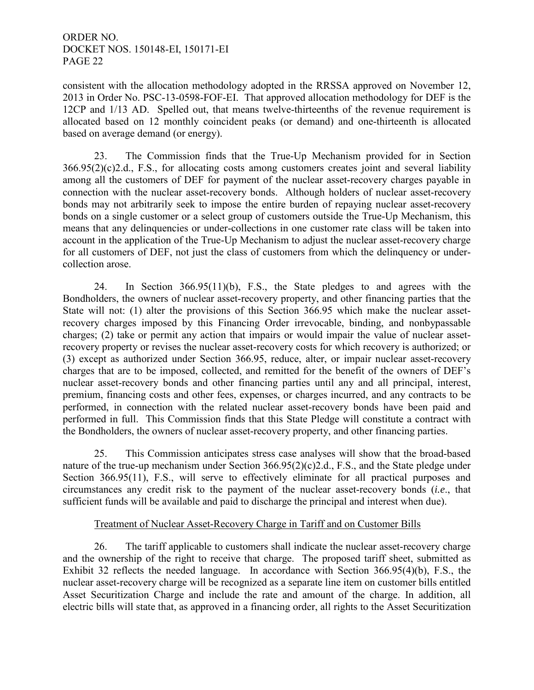consistent with the allocation methodology adopted in the RRSSA approved on November 12, 2013 in Order No. PSC-13-0598-FOF-EI. That approved allocation methodology for DEF is the 12CP and 1/13 AD. Spelled out, that means twelve-thirteenths of the revenue requirement is allocated based on 12 monthly coincident peaks (or demand) and one-thirteenth is allocated based on average demand (or energy).

 23. The Commission finds that the True-Up Mechanism provided for in Section 366.95(2)(c)2.d., F.S., for allocating costs among customers creates joint and several liability among all the customers of DEF for payment of the nuclear asset-recovery charges payable in connection with the nuclear asset-recovery bonds. Although holders of nuclear asset-recovery bonds may not arbitrarily seek to impose the entire burden of repaying nuclear asset-recovery bonds on a single customer or a select group of customers outside the True-Up Mechanism, this means that any delinquencies or under-collections in one customer rate class will be taken into account in the application of the True-Up Mechanism to adjust the nuclear asset-recovery charge for all customers of DEF, not just the class of customers from which the delinquency or undercollection arose.

 24. In Section 366.95(11)(b), F.S., the State pledges to and agrees with the Bondholders, the owners of nuclear asset-recovery property, and other financing parties that the State will not: (1) alter the provisions of this Section 366.95 which make the nuclear assetrecovery charges imposed by this Financing Order irrevocable, binding, and nonbypassable charges; (2) take or permit any action that impairs or would impair the value of nuclear assetrecovery property or revises the nuclear asset-recovery costs for which recovery is authorized; or (3) except as authorized under Section 366.95, reduce, alter, or impair nuclear asset-recovery charges that are to be imposed, collected, and remitted for the benefit of the owners of DEF's nuclear asset-recovery bonds and other financing parties until any and all principal, interest, premium, financing costs and other fees, expenses, or charges incurred, and any contracts to be performed, in connection with the related nuclear asset-recovery bonds have been paid and performed in full. This Commission finds that this State Pledge will constitute a contract with the Bondholders, the owners of nuclear asset-recovery property, and other financing parties.

 25. This Commission anticipates stress case analyses will show that the broad-based nature of the true-up mechanism under Section 366.95(2)(c)2.d., F.S., and the State pledge under Section 366.95(11), F.S., will serve to effectively eliminate for all practical purposes and circumstances any credit risk to the payment of the nuclear asset-recovery bonds (*i.e*., that sufficient funds will be available and paid to discharge the principal and interest when due).

# Treatment of Nuclear Asset-Recovery Charge in Tariff and on Customer Bills

 26. The tariff applicable to customers shall indicate the nuclear asset-recovery charge and the ownership of the right to receive that charge. The proposed tariff sheet, submitted as Exhibit 32 reflects the needed language. In accordance with Section 366.95(4)(b), F.S., the nuclear asset-recovery charge will be recognized as a separate line item on customer bills entitled Asset Securitization Charge and include the rate and amount of the charge. In addition, all electric bills will state that, as approved in a financing order, all rights to the Asset Securitization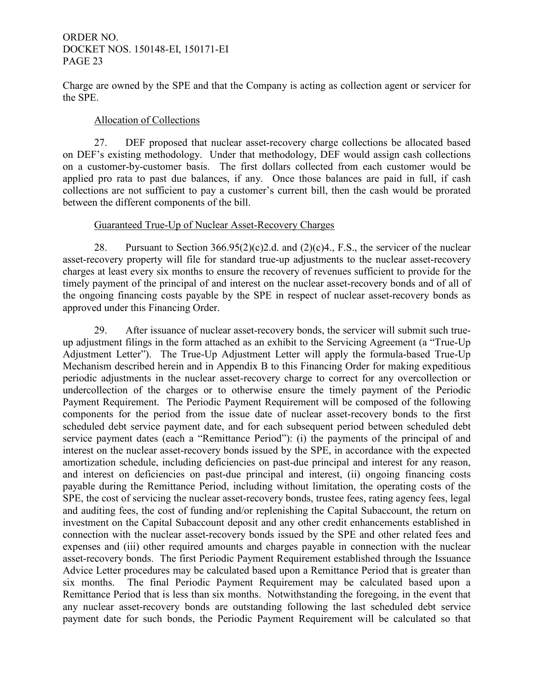Charge are owned by the SPE and that the Company is acting as collection agent or servicer for the SPE.

## Allocation of Collections

 27. DEF proposed that nuclear asset-recovery charge collections be allocated based on DEF's existing methodology. Under that methodology, DEF would assign cash collections on a customer-by-customer basis. The first dollars collected from each customer would be applied pro rata to past due balances, if any. Once those balances are paid in full, if cash collections are not sufficient to pay a customer's current bill, then the cash would be prorated between the different components of the bill.

## Guaranteed True-Up of Nuclear Asset-Recovery Charges

28. Pursuant to Section  $366.95(2)(c)2.d.$  and  $(2)(c)4.$ , F.S., the servicer of the nuclear asset-recovery property will file for standard true-up adjustments to the nuclear asset-recovery charges at least every six months to ensure the recovery of revenues sufficient to provide for the timely payment of the principal of and interest on the nuclear asset-recovery bonds and of all of the ongoing financing costs payable by the SPE in respect of nuclear asset-recovery bonds as approved under this Financing Order.

 29. After issuance of nuclear asset-recovery bonds, the servicer will submit such trueup adjustment filings in the form attached as an exhibit to the Servicing Agreement (a "True-Up Adjustment Letter"). The True-Up Adjustment Letter will apply the formula-based True-Up Mechanism described herein and in Appendix B to this Financing Order for making expeditious periodic adjustments in the nuclear asset-recovery charge to correct for any overcollection or undercollection of the charges or to otherwise ensure the timely payment of the Periodic Payment Requirement. The Periodic Payment Requirement will be composed of the following components for the period from the issue date of nuclear asset-recovery bonds to the first scheduled debt service payment date, and for each subsequent period between scheduled debt service payment dates (each a "Remittance Period"): (i) the payments of the principal of and interest on the nuclear asset-recovery bonds issued by the SPE, in accordance with the expected amortization schedule, including deficiencies on past-due principal and interest for any reason, and interest on deficiencies on past-due principal and interest, (ii) ongoing financing costs payable during the Remittance Period, including without limitation, the operating costs of the SPE, the cost of servicing the nuclear asset-recovery bonds, trustee fees, rating agency fees, legal and auditing fees, the cost of funding and/or replenishing the Capital Subaccount, the return on investment on the Capital Subaccount deposit and any other credit enhancements established in connection with the nuclear asset-recovery bonds issued by the SPE and other related fees and expenses and (iii) other required amounts and charges payable in connection with the nuclear asset-recovery bonds. The first Periodic Payment Requirement established through the Issuance Advice Letter procedures may be calculated based upon a Remittance Period that is greater than six months. The final Periodic Payment Requirement may be calculated based upon a Remittance Period that is less than six months. Notwithstanding the foregoing, in the event that any nuclear asset-recovery bonds are outstanding following the last scheduled debt service payment date for such bonds, the Periodic Payment Requirement will be calculated so that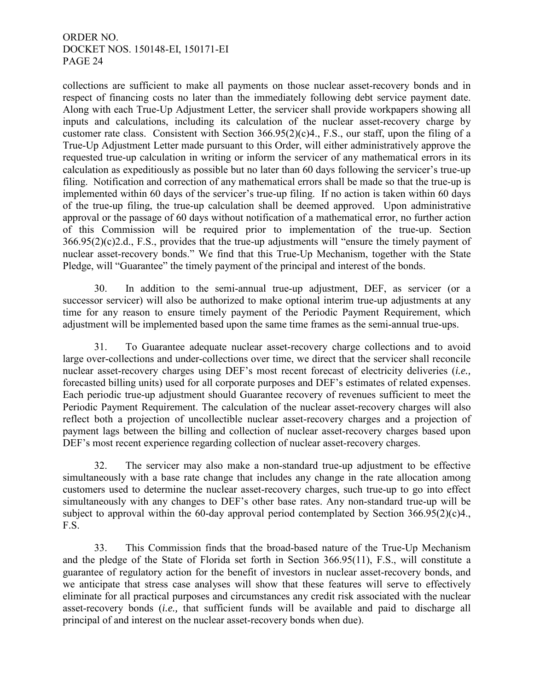collections are sufficient to make all payments on those nuclear asset-recovery bonds and in respect of financing costs no later than the immediately following debt service payment date. Along with each True-Up Adjustment Letter, the servicer shall provide workpapers showing all inputs and calculations, including its calculation of the nuclear asset-recovery charge by customer rate class. Consistent with Section 366.95(2)(c)4., F.S., our staff, upon the filing of a True-Up Adjustment Letter made pursuant to this Order, will either administratively approve the requested true-up calculation in writing or inform the servicer of any mathematical errors in its calculation as expeditiously as possible but no later than 60 days following the servicer's true-up filing. Notification and correction of any mathematical errors shall be made so that the true-up is implemented within 60 days of the servicer's true-up filing. If no action is taken within 60 days of the true-up filing, the true-up calculation shall be deemed approved. Upon administrative approval or the passage of 60 days without notification of a mathematical error, no further action of this Commission will be required prior to implementation of the true-up. Section 366.95(2)(c)2.d., F.S., provides that the true-up adjustments will "ensure the timely payment of nuclear asset-recovery bonds." We find that this True-Up Mechanism, together with the State Pledge, will "Guarantee" the timely payment of the principal and interest of the bonds.

 30. In addition to the semi-annual true-up adjustment, DEF, as servicer (or a successor servicer) will also be authorized to make optional interim true-up adjustments at any time for any reason to ensure timely payment of the Periodic Payment Requirement, which adjustment will be implemented based upon the same time frames as the semi-annual true-ups.

 31. To Guarantee adequate nuclear asset-recovery charge collections and to avoid large over-collections and under-collections over time, we direct that the servicer shall reconcile nuclear asset-recovery charges using DEF's most recent forecast of electricity deliveries (*i.e.,*  forecasted billing units) used for all corporate purposes and DEF's estimates of related expenses. Each periodic true-up adjustment should Guarantee recovery of revenues sufficient to meet the Periodic Payment Requirement. The calculation of the nuclear asset-recovery charges will also reflect both a projection of uncollectible nuclear asset-recovery charges and a projection of payment lags between the billing and collection of nuclear asset-recovery charges based upon DEF's most recent experience regarding collection of nuclear asset-recovery charges.

 32. The servicer may also make a non-standard true-up adjustment to be effective simultaneously with a base rate change that includes any change in the rate allocation among customers used to determine the nuclear asset-recovery charges, such true-up to go into effect simultaneously with any changes to DEF's other base rates. Any non-standard true-up will be subject to approval within the 60-day approval period contemplated by Section 366.95(2)(c)4., F.S.

 33. This Commission finds that the broad-based nature of the True-Up Mechanism and the pledge of the State of Florida set forth in Section 366.95(11), F.S., will constitute a guarantee of regulatory action for the benefit of investors in nuclear asset-recovery bonds, and we anticipate that stress case analyses will show that these features will serve to effectively eliminate for all practical purposes and circumstances any credit risk associated with the nuclear asset-recovery bonds (*i.e.,* that sufficient funds will be available and paid to discharge all principal of and interest on the nuclear asset-recovery bonds when due).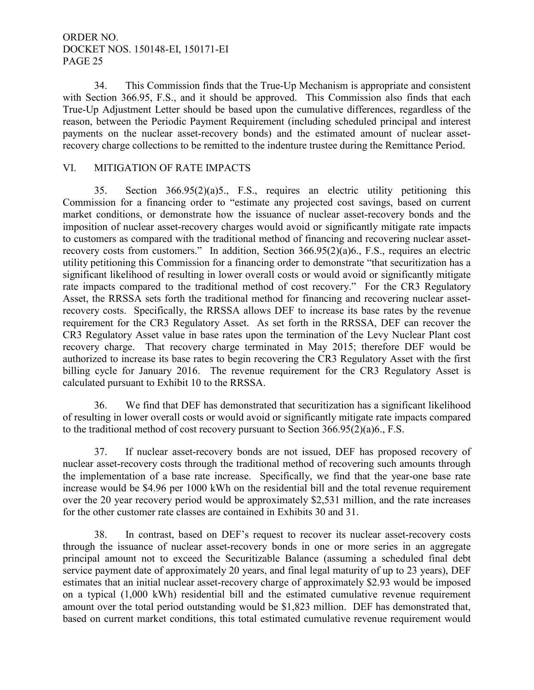34. This Commission finds that the True-Up Mechanism is appropriate and consistent with Section 366.95, F.S., and it should be approved. This Commission also finds that each True-Up Adjustment Letter should be based upon the cumulative differences, regardless of the reason, between the Periodic Payment Requirement (including scheduled principal and interest payments on the nuclear asset-recovery bonds) and the estimated amount of nuclear assetrecovery charge collections to be remitted to the indenture trustee during the Remittance Period.

## VI. MITIGATION OF RATE IMPACTS

 35. Section 366.95(2)(a)5., F.S., requires an electric utility petitioning this Commission for a financing order to "estimate any projected cost savings, based on current market conditions, or demonstrate how the issuance of nuclear asset-recovery bonds and the imposition of nuclear asset-recovery charges would avoid or significantly mitigate rate impacts to customers as compared with the traditional method of financing and recovering nuclear assetrecovery costs from customers." In addition, Section 366.95(2)(a)6., F.S., requires an electric utility petitioning this Commission for a financing order to demonstrate "that securitization has a significant likelihood of resulting in lower overall costs or would avoid or significantly mitigate rate impacts compared to the traditional method of cost recovery." For the CR3 Regulatory Asset, the RRSSA sets forth the traditional method for financing and recovering nuclear assetrecovery costs. Specifically, the RRSSA allows DEF to increase its base rates by the revenue requirement for the CR3 Regulatory Asset. As set forth in the RRSSA, DEF can recover the CR3 Regulatory Asset value in base rates upon the termination of the Levy Nuclear Plant cost recovery charge. That recovery charge terminated in May 2015; therefore DEF would be authorized to increase its base rates to begin recovering the CR3 Regulatory Asset with the first billing cycle for January 2016. The revenue requirement for the CR3 Regulatory Asset is calculated pursuant to Exhibit 10 to the RRSSA.

36. We find that DEF has demonstrated that securitization has a significant likelihood of resulting in lower overall costs or would avoid or significantly mitigate rate impacts compared to the traditional method of cost recovery pursuant to Section 366.95(2)(a)6., F.S.

 37. If nuclear asset-recovery bonds are not issued, DEF has proposed recovery of nuclear asset-recovery costs through the traditional method of recovering such amounts through the implementation of a base rate increase. Specifically, we find that the year-one base rate increase would be \$4.96 per 1000 kWh on the residential bill and the total revenue requirement over the 20 year recovery period would be approximately \$2,531 million, and the rate increases for the other customer rate classes are contained in Exhibits 30 and 31.

 38. In contrast, based on DEF's request to recover its nuclear asset-recovery costs through the issuance of nuclear asset-recovery bonds in one or more series in an aggregate principal amount not to exceed the Securitizable Balance (assuming a scheduled final debt service payment date of approximately 20 years, and final legal maturity of up to 23 years), DEF estimates that an initial nuclear asset-recovery charge of approximately \$2.93 would be imposed on a typical (1,000 kWh) residential bill and the estimated cumulative revenue requirement amount over the total period outstanding would be \$1,823 million. DEF has demonstrated that, based on current market conditions, this total estimated cumulative revenue requirement would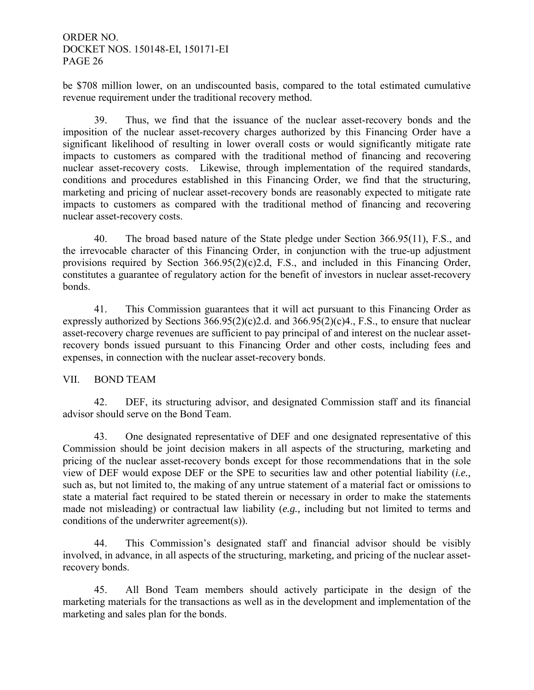be \$708 million lower, on an undiscounted basis, compared to the total estimated cumulative revenue requirement under the traditional recovery method.

 39. Thus, we find that the issuance of the nuclear asset-recovery bonds and the imposition of the nuclear asset-recovery charges authorized by this Financing Order have a significant likelihood of resulting in lower overall costs or would significantly mitigate rate impacts to customers as compared with the traditional method of financing and recovering nuclear asset-recovery costs. Likewise, through implementation of the required standards, conditions and procedures established in this Financing Order, we find that the structuring, marketing and pricing of nuclear asset-recovery bonds are reasonably expected to mitigate rate impacts to customers as compared with the traditional method of financing and recovering nuclear asset-recovery costs.

40. The broad based nature of the State pledge under Section 366.95(11), F.S., and the irrevocable character of this Financing Order, in conjunction with the true-up adjustment provisions required by Section 366.95(2)(c)2.d, F.S., and included in this Financing Order, constitutes a guarantee of regulatory action for the benefit of investors in nuclear asset-recovery bonds.

41. This Commission guarantees that it will act pursuant to this Financing Order as expressly authorized by Sections  $366.95(2)(c)2.d.$  and  $366.95(2)(c)4.$ , F.S., to ensure that nuclear asset-recovery charge revenues are sufficient to pay principal of and interest on the nuclear assetrecovery bonds issued pursuant to this Financing Order and other costs, including fees and expenses, in connection with the nuclear asset-recovery bonds.

## VII. BOND TEAM

42. DEF, its structuring advisor, and designated Commission staff and its financial advisor should serve on the Bond Team.

43. One designated representative of DEF and one designated representative of this Commission should be joint decision makers in all aspects of the structuring, marketing and pricing of the nuclear asset-recovery bonds except for those recommendations that in the sole view of DEF would expose DEF or the SPE to securities law and other potential liability (*i.e.,*  such as, but not limited to, the making of any untrue statement of a material fact or omissions to state a material fact required to be stated therein or necessary in order to make the statements made not misleading) or contractual law liability (*e.g.,* including but not limited to terms and conditions of the underwriter agreement(s)).

44. This Commission's designated staff and financial advisor should be visibly involved, in advance, in all aspects of the structuring, marketing, and pricing of the nuclear assetrecovery bonds.

45. All Bond Team members should actively participate in the design of the marketing materials for the transactions as well as in the development and implementation of the marketing and sales plan for the bonds.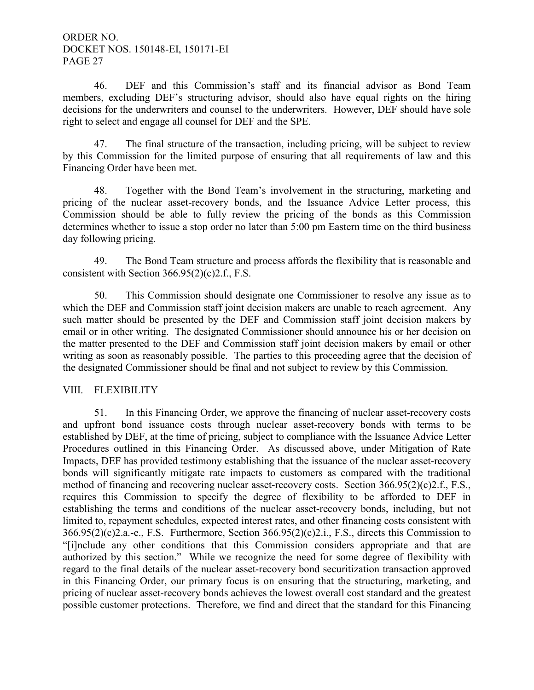46. DEF and this Commission's staff and its financial advisor as Bond Team members, excluding DEF's structuring advisor, should also have equal rights on the hiring decisions for the underwriters and counsel to the underwriters. However, DEF should have sole right to select and engage all counsel for DEF and the SPE.

47. The final structure of the transaction, including pricing, will be subject to review by this Commission for the limited purpose of ensuring that all requirements of law and this Financing Order have been met.

48. Together with the Bond Team's involvement in the structuring, marketing and pricing of the nuclear asset-recovery bonds, and the Issuance Advice Letter process, this Commission should be able to fully review the pricing of the bonds as this Commission determines whether to issue a stop order no later than 5:00 pm Eastern time on the third business day following pricing.

49. The Bond Team structure and process affords the flexibility that is reasonable and consistent with Section 366.95(2)(c)2.f., F.S.

50. This Commission should designate one Commissioner to resolve any issue as to which the DEF and Commission staff joint decision makers are unable to reach agreement. Any such matter should be presented by the DEF and Commission staff joint decision makers by email or in other writing. The designated Commissioner should announce his or her decision on the matter presented to the DEF and Commission staff joint decision makers by email or other writing as soon as reasonably possible. The parties to this proceeding agree that the decision of the designated Commissioner should be final and not subject to review by this Commission.

# VIII. FLEXIBILITY

 51. In this Financing Order, we approve the financing of nuclear asset-recovery costs and upfront bond issuance costs through nuclear asset-recovery bonds with terms to be established by DEF, at the time of pricing, subject to compliance with the Issuance Advice Letter Procedures outlined in this Financing Order. As discussed above, under Mitigation of Rate Impacts, DEF has provided testimony establishing that the issuance of the nuclear asset-recovery bonds will significantly mitigate rate impacts to customers as compared with the traditional method of financing and recovering nuclear asset-recovery costs. Section 366.95(2)(c)2.f., F.S., requires this Commission to specify the degree of flexibility to be afforded to DEF in establishing the terms and conditions of the nuclear asset-recovery bonds, including, but not limited to, repayment schedules, expected interest rates, and other financing costs consistent with 366.95(2)(c)2.a.-e., F.S. Furthermore, Section 366.95(2)(c)2.i., F.S., directs this Commission to "[i]nclude any other conditions that this Commission considers appropriate and that are authorized by this section." While we recognize the need for some degree of flexibility with regard to the final details of the nuclear asset-recovery bond securitization transaction approved in this Financing Order, our primary focus is on ensuring that the structuring, marketing, and pricing of nuclear asset-recovery bonds achieves the lowest overall cost standard and the greatest possible customer protections. Therefore, we find and direct that the standard for this Financing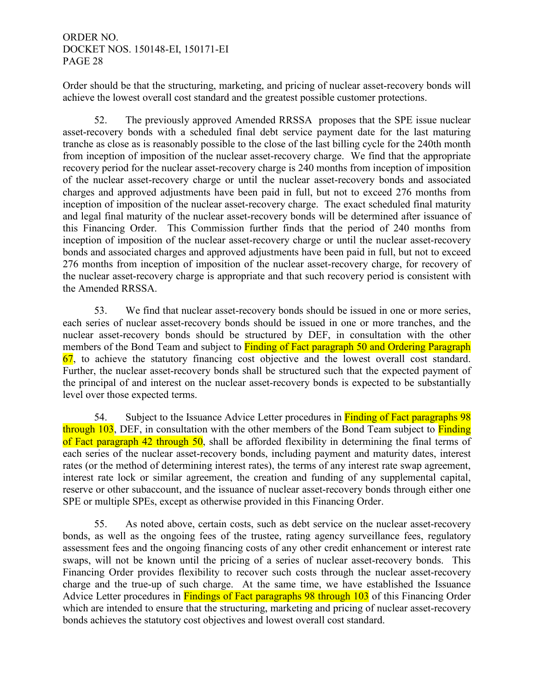Order should be that the structuring, marketing, and pricing of nuclear asset-recovery bonds will achieve the lowest overall cost standard and the greatest possible customer protections.

 52. The previously approved Amended RRSSA proposes that the SPE issue nuclear asset-recovery bonds with a scheduled final debt service payment date for the last maturing tranche as close as is reasonably possible to the close of the last billing cycle for the 240th month from inception of imposition of the nuclear asset-recovery charge. We find that the appropriate recovery period for the nuclear asset-recovery charge is 240 months from inception of imposition of the nuclear asset-recovery charge or until the nuclear asset-recovery bonds and associated charges and approved adjustments have been paid in full, but not to exceed 276 months from inception of imposition of the nuclear asset-recovery charge. The exact scheduled final maturity and legal final maturity of the nuclear asset-recovery bonds will be determined after issuance of this Financing Order. This Commission further finds that the period of 240 months from inception of imposition of the nuclear asset-recovery charge or until the nuclear asset-recovery bonds and associated charges and approved adjustments have been paid in full, but not to exceed 276 months from inception of imposition of the nuclear asset-recovery charge, for recovery of the nuclear asset-recovery charge is appropriate and that such recovery period is consistent with the Amended RRSSA.

 53. We find that nuclear asset-recovery bonds should be issued in one or more series, each series of nuclear asset-recovery bonds should be issued in one or more tranches, and the nuclear asset-recovery bonds should be structured by DEF, in consultation with the other members of the Bond Team and subject to Finding of Fact paragraph 50 and Ordering Paragraph 67, to achieve the statutory financing cost objective and the lowest overall cost standard. Further, the nuclear asset-recovery bonds shall be structured such that the expected payment of the principal of and interest on the nuclear asset-recovery bonds is expected to be substantially level over those expected terms.

54. Subject to the Issuance Advice Letter procedures in **Finding of Fact paragraphs 98** through 103, DEF, in consultation with the other members of the Bond Team subject to Finding of Fact paragraph 42 through 50, shall be afforded flexibility in determining the final terms of each series of the nuclear asset-recovery bonds, including payment and maturity dates, interest rates (or the method of determining interest rates), the terms of any interest rate swap agreement, interest rate lock or similar agreement, the creation and funding of any supplemental capital, reserve or other subaccount, and the issuance of nuclear asset-recovery bonds through either one SPE or multiple SPEs, except as otherwise provided in this Financing Order.

 55. As noted above, certain costs, such as debt service on the nuclear asset-recovery bonds, as well as the ongoing fees of the trustee, rating agency surveillance fees, regulatory assessment fees and the ongoing financing costs of any other credit enhancement or interest rate swaps, will not be known until the pricing of a series of nuclear asset-recovery bonds. This Financing Order provides flexibility to recover such costs through the nuclear asset-recovery charge and the true-up of such charge. At the same time, we have established the Issuance Advice Letter procedures in **Findings of Fact paragraphs 98 through 103** of this Financing Order which are intended to ensure that the structuring, marketing and pricing of nuclear asset-recovery bonds achieves the statutory cost objectives and lowest overall cost standard.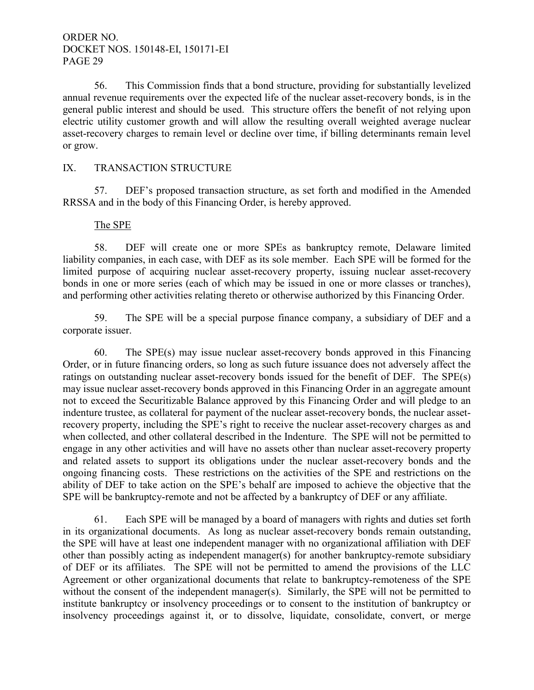56. This Commission finds that a bond structure, providing for substantially levelized annual revenue requirements over the expected life of the nuclear asset-recovery bonds, is in the general public interest and should be used. This structure offers the benefit of not relying upon electric utility customer growth and will allow the resulting overall weighted average nuclear asset-recovery charges to remain level or decline over time, if billing determinants remain level or grow.

# IX. TRANSACTION STRUCTURE

 57. DEF's proposed transaction structure, as set forth and modified in the Amended RRSSA and in the body of this Financing Order, is hereby approved.

#### The SPE

 58. DEF will create one or more SPEs as bankruptcy remote, Delaware limited liability companies, in each case, with DEF as its sole member. Each SPE will be formed for the limited purpose of acquiring nuclear asset-recovery property, issuing nuclear asset-recovery bonds in one or more series (each of which may be issued in one or more classes or tranches), and performing other activities relating thereto or otherwise authorized by this Financing Order.

59. The SPE will be a special purpose finance company, a subsidiary of DEF and a corporate issuer.

 60. The SPE(s) may issue nuclear asset-recovery bonds approved in this Financing Order, or in future financing orders, so long as such future issuance does not adversely affect the ratings on outstanding nuclear asset-recovery bonds issued for the benefit of DEF. The SPE(s) may issue nuclear asset-recovery bonds approved in this Financing Order in an aggregate amount not to exceed the Securitizable Balance approved by this Financing Order and will pledge to an indenture trustee, as collateral for payment of the nuclear asset-recovery bonds, the nuclear assetrecovery property, including the SPE's right to receive the nuclear asset-recovery charges as and when collected, and other collateral described in the Indenture. The SPE will not be permitted to engage in any other activities and will have no assets other than nuclear asset-recovery property and related assets to support its obligations under the nuclear asset-recovery bonds and the ongoing financing costs. These restrictions on the activities of the SPE and restrictions on the ability of DEF to take action on the SPE's behalf are imposed to achieve the objective that the SPE will be bankruptcy-remote and not be affected by a bankruptcy of DEF or any affiliate.

 61. Each SPE will be managed by a board of managers with rights and duties set forth in its organizational documents. As long as nuclear asset-recovery bonds remain outstanding, the SPE will have at least one independent manager with no organizational affiliation with DEF other than possibly acting as independent manager(s) for another bankruptcy-remote subsidiary of DEF or its affiliates. The SPE will not be permitted to amend the provisions of the LLC Agreement or other organizational documents that relate to bankruptcy-remoteness of the SPE without the consent of the independent manager(s). Similarly, the SPE will not be permitted to institute bankruptcy or insolvency proceedings or to consent to the institution of bankruptcy or insolvency proceedings against it, or to dissolve, liquidate, consolidate, convert, or merge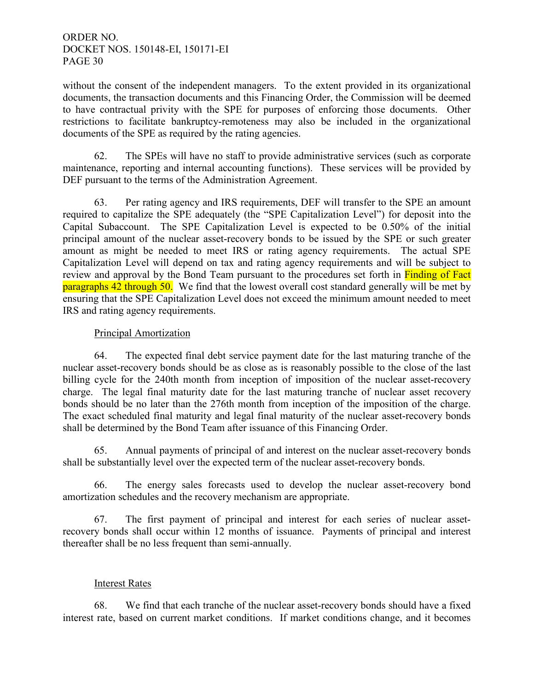without the consent of the independent managers. To the extent provided in its organizational documents, the transaction documents and this Financing Order, the Commission will be deemed to have contractual privity with the SPE for purposes of enforcing those documents. Other restrictions to facilitate bankruptcy-remoteness may also be included in the organizational documents of the SPE as required by the rating agencies.

 62. The SPEs will have no staff to provide administrative services (such as corporate maintenance, reporting and internal accounting functions). These services will be provided by DEF pursuant to the terms of the Administration Agreement.

 63. Per rating agency and IRS requirements, DEF will transfer to the SPE an amount required to capitalize the SPE adequately (the "SPE Capitalization Level") for deposit into the Capital Subaccount. The SPE Capitalization Level is expected to be 0.50% of the initial principal amount of the nuclear asset-recovery bonds to be issued by the SPE or such greater amount as might be needed to meet IRS or rating agency requirements. The actual SPE Capitalization Level will depend on tax and rating agency requirements and will be subject to review and approval by the Bond Team pursuant to the procedures set forth in Finding of Fact paragraphs 42 through 50. We find that the lowest overall cost standard generally will be met by ensuring that the SPE Capitalization Level does not exceed the minimum amount needed to meet IRS and rating agency requirements.

# Principal Amortization

 64. The expected final debt service payment date for the last maturing tranche of the nuclear asset-recovery bonds should be as close as is reasonably possible to the close of the last billing cycle for the 240th month from inception of imposition of the nuclear asset-recovery charge. The legal final maturity date for the last maturing tranche of nuclear asset recovery bonds should be no later than the 276th month from inception of the imposition of the charge. The exact scheduled final maturity and legal final maturity of the nuclear asset-recovery bonds shall be determined by the Bond Team after issuance of this Financing Order.

 65. Annual payments of principal of and interest on the nuclear asset-recovery bonds shall be substantially level over the expected term of the nuclear asset-recovery bonds.

66. The energy sales forecasts used to develop the nuclear asset-recovery bond amortization schedules and the recovery mechanism are appropriate.

 67. The first payment of principal and interest for each series of nuclear assetrecovery bonds shall occur within 12 months of issuance. Payments of principal and interest thereafter shall be no less frequent than semi-annually.

# Interest Rates

 68. We find that each tranche of the nuclear asset-recovery bonds should have a fixed interest rate, based on current market conditions. If market conditions change, and it becomes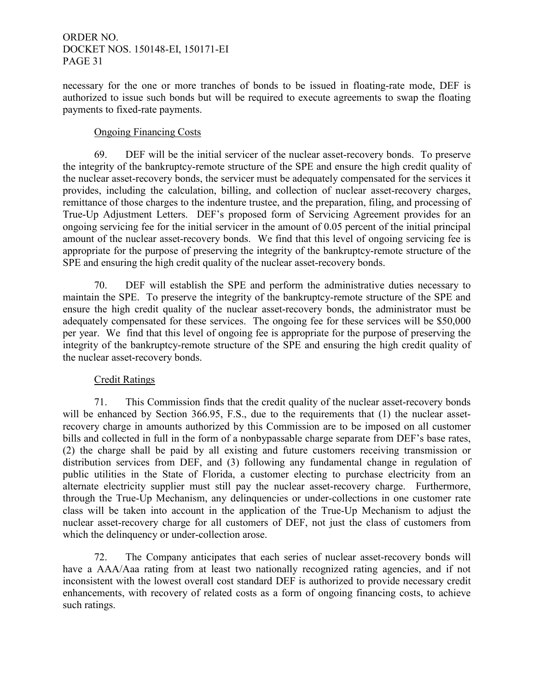necessary for the one or more tranches of bonds to be issued in floating-rate mode, DEF is authorized to issue such bonds but will be required to execute agreements to swap the floating payments to fixed-rate payments.

## Ongoing Financing Costs

 69. DEF will be the initial servicer of the nuclear asset-recovery bonds. To preserve the integrity of the bankruptcy-remote structure of the SPE and ensure the high credit quality of the nuclear asset-recovery bonds, the servicer must be adequately compensated for the services it provides, including the calculation, billing, and collection of nuclear asset-recovery charges, remittance of those charges to the indenture trustee, and the preparation, filing, and processing of True-Up Adjustment Letters. DEF's proposed form of Servicing Agreement provides for an ongoing servicing fee for the initial servicer in the amount of 0.05 percent of the initial principal amount of the nuclear asset-recovery bonds. We find that this level of ongoing servicing fee is appropriate for the purpose of preserving the integrity of the bankruptcy-remote structure of the SPE and ensuring the high credit quality of the nuclear asset-recovery bonds.

 70. DEF will establish the SPE and perform the administrative duties necessary to maintain the SPE. To preserve the integrity of the bankruptcy-remote structure of the SPE and ensure the high credit quality of the nuclear asset-recovery bonds, the administrator must be adequately compensated for these services. The ongoing fee for these services will be \$50,000 per year. We find that this level of ongoing fee is appropriate for the purpose of preserving the integrity of the bankruptcy-remote structure of the SPE and ensuring the high credit quality of the nuclear asset-recovery bonds.

# Credit Ratings

71. This Commission finds that the credit quality of the nuclear asset-recovery bonds will be enhanced by Section 366.95, F.S., due to the requirements that (1) the nuclear assetrecovery charge in amounts authorized by this Commission are to be imposed on all customer bills and collected in full in the form of a nonbypassable charge separate from DEF's base rates, (2) the charge shall be paid by all existing and future customers receiving transmission or distribution services from DEF, and (3) following any fundamental change in regulation of public utilities in the State of Florida, a customer electing to purchase electricity from an alternate electricity supplier must still pay the nuclear asset-recovery charge. Furthermore, through the True-Up Mechanism, any delinquencies or under-collections in one customer rate class will be taken into account in the application of the True-Up Mechanism to adjust the nuclear asset-recovery charge for all customers of DEF, not just the class of customers from which the delinquency or under-collection arose.

 72. The Company anticipates that each series of nuclear asset-recovery bonds will have a AAA/Aaa rating from at least two nationally recognized rating agencies, and if not inconsistent with the lowest overall cost standard DEF is authorized to provide necessary credit enhancements, with recovery of related costs as a form of ongoing financing costs, to achieve such ratings.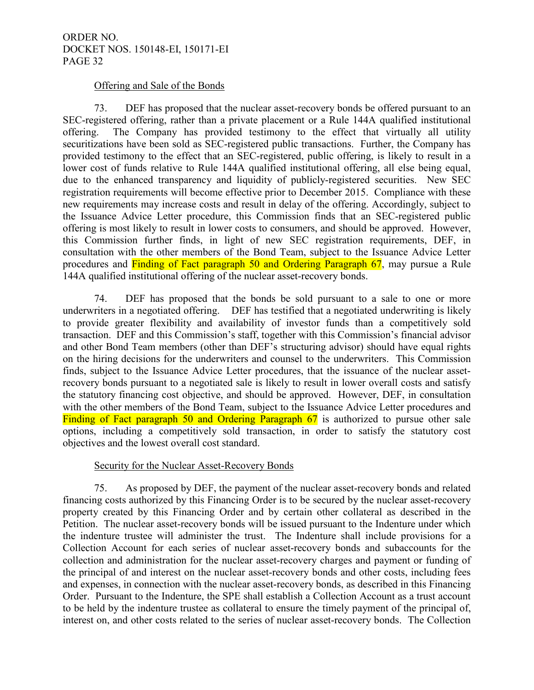#### Offering and Sale of the Bonds

 73. DEF has proposed that the nuclear asset-recovery bonds be offered pursuant to an SEC-registered offering, rather than a private placement or a Rule 144A qualified institutional offering. The Company has provided testimony to the effect that virtually all utility securitizations have been sold as SEC-registered public transactions. Further, the Company has provided testimony to the effect that an SEC-registered, public offering, is likely to result in a lower cost of funds relative to Rule 144A qualified institutional offering, all else being equal, due to the enhanced transparency and liquidity of publicly-registered securities. New SEC registration requirements will become effective prior to December 2015. Compliance with these new requirements may increase costs and result in delay of the offering. Accordingly, subject to the Issuance Advice Letter procedure, this Commission finds that an SEC-registered public offering is most likely to result in lower costs to consumers, and should be approved. However, this Commission further finds, in light of new SEC registration requirements, DEF, in consultation with the other members of the Bond Team, subject to the Issuance Advice Letter procedures and Finding of Fact paragraph 50 and Ordering Paragraph 67, may pursue a Rule 144A qualified institutional offering of the nuclear asset-recovery bonds.

 74. DEF has proposed that the bonds be sold pursuant to a sale to one or more underwriters in a negotiated offering. DEF has testified that a negotiated underwriting is likely to provide greater flexibility and availability of investor funds than a competitively sold transaction. DEF and this Commission's staff, together with this Commission's financial advisor and other Bond Team members (other than DEF's structuring advisor) should have equal rights on the hiring decisions for the underwriters and counsel to the underwriters. This Commission finds, subject to the Issuance Advice Letter procedures, that the issuance of the nuclear assetrecovery bonds pursuant to a negotiated sale is likely to result in lower overall costs and satisfy the statutory financing cost objective, and should be approved. However, DEF, in consultation with the other members of the Bond Team, subject to the Issuance Advice Letter procedures and Finding of Fact paragraph 50 and Ordering Paragraph 67 is authorized to pursue other sale options, including a competitively sold transaction, in order to satisfy the statutory cost objectives and the lowest overall cost standard.

## Security for the Nuclear Asset-Recovery Bonds

 75. As proposed by DEF, the payment of the nuclear asset-recovery bonds and related financing costs authorized by this Financing Order is to be secured by the nuclear asset-recovery property created by this Financing Order and by certain other collateral as described in the Petition. The nuclear asset-recovery bonds will be issued pursuant to the Indenture under which the indenture trustee will administer the trust. The Indenture shall include provisions for a Collection Account for each series of nuclear asset-recovery bonds and subaccounts for the collection and administration for the nuclear asset-recovery charges and payment or funding of the principal of and interest on the nuclear asset-recovery bonds and other costs, including fees and expenses, in connection with the nuclear asset-recovery bonds, as described in this Financing Order. Pursuant to the Indenture, the SPE shall establish a Collection Account as a trust account to be held by the indenture trustee as collateral to ensure the timely payment of the principal of, interest on, and other costs related to the series of nuclear asset-recovery bonds. The Collection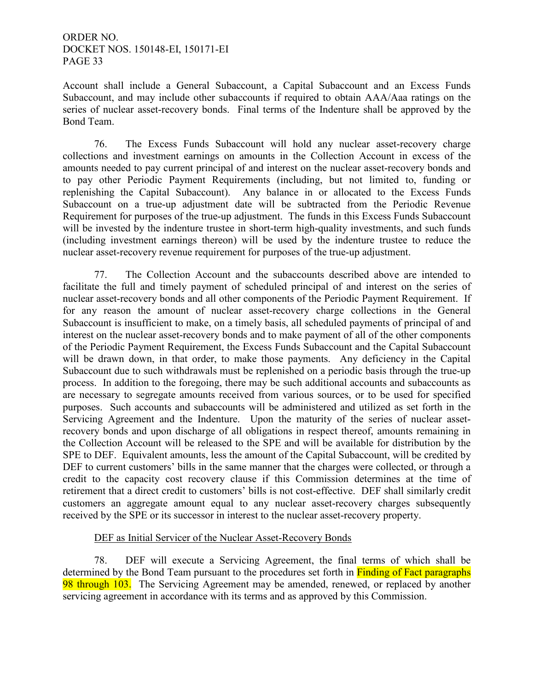Account shall include a General Subaccount, a Capital Subaccount and an Excess Funds Subaccount, and may include other subaccounts if required to obtain AAA/Aaa ratings on the series of nuclear asset-recovery bonds. Final terms of the Indenture shall be approved by the Bond Team.

 76. The Excess Funds Subaccount will hold any nuclear asset-recovery charge collections and investment earnings on amounts in the Collection Account in excess of the amounts needed to pay current principal of and interest on the nuclear asset-recovery bonds and to pay other Periodic Payment Requirements (including, but not limited to, funding or replenishing the Capital Subaccount). Any balance in or allocated to the Excess Funds Subaccount on a true-up adjustment date will be subtracted from the Periodic Revenue Requirement for purposes of the true-up adjustment. The funds in this Excess Funds Subaccount will be invested by the indenture trustee in short-term high-quality investments, and such funds (including investment earnings thereon) will be used by the indenture trustee to reduce the nuclear asset-recovery revenue requirement for purposes of the true-up adjustment.

 77. The Collection Account and the subaccounts described above are intended to facilitate the full and timely payment of scheduled principal of and interest on the series of nuclear asset-recovery bonds and all other components of the Periodic Payment Requirement. If for any reason the amount of nuclear asset-recovery charge collections in the General Subaccount is insufficient to make, on a timely basis, all scheduled payments of principal of and interest on the nuclear asset-recovery bonds and to make payment of all of the other components of the Periodic Payment Requirement, the Excess Funds Subaccount and the Capital Subaccount will be drawn down, in that order, to make those payments. Any deficiency in the Capital Subaccount due to such withdrawals must be replenished on a periodic basis through the true-up process. In addition to the foregoing, there may be such additional accounts and subaccounts as are necessary to segregate amounts received from various sources, or to be used for specified purposes. Such accounts and subaccounts will be administered and utilized as set forth in the Servicing Agreement and the Indenture. Upon the maturity of the series of nuclear assetrecovery bonds and upon discharge of all obligations in respect thereof, amounts remaining in the Collection Account will be released to the SPE and will be available for distribution by the SPE to DEF. Equivalent amounts, less the amount of the Capital Subaccount, will be credited by DEF to current customers' bills in the same manner that the charges were collected, or through a credit to the capacity cost recovery clause if this Commission determines at the time of retirement that a direct credit to customers' bills is not cost-effective. DEF shall similarly credit customers an aggregate amount equal to any nuclear asset-recovery charges subsequently received by the SPE or its successor in interest to the nuclear asset-recovery property.

## DEF as Initial Servicer of the Nuclear Asset-Recovery Bonds

 78. DEF will execute a Servicing Agreement, the final terms of which shall be determined by the Bond Team pursuant to the procedures set forth in Finding of Fact paragraphs 98 through 103. The Servicing Agreement may be amended, renewed, or replaced by another servicing agreement in accordance with its terms and as approved by this Commission.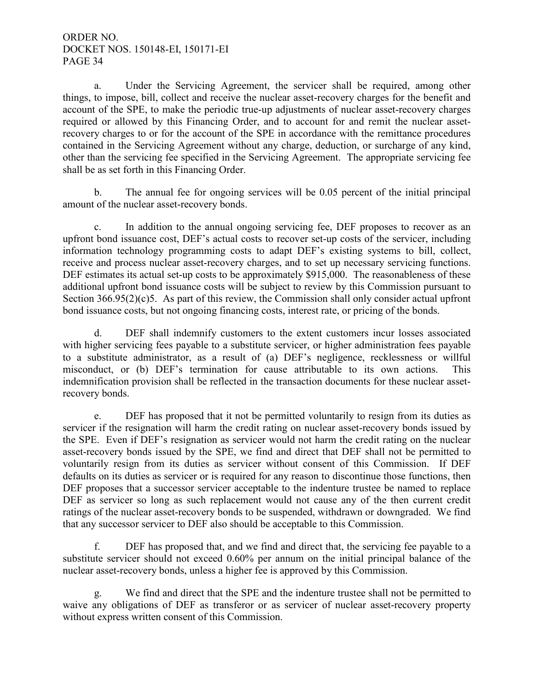a. Under the Servicing Agreement, the servicer shall be required, among other things, to impose, bill, collect and receive the nuclear asset-recovery charges for the benefit and account of the SPE, to make the periodic true-up adjustments of nuclear asset-recovery charges required or allowed by this Financing Order, and to account for and remit the nuclear assetrecovery charges to or for the account of the SPE in accordance with the remittance procedures contained in the Servicing Agreement without any charge, deduction, or surcharge of any kind, other than the servicing fee specified in the Servicing Agreement. The appropriate servicing fee shall be as set forth in this Financing Order.

b. The annual fee for ongoing services will be 0.05 percent of the initial principal amount of the nuclear asset-recovery bonds.

c. In addition to the annual ongoing servicing fee, DEF proposes to recover as an upfront bond issuance cost, DEF's actual costs to recover set-up costs of the servicer, including information technology programming costs to adapt DEF's existing systems to bill, collect, receive and process nuclear asset-recovery charges, and to set up necessary servicing functions. DEF estimates its actual set-up costs to be approximately \$915,000. The reasonableness of these additional upfront bond issuance costs will be subject to review by this Commission pursuant to Section 366.95(2)(c)5. As part of this review, the Commission shall only consider actual upfront bond issuance costs, but not ongoing financing costs, interest rate, or pricing of the bonds.

d. DEF shall indemnify customers to the extent customers incur losses associated with higher servicing fees payable to a substitute servicer, or higher administration fees payable to a substitute administrator, as a result of (a) DEF's negligence, recklessness or willful misconduct, or (b) DEF's termination for cause attributable to its own actions. This indemnification provision shall be reflected in the transaction documents for these nuclear assetrecovery bonds.

e. DEF has proposed that it not be permitted voluntarily to resign from its duties as servicer if the resignation will harm the credit rating on nuclear asset-recovery bonds issued by the SPE. Even if DEF's resignation as servicer would not harm the credit rating on the nuclear asset-recovery bonds issued by the SPE, we find and direct that DEF shall not be permitted to voluntarily resign from its duties as servicer without consent of this Commission. If DEF defaults on its duties as servicer or is required for any reason to discontinue those functions, then DEF proposes that a successor servicer acceptable to the indenture trustee be named to replace DEF as servicer so long as such replacement would not cause any of the then current credit ratings of the nuclear asset-recovery bonds to be suspended, withdrawn or downgraded. We find that any successor servicer to DEF also should be acceptable to this Commission.

f. DEF has proposed that, and we find and direct that, the servicing fee payable to a substitute servicer should not exceed 0.60% per annum on the initial principal balance of the nuclear asset-recovery bonds, unless a higher fee is approved by this Commission.

g. We find and direct that the SPE and the indenture trustee shall not be permitted to waive any obligations of DEF as transferor or as servicer of nuclear asset-recovery property without express written consent of this Commission.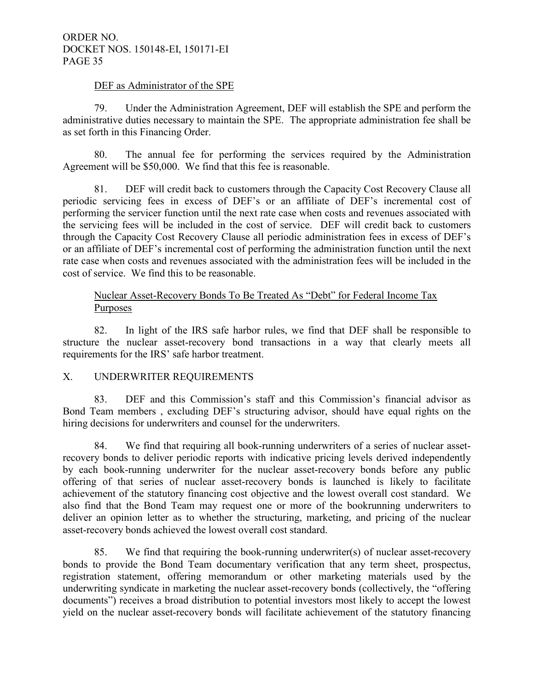#### DEF as Administrator of the SPE

 79. Under the Administration Agreement, DEF will establish the SPE and perform the administrative duties necessary to maintain the SPE. The appropriate administration fee shall be as set forth in this Financing Order.

 80. The annual fee for performing the services required by the Administration Agreement will be \$50,000. We find that this fee is reasonable.

81. DEF will credit back to customers through the Capacity Cost Recovery Clause all periodic servicing fees in excess of DEF's or an affiliate of DEF's incremental cost of performing the servicer function until the next rate case when costs and revenues associated with the servicing fees will be included in the cost of service. DEF will credit back to customers through the Capacity Cost Recovery Clause all periodic administration fees in excess of DEF's or an affiliate of DEF's incremental cost of performing the administration function until the next rate case when costs and revenues associated with the administration fees will be included in the cost of service. We find this to be reasonable.

## Nuclear Asset-Recovery Bonds To Be Treated As "Debt" for Federal Income Tax Purposes

 82. In light of the IRS safe harbor rules, we find that DEF shall be responsible to structure the nuclear asset-recovery bond transactions in a way that clearly meets all requirements for the IRS' safe harbor treatment.

## X. UNDERWRITER REQUIREMENTS

 83. DEF and this Commission's staff and this Commission's financial advisor as Bond Team members , excluding DEF's structuring advisor, should have equal rights on the hiring decisions for underwriters and counsel for the underwriters.

 84. We find that requiring all book-running underwriters of a series of nuclear assetrecovery bonds to deliver periodic reports with indicative pricing levels derived independently by each book-running underwriter for the nuclear asset-recovery bonds before any public offering of that series of nuclear asset-recovery bonds is launched is likely to facilitate achievement of the statutory financing cost objective and the lowest overall cost standard. We also find that the Bond Team may request one or more of the bookrunning underwriters to deliver an opinion letter as to whether the structuring, marketing, and pricing of the nuclear asset-recovery bonds achieved the lowest overall cost standard.

 85. We find that requiring the book-running underwriter(s) of nuclear asset-recovery bonds to provide the Bond Team documentary verification that any term sheet, prospectus, registration statement, offering memorandum or other marketing materials used by the underwriting syndicate in marketing the nuclear asset-recovery bonds (collectively, the "offering documents") receives a broad distribution to potential investors most likely to accept the lowest yield on the nuclear asset-recovery bonds will facilitate achievement of the statutory financing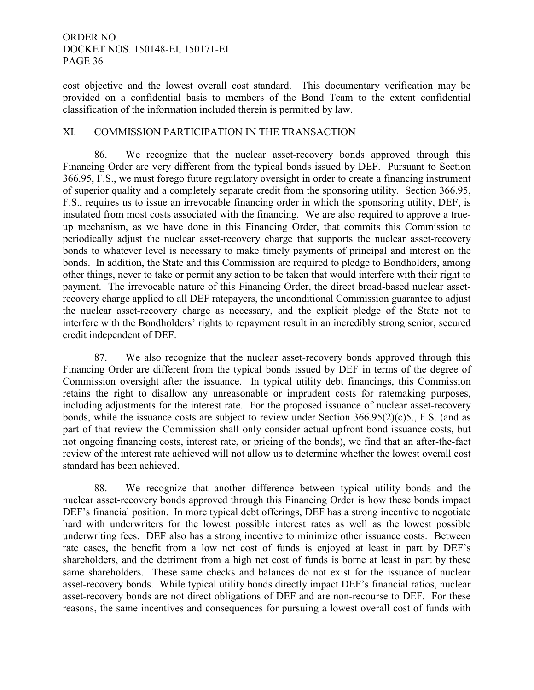cost objective and the lowest overall cost standard. This documentary verification may be provided on a confidential basis to members of the Bond Team to the extent confidential classification of the information included therein is permitted by law.

## XI. COMMISSION PARTICIPATION IN THE TRANSACTION

86. We recognize that the nuclear asset-recovery bonds approved through this Financing Order are very different from the typical bonds issued by DEF. Pursuant to Section 366.95, F.S., we must forego future regulatory oversight in order to create a financing instrument of superior quality and a completely separate credit from the sponsoring utility. Section 366.95, F.S., requires us to issue an irrevocable financing order in which the sponsoring utility, DEF, is insulated from most costs associated with the financing. We are also required to approve a trueup mechanism, as we have done in this Financing Order, that commits this Commission to periodically adjust the nuclear asset-recovery charge that supports the nuclear asset-recovery bonds to whatever level is necessary to make timely payments of principal and interest on the bonds. In addition, the State and this Commission are required to pledge to Bondholders, among other things, never to take or permit any action to be taken that would interfere with their right to payment. The irrevocable nature of this Financing Order, the direct broad-based nuclear assetrecovery charge applied to all DEF ratepayers, the unconditional Commission guarantee to adjust the nuclear asset-recovery charge as necessary, and the explicit pledge of the State not to interfere with the Bondholders' rights to repayment result in an incredibly strong senior, secured credit independent of DEF.

87. We also recognize that the nuclear asset-recovery bonds approved through this Financing Order are different from the typical bonds issued by DEF in terms of the degree of Commission oversight after the issuance. In typical utility debt financings, this Commission retains the right to disallow any unreasonable or imprudent costs for ratemaking purposes, including adjustments for the interest rate. For the proposed issuance of nuclear asset-recovery bonds, while the issuance costs are subject to review under Section 366.95(2)(c)5., F.S. (and as part of that review the Commission shall only consider actual upfront bond issuance costs, but not ongoing financing costs, interest rate, or pricing of the bonds), we find that an after-the-fact review of the interest rate achieved will not allow us to determine whether the lowest overall cost standard has been achieved.

88. We recognize that another difference between typical utility bonds and the nuclear asset-recovery bonds approved through this Financing Order is how these bonds impact DEF's financial position. In more typical debt offerings, DEF has a strong incentive to negotiate hard with underwriters for the lowest possible interest rates as well as the lowest possible underwriting fees. DEF also has a strong incentive to minimize other issuance costs. Between rate cases, the benefit from a low net cost of funds is enjoyed at least in part by DEF's shareholders, and the detriment from a high net cost of funds is borne at least in part by these same shareholders. These same checks and balances do not exist for the issuance of nuclear asset-recovery bonds. While typical utility bonds directly impact DEF's financial ratios, nuclear asset-recovery bonds are not direct obligations of DEF and are non-recourse to DEF. For these reasons, the same incentives and consequences for pursuing a lowest overall cost of funds with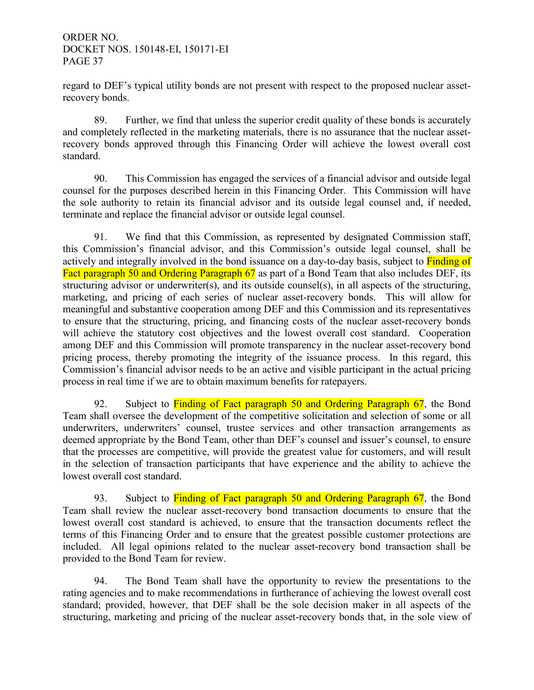regard to DEF's typical utility bonds are not present with respect to the proposed nuclear assetrecovery bonds.

89. Further, we find that unless the superior credit quality of these bonds is accurately and completely reflected in the marketing materials, there is no assurance that the nuclear assetrecovery bonds approved through this Financing Order will achieve the lowest overall cost standard.

 90. This Commission has engaged the services of a financial advisor and outside legal counsel for the purposes described herein in this Financing Order. This Commission will have the sole authority to retain its financial advisor and its outside legal counsel and, if needed, terminate and replace the financial advisor or outside legal counsel.

 91. We find that this Commission, as represented by designated Commission staff, this Commission's financial advisor, and this Commission's outside legal counsel, shall be actively and integrally involved in the bond issuance on a day-to-day basis, subject to **Finding of** Fact paragraph 50 and Ordering Paragraph 67 as part of a Bond Team that also includes DEF, its structuring advisor or underwriter(s), and its outside counsel(s), in all aspects of the structuring, marketing, and pricing of each series of nuclear asset-recovery bonds. This will allow for meaningful and substantive cooperation among DEF and this Commission and its representatives to ensure that the structuring, pricing, and financing costs of the nuclear asset-recovery bonds will achieve the statutory cost objectives and the lowest overall cost standard. Cooperation among DEF and this Commission will promote transparency in the nuclear asset-recovery bond pricing process, thereby promoting the integrity of the issuance process. In this regard, this Commission's financial advisor needs to be an active and visible participant in the actual pricing process in real time if we are to obtain maximum benefits for ratepayers.

92. Subject to **Finding of Fact paragraph 50 and Ordering Paragraph 67**, the Bond Team shall oversee the development of the competitive solicitation and selection of some or all underwriters, underwriters' counsel, trustee services and other transaction arrangements as deemed appropriate by the Bond Team, other than DEF's counsel and issuer's counsel, to ensure that the processes are competitive, will provide the greatest value for customers, and will result in the selection of transaction participants that have experience and the ability to achieve the lowest overall cost standard.

93. Subject to Finding of Fact paragraph 50 and Ordering Paragraph 67, the Bond Team shall review the nuclear asset-recovery bond transaction documents to ensure that the lowest overall cost standard is achieved, to ensure that the transaction documents reflect the terms of this Financing Order and to ensure that the greatest possible customer protections are included. All legal opinions related to the nuclear asset-recovery bond transaction shall be provided to the Bond Team for review.

 94. The Bond Team shall have the opportunity to review the presentations to the rating agencies and to make recommendations in furtherance of achieving the lowest overall cost standard; provided, however, that DEF shall be the sole decision maker in all aspects of the structuring, marketing and pricing of the nuclear asset-recovery bonds that, in the sole view of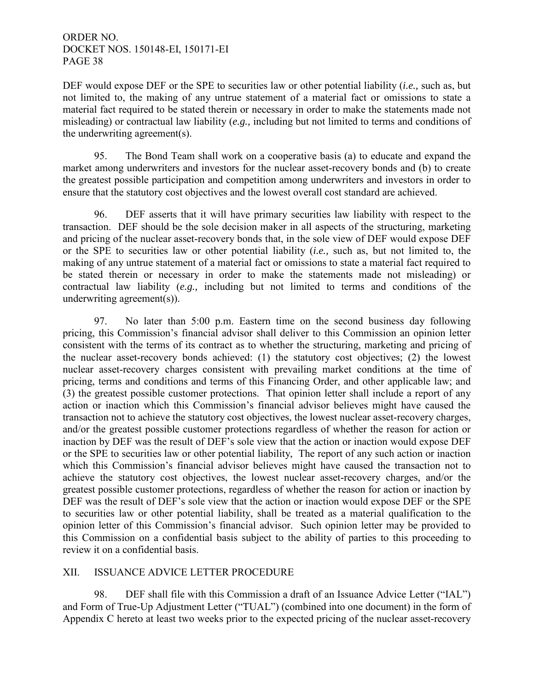DEF would expose DEF or the SPE to securities law or other potential liability (*i.e.,* such as, but not limited to, the making of any untrue statement of a material fact or omissions to state a material fact required to be stated therein or necessary in order to make the statements made not misleading) or contractual law liability (*e.g.,* including but not limited to terms and conditions of the underwriting agreement(s).

 95. The Bond Team shall work on a cooperative basis (a) to educate and expand the market among underwriters and investors for the nuclear asset-recovery bonds and (b) to create the greatest possible participation and competition among underwriters and investors in order to ensure that the statutory cost objectives and the lowest overall cost standard are achieved.

 96. DEF asserts that it will have primary securities law liability with respect to the transaction. DEF should be the sole decision maker in all aspects of the structuring, marketing and pricing of the nuclear asset-recovery bonds that, in the sole view of DEF would expose DEF or the SPE to securities law or other potential liability (*i.e.,* such as, but not limited to, the making of any untrue statement of a material fact or omissions to state a material fact required to be stated therein or necessary in order to make the statements made not misleading) or contractual law liability (*e.g.,* including but not limited to terms and conditions of the underwriting agreement(s)).

97. No later than 5:00 p.m. Eastern time on the second business day following pricing, this Commission's financial advisor shall deliver to this Commission an opinion letter consistent with the terms of its contract as to whether the structuring, marketing and pricing of the nuclear asset-recovery bonds achieved: (1) the statutory cost objectives; (2) the lowest nuclear asset-recovery charges consistent with prevailing market conditions at the time of pricing, terms and conditions and terms of this Financing Order, and other applicable law; and (3) the greatest possible customer protections. That opinion letter shall include a report of any action or inaction which this Commission's financial advisor believes might have caused the transaction not to achieve the statutory cost objectives, the lowest nuclear asset-recovery charges, and/or the greatest possible customer protections regardless of whether the reason for action or inaction by DEF was the result of DEF's sole view that the action or inaction would expose DEF or the SPE to securities law or other potential liability, The report of any such action or inaction which this Commission's financial advisor believes might have caused the transaction not to achieve the statutory cost objectives, the lowest nuclear asset-recovery charges, and/or the greatest possible customer protections, regardless of whether the reason for action or inaction by DEF was the result of DEF's sole view that the action or inaction would expose DEF or the SPE to securities law or other potential liability, shall be treated as a material qualification to the opinion letter of this Commission's financial advisor. Such opinion letter may be provided to this Commission on a confidential basis subject to the ability of parties to this proceeding to review it on a confidential basis.

### XII. ISSUANCE ADVICE LETTER PROCEDURE

 98. DEF shall file with this Commission a draft of an Issuance Advice Letter ("IAL") and Form of True-Up Adjustment Letter ("TUAL") (combined into one document) in the form of Appendix C hereto at least two weeks prior to the expected pricing of the nuclear asset-recovery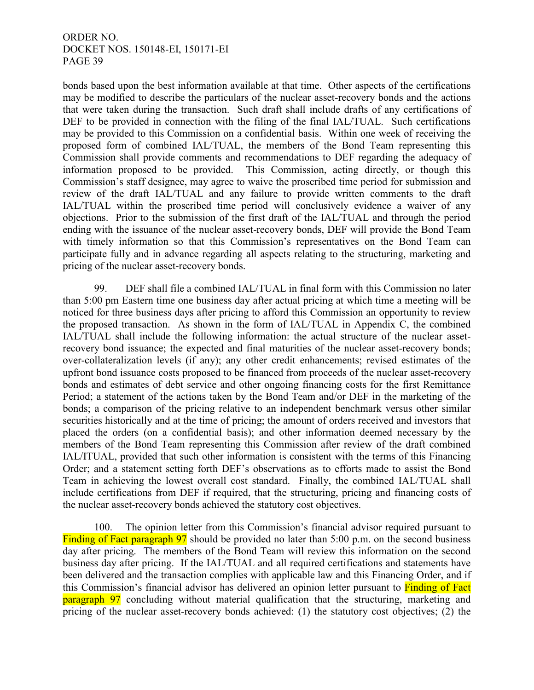bonds based upon the best information available at that time. Other aspects of the certifications may be modified to describe the particulars of the nuclear asset-recovery bonds and the actions that were taken during the transaction. Such draft shall include drafts of any certifications of DEF to be provided in connection with the filing of the final IAL/TUAL. Such certifications may be provided to this Commission on a confidential basis. Within one week of receiving the proposed form of combined IAL/TUAL, the members of the Bond Team representing this Commission shall provide comments and recommendations to DEF regarding the adequacy of information proposed to be provided. This Commission, acting directly, or though this Commission's staff designee, may agree to waive the proscribed time period for submission and review of the draft IAL/TUAL and any failure to provide written comments to the draft IAL/TUAL within the proscribed time period will conclusively evidence a waiver of any objections. Prior to the submission of the first draft of the IAL/TUAL and through the period ending with the issuance of the nuclear asset-recovery bonds, DEF will provide the Bond Team with timely information so that this Commission's representatives on the Bond Team can participate fully and in advance regarding all aspects relating to the structuring, marketing and pricing of the nuclear asset-recovery bonds.

 99. DEF shall file a combined IAL/TUAL in final form with this Commission no later than 5:00 pm Eastern time one business day after actual pricing at which time a meeting will be noticed for three business days after pricing to afford this Commission an opportunity to review the proposed transaction. As shown in the form of IAL/TUAL in Appendix C, the combined IAL/TUAL shall include the following information: the actual structure of the nuclear assetrecovery bond issuance; the expected and final maturities of the nuclear asset-recovery bonds; over-collateralization levels (if any); any other credit enhancements; revised estimates of the upfront bond issuance costs proposed to be financed from proceeds of the nuclear asset-recovery bonds and estimates of debt service and other ongoing financing costs for the first Remittance Period; a statement of the actions taken by the Bond Team and/or DEF in the marketing of the bonds; a comparison of the pricing relative to an independent benchmark versus other similar securities historically and at the time of pricing; the amount of orders received and investors that placed the orders (on a confidential basis); and other information deemed necessary by the members of the Bond Team representing this Commission after review of the draft combined IAL/ITUAL, provided that such other information is consistent with the terms of this Financing Order; and a statement setting forth DEF's observations as to efforts made to assist the Bond Team in achieving the lowest overall cost standard. Finally, the combined IAL/TUAL shall include certifications from DEF if required, that the structuring, pricing and financing costs of the nuclear asset-recovery bonds achieved the statutory cost objectives.

 100. The opinion letter from this Commission's financial advisor required pursuant to Finding of Fact paragraph 97 should be provided no later than 5:00 p.m. on the second business day after pricing. The members of the Bond Team will review this information on the second business day after pricing. If the IAL/TUAL and all required certifications and statements have been delivered and the transaction complies with applicable law and this Financing Order, and if this Commission's financial advisor has delivered an opinion letter pursuant to Finding of Fact **paragraph 97** concluding without material qualification that the structuring, marketing and pricing of the nuclear asset-recovery bonds achieved: (1) the statutory cost objectives; (2) the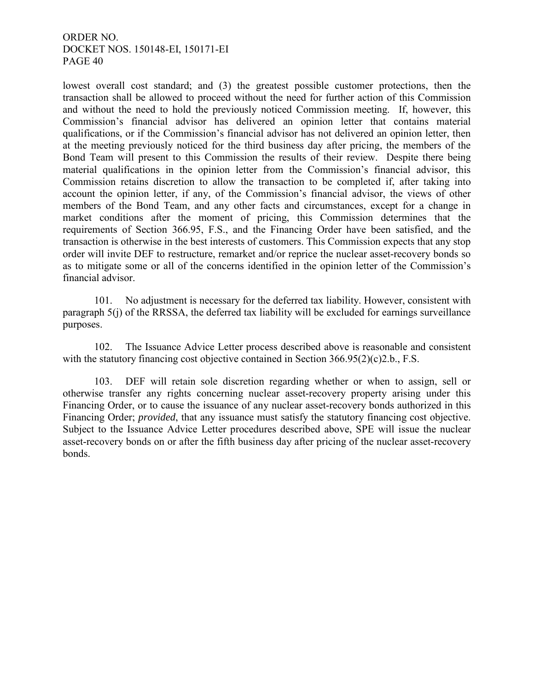lowest overall cost standard; and (3) the greatest possible customer protections, then the transaction shall be allowed to proceed without the need for further action of this Commission and without the need to hold the previously noticed Commission meeting. If, however, this Commission's financial advisor has delivered an opinion letter that contains material qualifications, or if the Commission's financial advisor has not delivered an opinion letter, then at the meeting previously noticed for the third business day after pricing, the members of the Bond Team will present to this Commission the results of their review. Despite there being material qualifications in the opinion letter from the Commission's financial advisor, this Commission retains discretion to allow the transaction to be completed if, after taking into account the opinion letter, if any, of the Commission's financial advisor, the views of other members of the Bond Team, and any other facts and circumstances, except for a change in market conditions after the moment of pricing, this Commission determines that the requirements of Section 366.95, F.S., and the Financing Order have been satisfied, and the transaction is otherwise in the best interests of customers. This Commission expects that any stop order will invite DEF to restructure, remarket and/or reprice the nuclear asset-recovery bonds so as to mitigate some or all of the concerns identified in the opinion letter of the Commission's financial advisor.

101. No adjustment is necessary for the deferred tax liability. However, consistent with paragraph 5(j) of the RRSSA, the deferred tax liability will be excluded for earnings surveillance purposes.

102. The Issuance Advice Letter process described above is reasonable and consistent with the statutory financing cost objective contained in Section 366.95(2)(c)2.b., F.S.

 103. DEF will retain sole discretion regarding whether or when to assign, sell or otherwise transfer any rights concerning nuclear asset-recovery property arising under this Financing Order, or to cause the issuance of any nuclear asset-recovery bonds authorized in this Financing Order; *provided*, that any issuance must satisfy the statutory financing cost objective. Subject to the Issuance Advice Letter procedures described above, SPE will issue the nuclear asset-recovery bonds on or after the fifth business day after pricing of the nuclear asset-recovery bonds.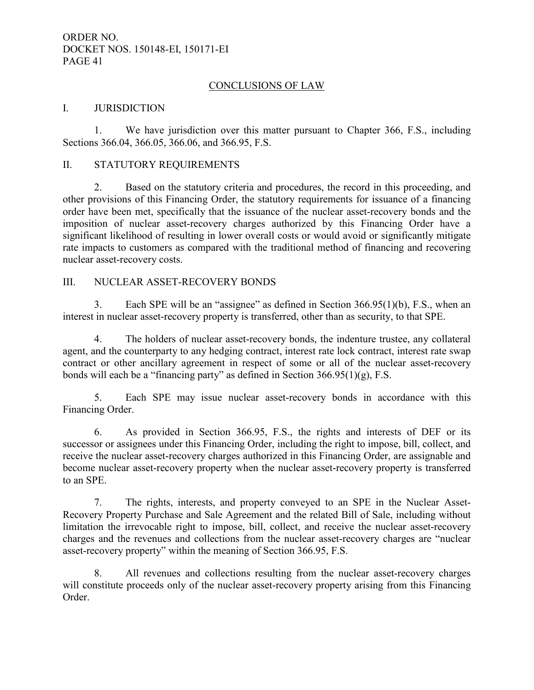#### CONCLUSIONS OF LAW

#### I. JURISDICTION

1. We have jurisdiction over this matter pursuant to Chapter 366, F.S., including Sections 366.04, 366.05, 366.06, and 366.95, F.S.

#### II. STATUTORY REQUIREMENTS

 2. Based on the statutory criteria and procedures, the record in this proceeding, and other provisions of this Financing Order, the statutory requirements for issuance of a financing order have been met, specifically that the issuance of the nuclear asset-recovery bonds and the imposition of nuclear asset-recovery charges authorized by this Financing Order have a significant likelihood of resulting in lower overall costs or would avoid or significantly mitigate rate impacts to customers as compared with the traditional method of financing and recovering nuclear asset-recovery costs.

#### III. NUCLEAR ASSET-RECOVERY BONDS

 3. Each SPE will be an "assignee" as defined in Section 366.95(1)(b), F.S., when an interest in nuclear asset-recovery property is transferred, other than as security, to that SPE.

 4. The holders of nuclear asset-recovery bonds, the indenture trustee, any collateral agent, and the counterparty to any hedging contract, interest rate lock contract, interest rate swap contract or other ancillary agreement in respect of some or all of the nuclear asset-recovery bonds will each be a "financing party" as defined in Section 366.95(1)(g), F.S.

 5. Each SPE may issue nuclear asset-recovery bonds in accordance with this Financing Order.

 6. As provided in Section 366.95, F.S., the rights and interests of DEF or its successor or assignees under this Financing Order, including the right to impose, bill, collect, and receive the nuclear asset-recovery charges authorized in this Financing Order, are assignable and become nuclear asset-recovery property when the nuclear asset-recovery property is transferred to an SPE.

 7. The rights, interests, and property conveyed to an SPE in the Nuclear Asset-Recovery Property Purchase and Sale Agreement and the related Bill of Sale, including without limitation the irrevocable right to impose, bill, collect, and receive the nuclear asset-recovery charges and the revenues and collections from the nuclear asset-recovery charges are "nuclear asset-recovery property" within the meaning of Section 366.95, F.S.

 8. All revenues and collections resulting from the nuclear asset-recovery charges will constitute proceeds only of the nuclear asset-recovery property arising from this Financing Order.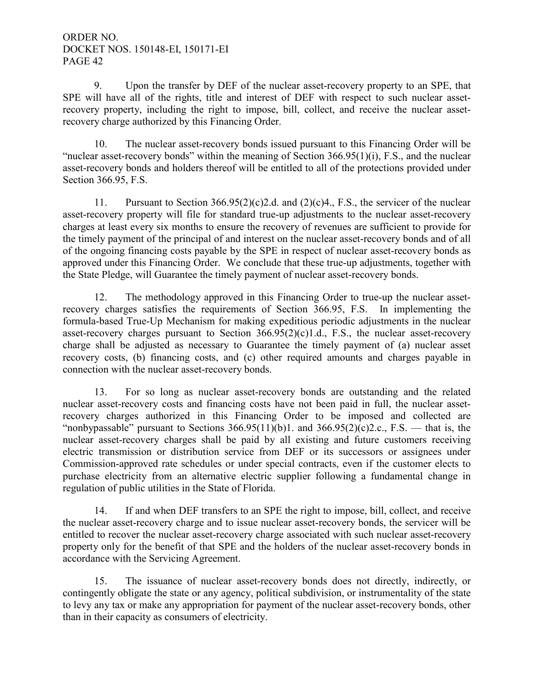9. Upon the transfer by DEF of the nuclear asset-recovery property to an SPE, that SPE will have all of the rights, title and interest of DEF with respect to such nuclear assetrecovery property, including the right to impose, bill, collect, and receive the nuclear assetrecovery charge authorized by this Financing Order.

 10. The nuclear asset-recovery bonds issued pursuant to this Financing Order will be "nuclear asset-recovery bonds" within the meaning of Section 366.95(1)(i), F.S., and the nuclear asset-recovery bonds and holders thereof will be entitled to all of the protections provided under Section 366.95, F.S.

11. Pursuant to Section 366.95(2)(c)2.d. and (2)(c)4., F.S., the servicer of the nuclear asset-recovery property will file for standard true-up adjustments to the nuclear asset-recovery charges at least every six months to ensure the recovery of revenues are sufficient to provide for the timely payment of the principal of and interest on the nuclear asset-recovery bonds and of all of the ongoing financing costs payable by the SPE in respect of nuclear asset-recovery bonds as approved under this Financing Order. We conclude that these true-up adjustments, together with the State Pledge, will Guarantee the timely payment of nuclear asset-recovery bonds.

 12. The methodology approved in this Financing Order to true-up the nuclear assetrecovery charges satisfies the requirements of Section 366.95, F.S. In implementing the formula-based True-Up Mechanism for making expeditious periodic adjustments in the nuclear asset-recovery charges pursuant to Section  $366.95(2)(c)1.d., F.S.,$  the nuclear asset-recovery charge shall be adjusted as necessary to Guarantee the timely payment of (a) nuclear asset recovery costs, (b) financing costs, and (c) other required amounts and charges payable in connection with the nuclear asset-recovery bonds.

 13. For so long as nuclear asset-recovery bonds are outstanding and the related nuclear asset-recovery costs and financing costs have not been paid in full, the nuclear assetrecovery charges authorized in this Financing Order to be imposed and collected are "nonbypassable" pursuant to Sections  $366.95(11)(b)1$ . and  $366.95(2)(c)2.c., F.S.$  — that is, the nuclear asset-recovery charges shall be paid by all existing and future customers receiving electric transmission or distribution service from DEF or its successors or assignees under Commission-approved rate schedules or under special contracts, even if the customer elects to purchase electricity from an alternative electric supplier following a fundamental change in regulation of public utilities in the State of Florida.

 14. If and when DEF transfers to an SPE the right to impose, bill, collect, and receive the nuclear asset-recovery charge and to issue nuclear asset-recovery bonds, the servicer will be entitled to recover the nuclear asset-recovery charge associated with such nuclear asset-recovery property only for the benefit of that SPE and the holders of the nuclear asset-recovery bonds in accordance with the Servicing Agreement.

 15. The issuance of nuclear asset-recovery bonds does not directly, indirectly, or contingently obligate the state or any agency, political subdivision, or instrumentality of the state to levy any tax or make any appropriation for payment of the nuclear asset-recovery bonds, other than in their capacity as consumers of electricity.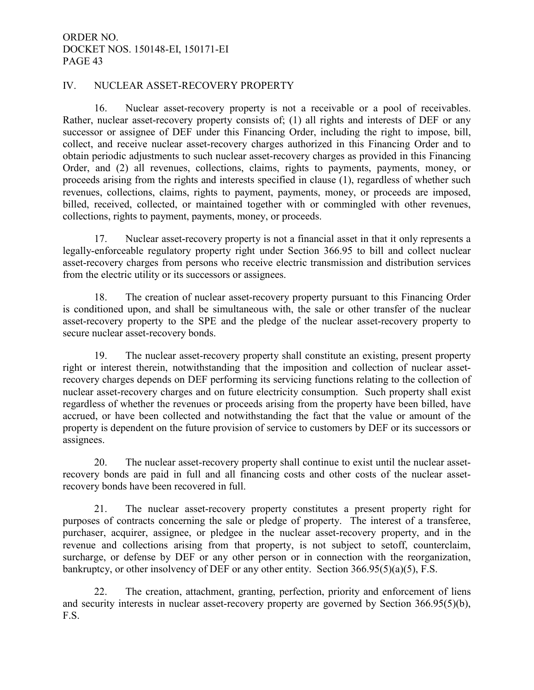#### IV. NUCLEAR ASSET-RECOVERY PROPERTY

 16. Nuclear asset-recovery property is not a receivable or a pool of receivables. Rather, nuclear asset-recovery property consists of; (1) all rights and interests of DEF or any successor or assignee of DEF under this Financing Order, including the right to impose, bill, collect, and receive nuclear asset-recovery charges authorized in this Financing Order and to obtain periodic adjustments to such nuclear asset-recovery charges as provided in this Financing Order, and (2) all revenues, collections, claims, rights to payments, payments, money, or proceeds arising from the rights and interests specified in clause (1), regardless of whether such revenues, collections, claims, rights to payment, payments, money, or proceeds are imposed, billed, received, collected, or maintained together with or commingled with other revenues, collections, rights to payment, payments, money, or proceeds.

17. Nuclear asset-recovery property is not a financial asset in that it only represents a legally-enforceable regulatory property right under Section 366.95 to bill and collect nuclear asset-recovery charges from persons who receive electric transmission and distribution services from the electric utility or its successors or assignees.

 18. The creation of nuclear asset-recovery property pursuant to this Financing Order is conditioned upon, and shall be simultaneous with, the sale or other transfer of the nuclear asset-recovery property to the SPE and the pledge of the nuclear asset-recovery property to secure nuclear asset-recovery bonds.

 19. The nuclear asset-recovery property shall constitute an existing, present property right or interest therein, notwithstanding that the imposition and collection of nuclear assetrecovery charges depends on DEF performing its servicing functions relating to the collection of nuclear asset-recovery charges and on future electricity consumption. Such property shall exist regardless of whether the revenues or proceeds arising from the property have been billed, have accrued, or have been collected and notwithstanding the fact that the value or amount of the property is dependent on the future provision of service to customers by DEF or its successors or assignees.

 20. The nuclear asset-recovery property shall continue to exist until the nuclear assetrecovery bonds are paid in full and all financing costs and other costs of the nuclear assetrecovery bonds have been recovered in full.

 21. The nuclear asset-recovery property constitutes a present property right for purposes of contracts concerning the sale or pledge of property. The interest of a transferee, purchaser, acquirer, assignee, or pledgee in the nuclear asset-recovery property, and in the revenue and collections arising from that property, is not subject to setoff, counterclaim, surcharge, or defense by DEF or any other person or in connection with the reorganization, bankruptcy, or other insolvency of DEF or any other entity. Section 366.95(5)(a)(5), F.S.

 22. The creation, attachment, granting, perfection, priority and enforcement of liens and security interests in nuclear asset-recovery property are governed by Section 366.95(5)(b), F.S.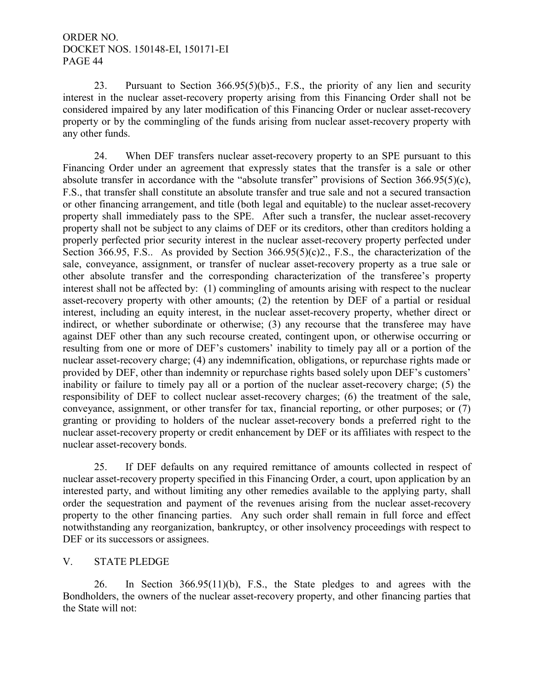23. Pursuant to Section 366.95(5)(b)5., F.S., the priority of any lien and security interest in the nuclear asset-recovery property arising from this Financing Order shall not be considered impaired by any later modification of this Financing Order or nuclear asset-recovery property or by the commingling of the funds arising from nuclear asset-recovery property with any other funds.

 24. When DEF transfers nuclear asset-recovery property to an SPE pursuant to this Financing Order under an agreement that expressly states that the transfer is a sale or other absolute transfer in accordance with the "absolute transfer" provisions of Section 366.95(5)(c), F.S., that transfer shall constitute an absolute transfer and true sale and not a secured transaction or other financing arrangement, and title (both legal and equitable) to the nuclear asset-recovery property shall immediately pass to the SPE. After such a transfer, the nuclear asset-recovery property shall not be subject to any claims of DEF or its creditors, other than creditors holding a properly perfected prior security interest in the nuclear asset-recovery property perfected under Section 366.95, F.S.. As provided by Section 366.95(5)(c)2., F.S., the characterization of the sale, conveyance, assignment, or transfer of nuclear asset-recovery property as a true sale or other absolute transfer and the corresponding characterization of the transferee's property interest shall not be affected by: (1) commingling of amounts arising with respect to the nuclear asset-recovery property with other amounts; (2) the retention by DEF of a partial or residual interest, including an equity interest, in the nuclear asset-recovery property, whether direct or indirect, or whether subordinate or otherwise; (3) any recourse that the transferee may have against DEF other than any such recourse created, contingent upon, or otherwise occurring or resulting from one or more of DEF's customers' inability to timely pay all or a portion of the nuclear asset-recovery charge; (4) any indemnification, obligations, or repurchase rights made or provided by DEF, other than indemnity or repurchase rights based solely upon DEF's customers' inability or failure to timely pay all or a portion of the nuclear asset-recovery charge; (5) the responsibility of DEF to collect nuclear asset-recovery charges; (6) the treatment of the sale, conveyance, assignment, or other transfer for tax, financial reporting, or other purposes; or (7) granting or providing to holders of the nuclear asset-recovery bonds a preferred right to the nuclear asset-recovery property or credit enhancement by DEF or its affiliates with respect to the nuclear asset-recovery bonds.

 25. If DEF defaults on any required remittance of amounts collected in respect of nuclear asset-recovery property specified in this Financing Order, a court, upon application by an interested party, and without limiting any other remedies available to the applying party, shall order the sequestration and payment of the revenues arising from the nuclear asset-recovery property to the other financing parties. Any such order shall remain in full force and effect notwithstanding any reorganization, bankruptcy, or other insolvency proceedings with respect to DEF or its successors or assignees.

### V. STATE PLEDGE

 26. In Section 366.95(11)(b), F.S., the State pledges to and agrees with the Bondholders, the owners of the nuclear asset-recovery property, and other financing parties that the State will not: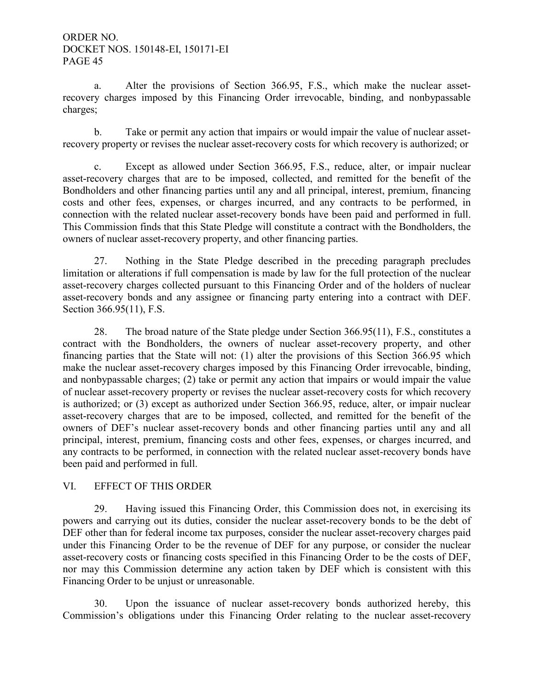a. Alter the provisions of Section 366.95, F.S., which make the nuclear assetrecovery charges imposed by this Financing Order irrevocable, binding, and nonbypassable charges;

 b. Take or permit any action that impairs or would impair the value of nuclear assetrecovery property or revises the nuclear asset-recovery costs for which recovery is authorized; or

c. Except as allowed under Section 366.95, F.S., reduce, alter, or impair nuclear asset-recovery charges that are to be imposed, collected, and remitted for the benefit of the Bondholders and other financing parties until any and all principal, interest, premium, financing costs and other fees, expenses, or charges incurred, and any contracts to be performed, in connection with the related nuclear asset-recovery bonds have been paid and performed in full. This Commission finds that this State Pledge will constitute a contract with the Bondholders, the owners of nuclear asset-recovery property, and other financing parties.

 27. Nothing in the State Pledge described in the preceding paragraph precludes limitation or alterations if full compensation is made by law for the full protection of the nuclear asset-recovery charges collected pursuant to this Financing Order and of the holders of nuclear asset-recovery bonds and any assignee or financing party entering into a contract with DEF. Section 366.95(11), F.S.

 28. The broad nature of the State pledge under Section 366.95(11), F.S., constitutes a contract with the Bondholders, the owners of nuclear asset-recovery property, and other financing parties that the State will not: (1) alter the provisions of this Section 366.95 which make the nuclear asset-recovery charges imposed by this Financing Order irrevocable, binding, and nonbypassable charges; (2) take or permit any action that impairs or would impair the value of nuclear asset-recovery property or revises the nuclear asset-recovery costs for which recovery is authorized; or (3) except as authorized under Section 366.95, reduce, alter, or impair nuclear asset-recovery charges that are to be imposed, collected, and remitted for the benefit of the owners of DEF's nuclear asset-recovery bonds and other financing parties until any and all principal, interest, premium, financing costs and other fees, expenses, or charges incurred, and any contracts to be performed, in connection with the related nuclear asset-recovery bonds have been paid and performed in full.

### VI. EFFECT OF THIS ORDER

 29. Having issued this Financing Order, this Commission does not, in exercising its powers and carrying out its duties, consider the nuclear asset-recovery bonds to be the debt of DEF other than for federal income tax purposes, consider the nuclear asset-recovery charges paid under this Financing Order to be the revenue of DEF for any purpose, or consider the nuclear asset-recovery costs or financing costs specified in this Financing Order to be the costs of DEF, nor may this Commission determine any action taken by DEF which is consistent with this Financing Order to be unjust or unreasonable.

 30. Upon the issuance of nuclear asset-recovery bonds authorized hereby, this Commission's obligations under this Financing Order relating to the nuclear asset-recovery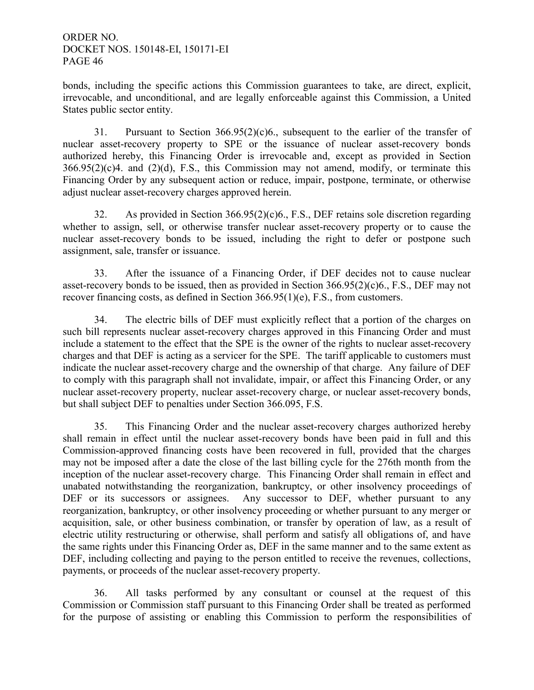bonds, including the specific actions this Commission guarantees to take, are direct, explicit, irrevocable, and unconditional, and are legally enforceable against this Commission, a United States public sector entity.

 31. Pursuant to Section 366.95(2)(c)6., subsequent to the earlier of the transfer of nuclear asset-recovery property to SPE or the issuance of nuclear asset-recovery bonds authorized hereby, this Financing Order is irrevocable and, except as provided in Section  $366.95(2)(c)4$ . and  $(2)(d)$ , F.S., this Commission may not amend, modify, or terminate this Financing Order by any subsequent action or reduce, impair, postpone, terminate, or otherwise adjust nuclear asset-recovery charges approved herein.

 32. As provided in Section 366.95(2)(c)6., F.S., DEF retains sole discretion regarding whether to assign, sell, or otherwise transfer nuclear asset-recovery property or to cause the nuclear asset-recovery bonds to be issued, including the right to defer or postpone such assignment, sale, transfer or issuance.

33. After the issuance of a Financing Order, if DEF decides not to cause nuclear asset-recovery bonds to be issued, then as provided in Section 366.95(2)(c)6., F.S., DEF may not recover financing costs, as defined in Section 366.95(1)(e), F.S., from customers.

 34. The electric bills of DEF must explicitly reflect that a portion of the charges on such bill represents nuclear asset-recovery charges approved in this Financing Order and must include a statement to the effect that the SPE is the owner of the rights to nuclear asset-recovery charges and that DEF is acting as a servicer for the SPE. The tariff applicable to customers must indicate the nuclear asset-recovery charge and the ownership of that charge. Any failure of DEF to comply with this paragraph shall not invalidate, impair, or affect this Financing Order, or any nuclear asset-recovery property, nuclear asset-recovery charge, or nuclear asset-recovery bonds, but shall subject DEF to penalties under Section 366.095, F.S.

 35. This Financing Order and the nuclear asset-recovery charges authorized hereby shall remain in effect until the nuclear asset-recovery bonds have been paid in full and this Commission-approved financing costs have been recovered in full, provided that the charges may not be imposed after a date the close of the last billing cycle for the 276th month from the inception of the nuclear asset-recovery charge. This Financing Order shall remain in effect and unabated notwithstanding the reorganization, bankruptcy, or other insolvency proceedings of DEF or its successors or assignees. Any successor to DEF, whether pursuant to any reorganization, bankruptcy, or other insolvency proceeding or whether pursuant to any merger or acquisition, sale, or other business combination, or transfer by operation of law, as a result of electric utility restructuring or otherwise, shall perform and satisfy all obligations of, and have the same rights under this Financing Order as, DEF in the same manner and to the same extent as DEF, including collecting and paying to the person entitled to receive the revenues, collections, payments, or proceeds of the nuclear asset-recovery property.

 36. All tasks performed by any consultant or counsel at the request of this Commission or Commission staff pursuant to this Financing Order shall be treated as performed for the purpose of assisting or enabling this Commission to perform the responsibilities of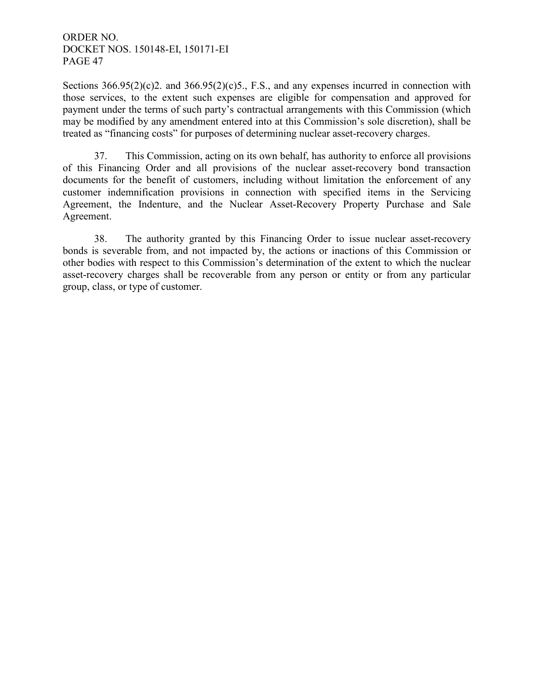Sections  $366.95(2)(c)$ 2. and  $366.95(2)(c)$ 5., F.S., and any expenses incurred in connection with those services, to the extent such expenses are eligible for compensation and approved for payment under the terms of such party's contractual arrangements with this Commission (which may be modified by any amendment entered into at this Commission's sole discretion), shall be treated as "financing costs" for purposes of determining nuclear asset-recovery charges.

 37. This Commission, acting on its own behalf, has authority to enforce all provisions of this Financing Order and all provisions of the nuclear asset-recovery bond transaction documents for the benefit of customers, including without limitation the enforcement of any customer indemnification provisions in connection with specified items in the Servicing Agreement, the Indenture, and the Nuclear Asset-Recovery Property Purchase and Sale Agreement.

 38. The authority granted by this Financing Order to issue nuclear asset-recovery bonds is severable from, and not impacted by, the actions or inactions of this Commission or other bodies with respect to this Commission's determination of the extent to which the nuclear asset-recovery charges shall be recoverable from any person or entity or from any particular group, class, or type of customer.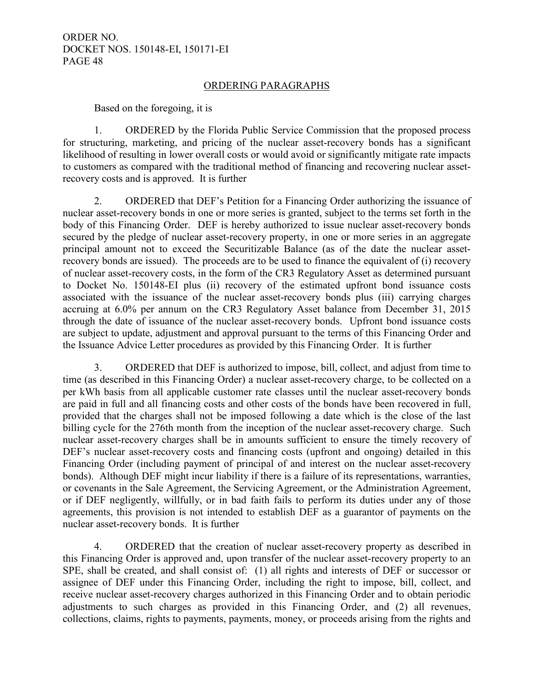#### ORDERING PARAGRAPHS

Based on the foregoing, it is

1. ORDERED by the Florida Public Service Commission that the proposed process for structuring, marketing, and pricing of the nuclear asset-recovery bonds has a significant likelihood of resulting in lower overall costs or would avoid or significantly mitigate rate impacts to customers as compared with the traditional method of financing and recovering nuclear assetrecovery costs and is approved. It is further

2. ORDERED that DEF's Petition for a Financing Order authorizing the issuance of nuclear asset-recovery bonds in one or more series is granted, subject to the terms set forth in the body of this Financing Order. DEF is hereby authorized to issue nuclear asset-recovery bonds secured by the pledge of nuclear asset-recovery property, in one or more series in an aggregate principal amount not to exceed the Securitizable Balance (as of the date the nuclear assetrecovery bonds are issued). The proceeds are to be used to finance the equivalent of (i) recovery of nuclear asset-recovery costs, in the form of the CR3 Regulatory Asset as determined pursuant to Docket No. 150148-EI plus (ii) recovery of the estimated upfront bond issuance costs associated with the issuance of the nuclear asset-recovery bonds plus (iii) carrying charges accruing at 6.0% per annum on the CR3 Regulatory Asset balance from December 31, 2015 through the date of issuance of the nuclear asset-recovery bonds. Upfront bond issuance costs are subject to update, adjustment and approval pursuant to the terms of this Financing Order and the Issuance Advice Letter procedures as provided by this Financing Order. It is further

3. ORDERED that DEF is authorized to impose, bill, collect, and adjust from time to time (as described in this Financing Order) a nuclear asset-recovery charge, to be collected on a per kWh basis from all applicable customer rate classes until the nuclear asset-recovery bonds are paid in full and all financing costs and other costs of the bonds have been recovered in full, provided that the charges shall not be imposed following a date which is the close of the last billing cycle for the 276th month from the inception of the nuclear asset-recovery charge. Such nuclear asset-recovery charges shall be in amounts sufficient to ensure the timely recovery of DEF's nuclear asset-recovery costs and financing costs (upfront and ongoing) detailed in this Financing Order (including payment of principal of and interest on the nuclear asset-recovery bonds). Although DEF might incur liability if there is a failure of its representations, warranties, or covenants in the Sale Agreement, the Servicing Agreement, or the Administration Agreement, or if DEF negligently, willfully, or in bad faith fails to perform its duties under any of those agreements, this provision is not intended to establish DEF as a guarantor of payments on the nuclear asset-recovery bonds. It is further

4. ORDERED that the creation of nuclear asset-recovery property as described in this Financing Order is approved and, upon transfer of the nuclear asset-recovery property to an SPE, shall be created, and shall consist of: (1) all rights and interests of DEF or successor or assignee of DEF under this Financing Order, including the right to impose, bill, collect, and receive nuclear asset-recovery charges authorized in this Financing Order and to obtain periodic adjustments to such charges as provided in this Financing Order, and (2) all revenues, collections, claims, rights to payments, payments, money, or proceeds arising from the rights and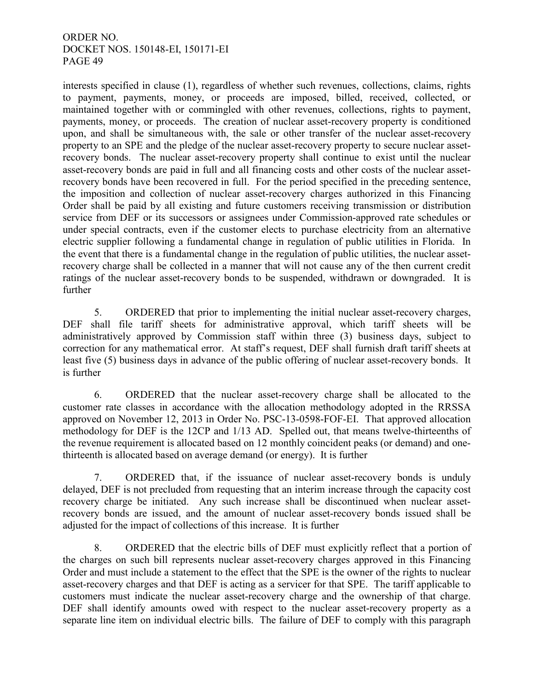interests specified in clause (1), regardless of whether such revenues, collections, claims, rights to payment, payments, money, or proceeds are imposed, billed, received, collected, or maintained together with or commingled with other revenues, collections, rights to payment, payments, money, or proceeds. The creation of nuclear asset-recovery property is conditioned upon, and shall be simultaneous with, the sale or other transfer of the nuclear asset-recovery property to an SPE and the pledge of the nuclear asset-recovery property to secure nuclear assetrecovery bonds. The nuclear asset-recovery property shall continue to exist until the nuclear asset-recovery bonds are paid in full and all financing costs and other costs of the nuclear assetrecovery bonds have been recovered in full. For the period specified in the preceding sentence, the imposition and collection of nuclear asset-recovery charges authorized in this Financing Order shall be paid by all existing and future customers receiving transmission or distribution service from DEF or its successors or assignees under Commission-approved rate schedules or under special contracts, even if the customer elects to purchase electricity from an alternative electric supplier following a fundamental change in regulation of public utilities in Florida. In the event that there is a fundamental change in the regulation of public utilities, the nuclear assetrecovery charge shall be collected in a manner that will not cause any of the then current credit ratings of the nuclear asset-recovery bonds to be suspended, withdrawn or downgraded. It is further

5. ORDERED that prior to implementing the initial nuclear asset-recovery charges, DEF shall file tariff sheets for administrative approval, which tariff sheets will be administratively approved by Commission staff within three (3) business days, subject to correction for any mathematical error. At staff's request, DEF shall furnish draft tariff sheets at least five (5) business days in advance of the public offering of nuclear asset-recovery bonds. It is further

6. ORDERED that the nuclear asset-recovery charge shall be allocated to the customer rate classes in accordance with the allocation methodology adopted in the RRSSA approved on November 12, 2013 in Order No. PSC-13-0598-FOF-EI. That approved allocation methodology for DEF is the 12CP and 1/13 AD. Spelled out, that means twelve-thirteenths of the revenue requirement is allocated based on 12 monthly coincident peaks (or demand) and onethirteenth is allocated based on average demand (or energy). It is further

7. ORDERED that, if the issuance of nuclear asset-recovery bonds is unduly delayed, DEF is not precluded from requesting that an interim increase through the capacity cost recovery charge be initiated. Any such increase shall be discontinued when nuclear assetrecovery bonds are issued, and the amount of nuclear asset-recovery bonds issued shall be adjusted for the impact of collections of this increase. It is further

8. ORDERED that the electric bills of DEF must explicitly reflect that a portion of the charges on such bill represents nuclear asset-recovery charges approved in this Financing Order and must include a statement to the effect that the SPE is the owner of the rights to nuclear asset-recovery charges and that DEF is acting as a servicer for that SPE. The tariff applicable to customers must indicate the nuclear asset-recovery charge and the ownership of that charge. DEF shall identify amounts owed with respect to the nuclear asset-recovery property as a separate line item on individual electric bills. The failure of DEF to comply with this paragraph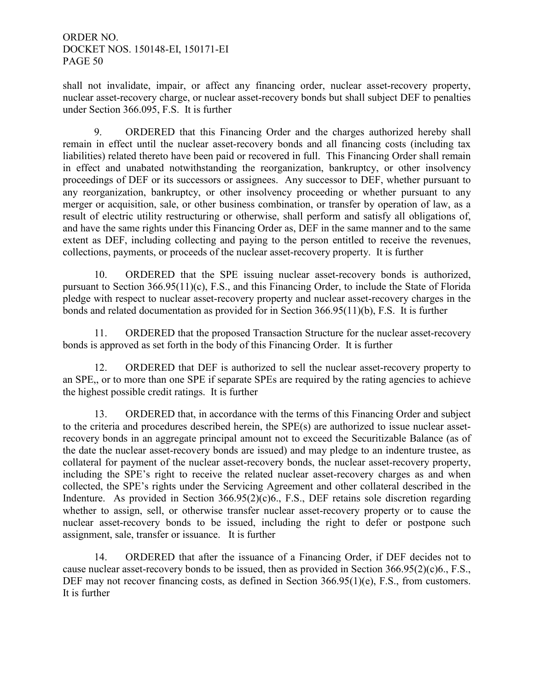shall not invalidate, impair, or affect any financing order, nuclear asset-recovery property, nuclear asset-recovery charge, or nuclear asset-recovery bonds but shall subject DEF to penalties under Section 366.095, F.S. It is further

9. ORDERED that this Financing Order and the charges authorized hereby shall remain in effect until the nuclear asset-recovery bonds and all financing costs (including tax liabilities) related thereto have been paid or recovered in full. This Financing Order shall remain in effect and unabated notwithstanding the reorganization, bankruptcy, or other insolvency proceedings of DEF or its successors or assignees. Any successor to DEF, whether pursuant to any reorganization, bankruptcy, or other insolvency proceeding or whether pursuant to any merger or acquisition, sale, or other business combination, or transfer by operation of law, as a result of electric utility restructuring or otherwise, shall perform and satisfy all obligations of, and have the same rights under this Financing Order as, DEF in the same manner and to the same extent as DEF, including collecting and paying to the person entitled to receive the revenues, collections, payments, or proceeds of the nuclear asset-recovery property. It is further

10. ORDERED that the SPE issuing nuclear asset-recovery bonds is authorized, pursuant to Section 366.95(11)(c), F.S., and this Financing Order, to include the State of Florida pledge with respect to nuclear asset-recovery property and nuclear asset-recovery charges in the bonds and related documentation as provided for in Section 366.95(11)(b), F.S. It is further

11. ORDERED that the proposed Transaction Structure for the nuclear asset-recovery bonds is approved as set forth in the body of this Financing Order. It is further

12. ORDERED that DEF is authorized to sell the nuclear asset-recovery property to an SPE,, or to more than one SPE if separate SPEs are required by the rating agencies to achieve the highest possible credit ratings. It is further

13. ORDERED that, in accordance with the terms of this Financing Order and subject to the criteria and procedures described herein, the SPE(s) are authorized to issue nuclear assetrecovery bonds in an aggregate principal amount not to exceed the Securitizable Balance (as of the date the nuclear asset-recovery bonds are issued) and may pledge to an indenture trustee, as collateral for payment of the nuclear asset-recovery bonds, the nuclear asset-recovery property, including the SPE's right to receive the related nuclear asset-recovery charges as and when collected, the SPE's rights under the Servicing Agreement and other collateral described in the Indenture. As provided in Section 366.95(2)(c)6., F.S., DEF retains sole discretion regarding whether to assign, sell, or otherwise transfer nuclear asset-recovery property or to cause the nuclear asset-recovery bonds to be issued, including the right to defer or postpone such assignment, sale, transfer or issuance. It is further

14. ORDERED that after the issuance of a Financing Order, if DEF decides not to cause nuclear asset-recovery bonds to be issued, then as provided in Section  $366.95(2)(e)6$ ., F.S., DEF may not recover financing costs, as defined in Section 366.95(1)(e), F.S., from customers. It is further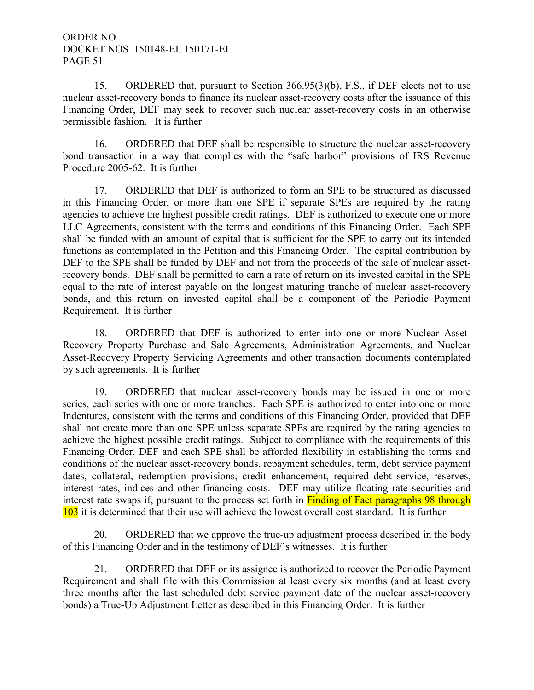15. ORDERED that, pursuant to Section 366.95(3)(b), F.S., if DEF elects not to use nuclear asset-recovery bonds to finance its nuclear asset-recovery costs after the issuance of this Financing Order, DEF may seek to recover such nuclear asset-recovery costs in an otherwise permissible fashion. It is further

16. ORDERED that DEF shall be responsible to structure the nuclear asset-recovery bond transaction in a way that complies with the "safe harbor" provisions of IRS Revenue Procedure 2005-62. It is further

17. ORDERED that DEF is authorized to form an SPE to be structured as discussed in this Financing Order, or more than one SPE if separate SPEs are required by the rating agencies to achieve the highest possible credit ratings. DEF is authorized to execute one or more LLC Agreements, consistent with the terms and conditions of this Financing Order. Each SPE shall be funded with an amount of capital that is sufficient for the SPE to carry out its intended functions as contemplated in the Petition and this Financing Order. The capital contribution by DEF to the SPE shall be funded by DEF and not from the proceeds of the sale of nuclear assetrecovery bonds. DEF shall be permitted to earn a rate of return on its invested capital in the SPE equal to the rate of interest payable on the longest maturing tranche of nuclear asset-recovery bonds, and this return on invested capital shall be a component of the Periodic Payment Requirement. It is further

18. ORDERED that DEF is authorized to enter into one or more Nuclear Asset-Recovery Property Purchase and Sale Agreements, Administration Agreements, and Nuclear Asset-Recovery Property Servicing Agreements and other transaction documents contemplated by such agreements. It is further

19. ORDERED that nuclear asset-recovery bonds may be issued in one or more series, each series with one or more tranches. Each SPE is authorized to enter into one or more Indentures, consistent with the terms and conditions of this Financing Order, provided that DEF shall not create more than one SPE unless separate SPEs are required by the rating agencies to achieve the highest possible credit ratings. Subject to compliance with the requirements of this Financing Order, DEF and each SPE shall be afforded flexibility in establishing the terms and conditions of the nuclear asset-recovery bonds, repayment schedules, term, debt service payment dates, collateral, redemption provisions, credit enhancement, required debt service, reserves, interest rates, indices and other financing costs. DEF may utilize floating rate securities and interest rate swaps if, pursuant to the process set forth in Finding of Fact paragraphs 98 through 103 it is determined that their use will achieve the lowest overall cost standard. It is further

20. ORDERED that we approve the true-up adjustment process described in the body of this Financing Order and in the testimony of DEF's witnesses. It is further

21. ORDERED that DEF or its assignee is authorized to recover the Periodic Payment Requirement and shall file with this Commission at least every six months (and at least every three months after the last scheduled debt service payment date of the nuclear asset-recovery bonds) a True-Up Adjustment Letter as described in this Financing Order. It is further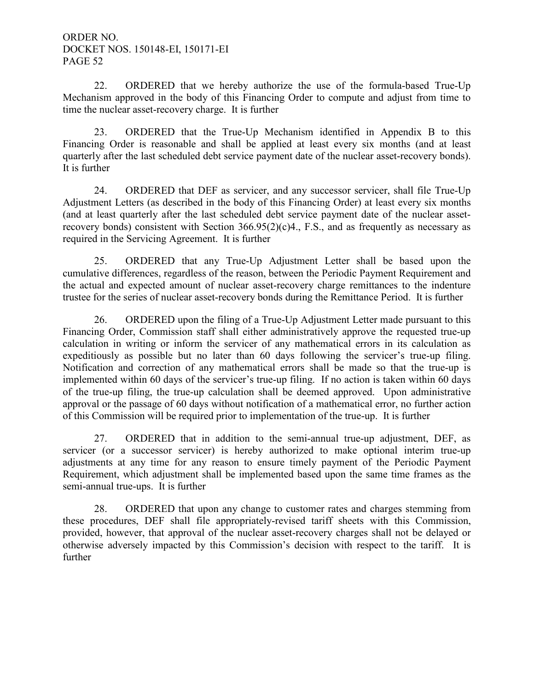22. ORDERED that we hereby authorize the use of the formula-based True-Up Mechanism approved in the body of this Financing Order to compute and adjust from time to time the nuclear asset-recovery charge. It is further

23. ORDERED that the True-Up Mechanism identified in Appendix B to this Financing Order is reasonable and shall be applied at least every six months (and at least quarterly after the last scheduled debt service payment date of the nuclear asset-recovery bonds). It is further

24. ORDERED that DEF as servicer, and any successor servicer, shall file True-Up Adjustment Letters (as described in the body of this Financing Order) at least every six months (and at least quarterly after the last scheduled debt service payment date of the nuclear assetrecovery bonds) consistent with Section  $366.95(2)(c)4$ ., F.S., and as frequently as necessary as required in the Servicing Agreement. It is further

25. ORDERED that any True-Up Adjustment Letter shall be based upon the cumulative differences, regardless of the reason, between the Periodic Payment Requirement and the actual and expected amount of nuclear asset-recovery charge remittances to the indenture trustee for the series of nuclear asset-recovery bonds during the Remittance Period. It is further

26. ORDERED upon the filing of a True-Up Adjustment Letter made pursuant to this Financing Order, Commission staff shall either administratively approve the requested true-up calculation in writing or inform the servicer of any mathematical errors in its calculation as expeditiously as possible but no later than 60 days following the servicer's true-up filing. Notification and correction of any mathematical errors shall be made so that the true-up is implemented within 60 days of the servicer's true-up filing. If no action is taken within 60 days of the true-up filing, the true-up calculation shall be deemed approved. Upon administrative approval or the passage of 60 days without notification of a mathematical error, no further action of this Commission will be required prior to implementation of the true-up. It is further

27. ORDERED that in addition to the semi-annual true-up adjustment, DEF, as servicer (or a successor servicer) is hereby authorized to make optional interim true-up adjustments at any time for any reason to ensure timely payment of the Periodic Payment Requirement, which adjustment shall be implemented based upon the same time frames as the semi-annual true-ups. It is further

28. ORDERED that upon any change to customer rates and charges stemming from these procedures, DEF shall file appropriately-revised tariff sheets with this Commission, provided, however, that approval of the nuclear asset-recovery charges shall not be delayed or otherwise adversely impacted by this Commission's decision with respect to the tariff. It is further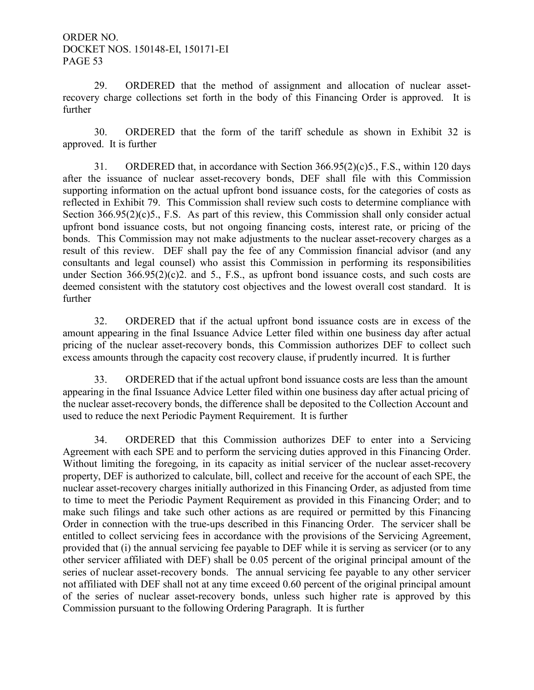29. ORDERED that the method of assignment and allocation of nuclear assetrecovery charge collections set forth in the body of this Financing Order is approved. It is further

30. ORDERED that the form of the tariff schedule as shown in Exhibit 32 is approved. It is further

31. ORDERED that, in accordance with Section 366.95(2)(c)5., F.S., within 120 days after the issuance of nuclear asset-recovery bonds, DEF shall file with this Commission supporting information on the actual upfront bond issuance costs, for the categories of costs as reflected in Exhibit 79. This Commission shall review such costs to determine compliance with Section 366.95(2)(c)5., F.S. As part of this review, this Commission shall only consider actual upfront bond issuance costs, but not ongoing financing costs, interest rate, or pricing of the bonds. This Commission may not make adjustments to the nuclear asset-recovery charges as a result of this review. DEF shall pay the fee of any Commission financial advisor (and any consultants and legal counsel) who assist this Commission in performing its responsibilities under Section  $366.95(2)(c)$ , and 5., F.S., as upfront bond issuance costs, and such costs are deemed consistent with the statutory cost objectives and the lowest overall cost standard. It is further

32. ORDERED that if the actual upfront bond issuance costs are in excess of the amount appearing in the final Issuance Advice Letter filed within one business day after actual pricing of the nuclear asset-recovery bonds, this Commission authorizes DEF to collect such excess amounts through the capacity cost recovery clause, if prudently incurred. It is further

 33. ORDERED that if the actual upfront bond issuance costs are less than the amount appearing in the final Issuance Advice Letter filed within one business day after actual pricing of the nuclear asset-recovery bonds, the difference shall be deposited to the Collection Account and used to reduce the next Periodic Payment Requirement. It is further

 34. ORDERED that this Commission authorizes DEF to enter into a Servicing Agreement with each SPE and to perform the servicing duties approved in this Financing Order. Without limiting the foregoing, in its capacity as initial servicer of the nuclear asset-recovery property, DEF is authorized to calculate, bill, collect and receive for the account of each SPE, the nuclear asset-recovery charges initially authorized in this Financing Order, as adjusted from time to time to meet the Periodic Payment Requirement as provided in this Financing Order; and to make such filings and take such other actions as are required or permitted by this Financing Order in connection with the true-ups described in this Financing Order. The servicer shall be entitled to collect servicing fees in accordance with the provisions of the Servicing Agreement, provided that (i) the annual servicing fee payable to DEF while it is serving as servicer (or to any other servicer affiliated with DEF) shall be 0.05 percent of the original principal amount of the series of nuclear asset-recovery bonds. The annual servicing fee payable to any other servicer not affiliated with DEF shall not at any time exceed 0.60 percent of the original principal amount of the series of nuclear asset-recovery bonds, unless such higher rate is approved by this Commission pursuant to the following Ordering Paragraph. It is further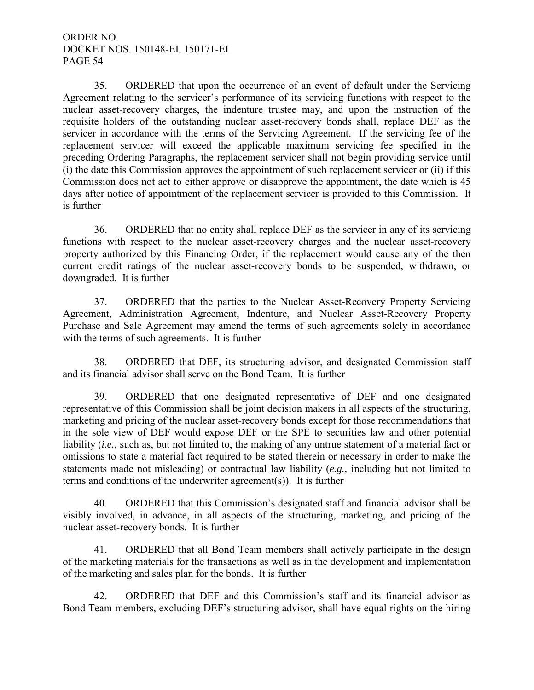35. ORDERED that upon the occurrence of an event of default under the Servicing Agreement relating to the servicer's performance of its servicing functions with respect to the nuclear asset-recovery charges, the indenture trustee may, and upon the instruction of the requisite holders of the outstanding nuclear asset-recovery bonds shall, replace DEF as the servicer in accordance with the terms of the Servicing Agreement. If the servicing fee of the replacement servicer will exceed the applicable maximum servicing fee specified in the preceding Ordering Paragraphs, the replacement servicer shall not begin providing service until (i) the date this Commission approves the appointment of such replacement servicer or (ii) if this Commission does not act to either approve or disapprove the appointment, the date which is 45 days after notice of appointment of the replacement servicer is provided to this Commission. It is further

 36. ORDERED that no entity shall replace DEF as the servicer in any of its servicing functions with respect to the nuclear asset-recovery charges and the nuclear asset-recovery property authorized by this Financing Order, if the replacement would cause any of the then current credit ratings of the nuclear asset-recovery bonds to be suspended, withdrawn, or downgraded. It is further

 37. ORDERED that the parties to the Nuclear Asset-Recovery Property Servicing Agreement, Administration Agreement, Indenture, and Nuclear Asset-Recovery Property Purchase and Sale Agreement may amend the terms of such agreements solely in accordance with the terms of such agreements. It is further

38. ORDERED that DEF, its structuring advisor, and designated Commission staff and its financial advisor shall serve on the Bond Team. It is further

39. ORDERED that one designated representative of DEF and one designated representative of this Commission shall be joint decision makers in all aspects of the structuring, marketing and pricing of the nuclear asset-recovery bonds except for those recommendations that in the sole view of DEF would expose DEF or the SPE to securities law and other potential liability *(i.e.,* such as, but not limited to, the making of any untrue statement of a material fact or omissions to state a material fact required to be stated therein or necessary in order to make the statements made not misleading) or contractual law liability (*e.g.,* including but not limited to terms and conditions of the underwriter agreement(s)). It is further

40. ORDERED that this Commission's designated staff and financial advisor shall be visibly involved, in advance, in all aspects of the structuring, marketing, and pricing of the nuclear asset-recovery bonds. It is further

41. ORDERED that all Bond Team members shall actively participate in the design of the marketing materials for the transactions as well as in the development and implementation of the marketing and sales plan for the bonds. It is further

42. ORDERED that DEF and this Commission's staff and its financial advisor as Bond Team members, excluding DEF's structuring advisor, shall have equal rights on the hiring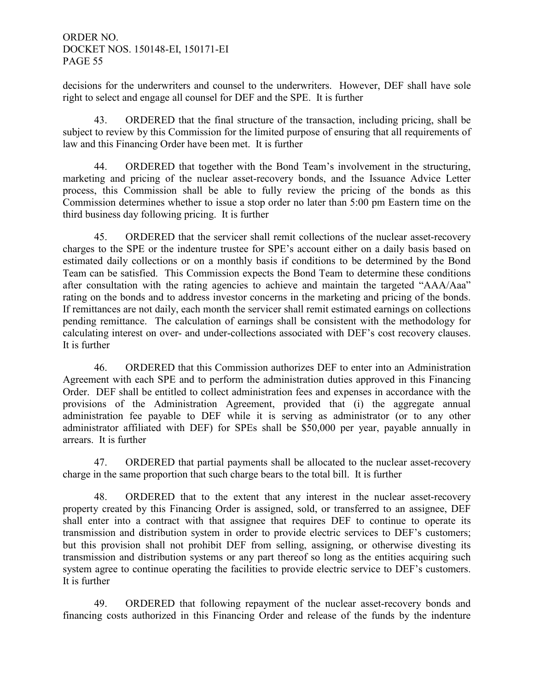decisions for the underwriters and counsel to the underwriters. However, DEF shall have sole right to select and engage all counsel for DEF and the SPE. It is further

43. ORDERED that the final structure of the transaction, including pricing, shall be subject to review by this Commission for the limited purpose of ensuring that all requirements of law and this Financing Order have been met. It is further

 44. ORDERED that together with the Bond Team's involvement in the structuring, marketing and pricing of the nuclear asset-recovery bonds, and the Issuance Advice Letter process, this Commission shall be able to fully review the pricing of the bonds as this Commission determines whether to issue a stop order no later than 5:00 pm Eastern time on the third business day following pricing. It is further

 45. ORDERED that the servicer shall remit collections of the nuclear asset-recovery charges to the SPE or the indenture trustee for SPE's account either on a daily basis based on estimated daily collections or on a monthly basis if conditions to be determined by the Bond Team can be satisfied. This Commission expects the Bond Team to determine these conditions after consultation with the rating agencies to achieve and maintain the targeted "AAA/Aaa" rating on the bonds and to address investor concerns in the marketing and pricing of the bonds. If remittances are not daily, each month the servicer shall remit estimated earnings on collections pending remittance. The calculation of earnings shall be consistent with the methodology for calculating interest on over- and under-collections associated with DEF's cost recovery clauses. It is further

 46. ORDERED that this Commission authorizes DEF to enter into an Administration Agreement with each SPE and to perform the administration duties approved in this Financing Order. DEF shall be entitled to collect administration fees and expenses in accordance with the provisions of the Administration Agreement, provided that (i) the aggregate annual administration fee payable to DEF while it is serving as administrator (or to any other administrator affiliated with DEF) for SPEs shall be \$50,000 per year, payable annually in arrears. It is further

 47. ORDERED that partial payments shall be allocated to the nuclear asset-recovery charge in the same proportion that such charge bears to the total bill. It is further

 48. ORDERED that to the extent that any interest in the nuclear asset-recovery property created by this Financing Order is assigned, sold, or transferred to an assignee, DEF shall enter into a contract with that assignee that requires DEF to continue to operate its transmission and distribution system in order to provide electric services to DEF's customers; but this provision shall not prohibit DEF from selling, assigning, or otherwise divesting its transmission and distribution systems or any part thereof so long as the entities acquiring such system agree to continue operating the facilities to provide electric service to DEF's customers. It is further

 49. ORDERED that following repayment of the nuclear asset-recovery bonds and financing costs authorized in this Financing Order and release of the funds by the indenture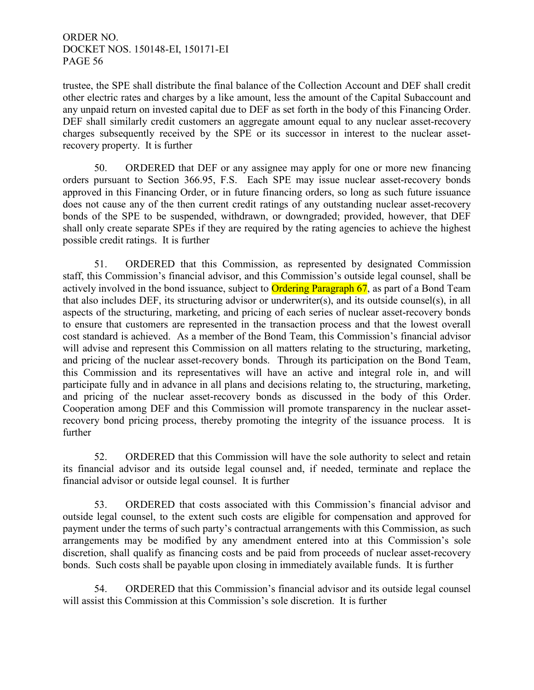trustee, the SPE shall distribute the final balance of the Collection Account and DEF shall credit other electric rates and charges by a like amount, less the amount of the Capital Subaccount and any unpaid return on invested capital due to DEF as set forth in the body of this Financing Order. DEF shall similarly credit customers an aggregate amount equal to any nuclear asset-recovery charges subsequently received by the SPE or its successor in interest to the nuclear assetrecovery property. It is further

 50. ORDERED that DEF or any assignee may apply for one or more new financing orders pursuant to Section 366.95, F.S. Each SPE may issue nuclear asset-recovery bonds approved in this Financing Order, or in future financing orders, so long as such future issuance does not cause any of the then current credit ratings of any outstanding nuclear asset-recovery bonds of the SPE to be suspended, withdrawn, or downgraded; provided, however, that DEF shall only create separate SPEs if they are required by the rating agencies to achieve the highest possible credit ratings. It is further

 51. ORDERED that this Commission, as represented by designated Commission staff, this Commission's financial advisor, and this Commission's outside legal counsel, shall be actively involved in the bond issuance, subject to **Ordering Paragraph 67**, as part of a Bond Team that also includes DEF, its structuring advisor or underwriter(s), and its outside counsel(s), in all aspects of the structuring, marketing, and pricing of each series of nuclear asset-recovery bonds to ensure that customers are represented in the transaction process and that the lowest overall cost standard is achieved. As a member of the Bond Team, this Commission's financial advisor will advise and represent this Commission on all matters relating to the structuring, marketing, and pricing of the nuclear asset-recovery bonds. Through its participation on the Bond Team, this Commission and its representatives will have an active and integral role in, and will participate fully and in advance in all plans and decisions relating to, the structuring, marketing, and pricing of the nuclear asset-recovery bonds as discussed in the body of this Order. Cooperation among DEF and this Commission will promote transparency in the nuclear assetrecovery bond pricing process, thereby promoting the integrity of the issuance process. It is further

 52. ORDERED that this Commission will have the sole authority to select and retain its financial advisor and its outside legal counsel and, if needed, terminate and replace the financial advisor or outside legal counsel. It is further

 53. ORDERED that costs associated with this Commission's financial advisor and outside legal counsel, to the extent such costs are eligible for compensation and approved for payment under the terms of such party's contractual arrangements with this Commission, as such arrangements may be modified by any amendment entered into at this Commission's sole discretion, shall qualify as financing costs and be paid from proceeds of nuclear asset-recovery bonds. Such costs shall be payable upon closing in immediately available funds. It is further

 54. ORDERED that this Commission's financial advisor and its outside legal counsel will assist this Commission at this Commission's sole discretion. It is further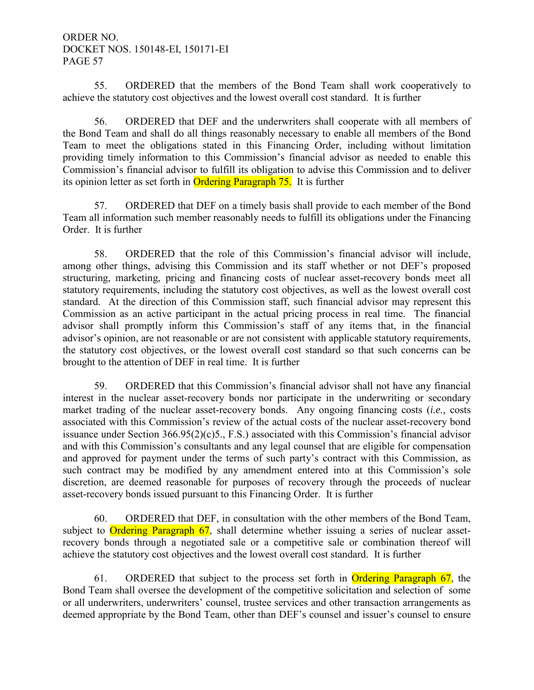55. ORDERED that the members of the Bond Team shall work cooperatively to achieve the statutory cost objectives and the lowest overall cost standard. It is further

 56. ORDERED that DEF and the underwriters shall cooperate with all members of the Bond Team and shall do all things reasonably necessary to enable all members of the Bond Team to meet the obligations stated in this Financing Order, including without limitation providing timely information to this Commission's financial advisor as needed to enable this Commission's financial advisor to fulfill its obligation to advise this Commission and to deliver its opinion letter as set forth in Ordering Paragraph 75. It is further

 57. ORDERED that DEF on a timely basis shall provide to each member of the Bond Team all information such member reasonably needs to fulfill its obligations under the Financing Order. It is further

 58. ORDERED that the role of this Commission's financial advisor will include, among other things, advising this Commission and its staff whether or not DEF's proposed structuring, marketing, pricing and financing costs of nuclear asset-recovery bonds meet all statutory requirements, including the statutory cost objectives, as well as the lowest overall cost standard. At the direction of this Commission staff, such financial advisor may represent this Commission as an active participant in the actual pricing process in real time. The financial advisor shall promptly inform this Commission's staff of any items that, in the financial advisor's opinion, are not reasonable or are not consistent with applicable statutory requirements, the statutory cost objectives, or the lowest overall cost standard so that such concerns can be brought to the attention of DEF in real time. It is further

 59. ORDERED that this Commission's financial advisor shall not have any financial interest in the nuclear asset-recovery bonds nor participate in the underwriting or secondary market trading of the nuclear asset-recovery bonds. Any ongoing financing costs (*i.e.,* costs associated with this Commission's review of the actual costs of the nuclear asset-recovery bond issuance under Section 366.95(2)(c)5., F.S.) associated with this Commission's financial advisor and with this Commission's consultants and any legal counsel that are eligible for compensation and approved for payment under the terms of such party's contract with this Commission, as such contract may be modified by any amendment entered into at this Commission's sole discretion, are deemed reasonable for purposes of recovery through the proceeds of nuclear asset-recovery bonds issued pursuant to this Financing Order. It is further

 60. ORDERED that DEF, in consultation with the other members of the Bond Team, subject to Ordering Paragraph 67, shall determine whether issuing a series of nuclear assetrecovery bonds through a negotiated sale or a competitive sale or combination thereof will achieve the statutory cost objectives and the lowest overall cost standard. It is further

 61. ORDERED that subject to the process set forth in Ordering Paragraph 67, the Bond Team shall oversee the development of the competitive solicitation and selection of some or all underwriters, underwriters' counsel, trustee services and other transaction arrangements as deemed appropriate by the Bond Team, other than DEF's counsel and issuer's counsel to ensure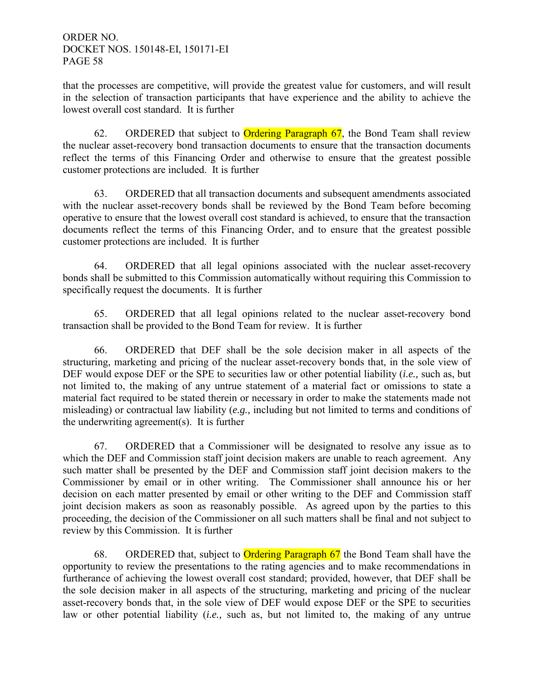that the processes are competitive, will provide the greatest value for customers, and will result in the selection of transaction participants that have experience and the ability to achieve the lowest overall cost standard. It is further

62. ORDERED that subject to **Ordering Paragraph 67**, the Bond Team shall review the nuclear asset-recovery bond transaction documents to ensure that the transaction documents reflect the terms of this Financing Order and otherwise to ensure that the greatest possible customer protections are included. It is further

 63. ORDERED that all transaction documents and subsequent amendments associated with the nuclear asset-recovery bonds shall be reviewed by the Bond Team before becoming operative to ensure that the lowest overall cost standard is achieved, to ensure that the transaction documents reflect the terms of this Financing Order, and to ensure that the greatest possible customer protections are included. It is further

 64. ORDERED that all legal opinions associated with the nuclear asset-recovery bonds shall be submitted to this Commission automatically without requiring this Commission to specifically request the documents. It is further

 65. ORDERED that all legal opinions related to the nuclear asset-recovery bond transaction shall be provided to the Bond Team for review. It is further

 66. ORDERED that DEF shall be the sole decision maker in all aspects of the structuring, marketing and pricing of the nuclear asset-recovery bonds that, in the sole view of DEF would expose DEF or the SPE to securities law or other potential liability (*i.e.,* such as, but not limited to, the making of any untrue statement of a material fact or omissions to state a material fact required to be stated therein or necessary in order to make the statements made not misleading) or contractual law liability (*e.g.,* including but not limited to terms and conditions of the underwriting agreement(s). It is further

 67. ORDERED that a Commissioner will be designated to resolve any issue as to which the DEF and Commission staff joint decision makers are unable to reach agreement. Any such matter shall be presented by the DEF and Commission staff joint decision makers to the Commissioner by email or in other writing. The Commissioner shall announce his or her decision on each matter presented by email or other writing to the DEF and Commission staff joint decision makers as soon as reasonably possible. As agreed upon by the parties to this proceeding, the decision of the Commissioner on all such matters shall be final and not subject to review by this Commission. It is further

68. ORDERED that, subject to **Ordering Paragraph 67** the Bond Team shall have the opportunity to review the presentations to the rating agencies and to make recommendations in furtherance of achieving the lowest overall cost standard; provided, however, that DEF shall be the sole decision maker in all aspects of the structuring, marketing and pricing of the nuclear asset-recovery bonds that, in the sole view of DEF would expose DEF or the SPE to securities law or other potential liability (*i.e.,* such as, but not limited to, the making of any untrue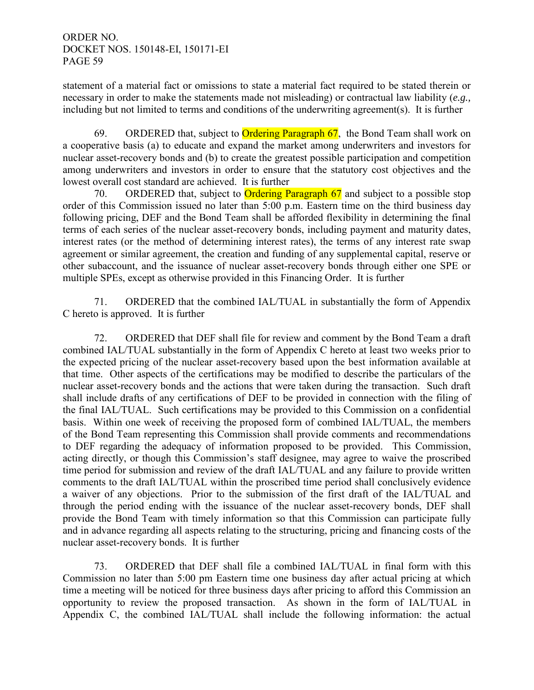statement of a material fact or omissions to state a material fact required to be stated therein or necessary in order to make the statements made not misleading) or contractual law liability (*e.g.,*  including but not limited to terms and conditions of the underwriting agreement(s). It is further

69. ORDERED that, subject to **Ordering Paragraph 67**, the Bond Team shall work on a cooperative basis (a) to educate and expand the market among underwriters and investors for nuclear asset-recovery bonds and (b) to create the greatest possible participation and competition among underwriters and investors in order to ensure that the statutory cost objectives and the lowest overall cost standard are achieved. It is further

70. ORDERED that, subject to **Ordering Paragraph 67** and subject to a possible stop order of this Commission issued no later than 5:00 p.m. Eastern time on the third business day following pricing, DEF and the Bond Team shall be afforded flexibility in determining the final terms of each series of the nuclear asset-recovery bonds, including payment and maturity dates, interest rates (or the method of determining interest rates), the terms of any interest rate swap agreement or similar agreement, the creation and funding of any supplemental capital, reserve or other subaccount, and the issuance of nuclear asset-recovery bonds through either one SPE or multiple SPEs, except as otherwise provided in this Financing Order. It is further

 71. ORDERED that the combined IAL/TUAL in substantially the form of Appendix C hereto is approved. It is further

 72. ORDERED that DEF shall file for review and comment by the Bond Team a draft combined IAL/TUAL substantially in the form of Appendix C hereto at least two weeks prior to the expected pricing of the nuclear asset-recovery based upon the best information available at that time. Other aspects of the certifications may be modified to describe the particulars of the nuclear asset-recovery bonds and the actions that were taken during the transaction. Such draft shall include drafts of any certifications of DEF to be provided in connection with the filing of the final IAL/TUAL. Such certifications may be provided to this Commission on a confidential basis. Within one week of receiving the proposed form of combined IAL/TUAL, the members of the Bond Team representing this Commission shall provide comments and recommendations to DEF regarding the adequacy of information proposed to be provided. This Commission, acting directly, or though this Commission's staff designee, may agree to waive the proscribed time period for submission and review of the draft IAL/TUAL and any failure to provide written comments to the draft IAL/TUAL within the proscribed time period shall conclusively evidence a waiver of any objections. Prior to the submission of the first draft of the IAL/TUAL and through the period ending with the issuance of the nuclear asset-recovery bonds, DEF shall provide the Bond Team with timely information so that this Commission can participate fully and in advance regarding all aspects relating to the structuring, pricing and financing costs of the nuclear asset-recovery bonds. It is further

 73. ORDERED that DEF shall file a combined IAL/TUAL in final form with this Commission no later than 5:00 pm Eastern time one business day after actual pricing at which time a meeting will be noticed for three business days after pricing to afford this Commission an opportunity to review the proposed transaction. As shown in the form of IAL/TUAL in Appendix C, the combined IAL/TUAL shall include the following information: the actual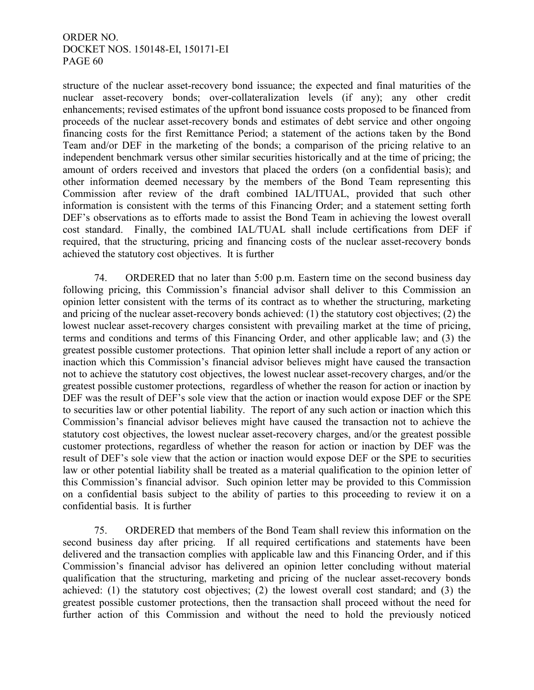structure of the nuclear asset-recovery bond issuance; the expected and final maturities of the nuclear asset-recovery bonds; over-collateralization levels (if any); any other credit enhancements; revised estimates of the upfront bond issuance costs proposed to be financed from proceeds of the nuclear asset-recovery bonds and estimates of debt service and other ongoing financing costs for the first Remittance Period; a statement of the actions taken by the Bond Team and/or DEF in the marketing of the bonds; a comparison of the pricing relative to an independent benchmark versus other similar securities historically and at the time of pricing; the amount of orders received and investors that placed the orders (on a confidential basis); and other information deemed necessary by the members of the Bond Team representing this Commission after review of the draft combined IAL/ITUAL, provided that such other information is consistent with the terms of this Financing Order; and a statement setting forth DEF's observations as to efforts made to assist the Bond Team in achieving the lowest overall cost standard. Finally, the combined IAL/TUAL shall include certifications from DEF if required, that the structuring, pricing and financing costs of the nuclear asset-recovery bonds achieved the statutory cost objectives. It is further

 74. ORDERED that no later than 5:00 p.m. Eastern time on the second business day following pricing, this Commission's financial advisor shall deliver to this Commission an opinion letter consistent with the terms of its contract as to whether the structuring, marketing and pricing of the nuclear asset-recovery bonds achieved: (1) the statutory cost objectives; (2) the lowest nuclear asset-recovery charges consistent with prevailing market at the time of pricing, terms and conditions and terms of this Financing Order, and other applicable law; and (3) the greatest possible customer protections. That opinion letter shall include a report of any action or inaction which this Commission's financial advisor believes might have caused the transaction not to achieve the statutory cost objectives, the lowest nuclear asset-recovery charges, and/or the greatest possible customer protections, regardless of whether the reason for action or inaction by DEF was the result of DEF's sole view that the action or inaction would expose DEF or the SPE to securities law or other potential liability. The report of any such action or inaction which this Commission's financial advisor believes might have caused the transaction not to achieve the statutory cost objectives, the lowest nuclear asset-recovery charges, and/or the greatest possible customer protections, regardless of whether the reason for action or inaction by DEF was the result of DEF's sole view that the action or inaction would expose DEF or the SPE to securities law or other potential liability shall be treated as a material qualification to the opinion letter of this Commission's financial advisor. Such opinion letter may be provided to this Commission on a confidential basis subject to the ability of parties to this proceeding to review it on a confidential basis. It is further

 75. ORDERED that members of the Bond Team shall review this information on the second business day after pricing. If all required certifications and statements have been delivered and the transaction complies with applicable law and this Financing Order, and if this Commission's financial advisor has delivered an opinion letter concluding without material qualification that the structuring, marketing and pricing of the nuclear asset-recovery bonds achieved: (1) the statutory cost objectives; (2) the lowest overall cost standard; and (3) the greatest possible customer protections, then the transaction shall proceed without the need for further action of this Commission and without the need to hold the previously noticed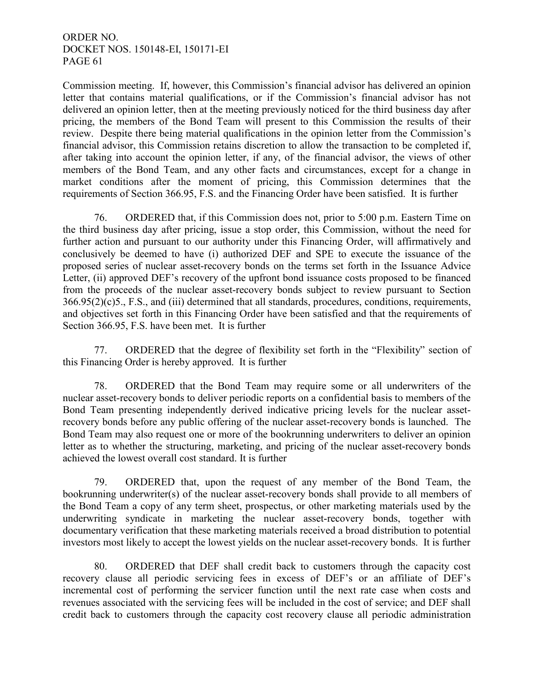Commission meeting. If, however, this Commission's financial advisor has delivered an opinion letter that contains material qualifications, or if the Commission's financial advisor has not delivered an opinion letter, then at the meeting previously noticed for the third business day after pricing, the members of the Bond Team will present to this Commission the results of their review. Despite there being material qualifications in the opinion letter from the Commission's financial advisor, this Commission retains discretion to allow the transaction to be completed if, after taking into account the opinion letter, if any, of the financial advisor, the views of other members of the Bond Team, and any other facts and circumstances, except for a change in market conditions after the moment of pricing, this Commission determines that the requirements of Section 366.95, F.S. and the Financing Order have been satisfied. It is further

 76. ORDERED that, if this Commission does not, prior to 5:00 p.m. Eastern Time on the third business day after pricing, issue a stop order, this Commission, without the need for further action and pursuant to our authority under this Financing Order, will affirmatively and conclusively be deemed to have (i) authorized DEF and SPE to execute the issuance of the proposed series of nuclear asset-recovery bonds on the terms set forth in the Issuance Advice Letter, (ii) approved DEF's recovery of the upfront bond issuance costs proposed to be financed from the proceeds of the nuclear asset-recovery bonds subject to review pursuant to Section 366.95(2)(c)5., F.S., and (iii) determined that all standards, procedures, conditions, requirements, and objectives set forth in this Financing Order have been satisfied and that the requirements of Section 366.95, F.S. have been met. It is further

 77. ORDERED that the degree of flexibility set forth in the "Flexibility" section of this Financing Order is hereby approved. It is further

 78. ORDERED that the Bond Team may require some or all underwriters of the nuclear asset-recovery bonds to deliver periodic reports on a confidential basis to members of the Bond Team presenting independently derived indicative pricing levels for the nuclear assetrecovery bonds before any public offering of the nuclear asset-recovery bonds is launched. The Bond Team may also request one or more of the bookrunning underwriters to deliver an opinion letter as to whether the structuring, marketing, and pricing of the nuclear asset-recovery bonds achieved the lowest overall cost standard. It is further

 79. ORDERED that, upon the request of any member of the Bond Team, the bookrunning underwriter(s) of the nuclear asset-recovery bonds shall provide to all members of the Bond Team a copy of any term sheet, prospectus, or other marketing materials used by the underwriting syndicate in marketing the nuclear asset-recovery bonds, together with documentary verification that these marketing materials received a broad distribution to potential investors most likely to accept the lowest yields on the nuclear asset-recovery bonds. It is further

80. ORDERED that DEF shall credit back to customers through the capacity cost recovery clause all periodic servicing fees in excess of DEF's or an affiliate of DEF's incremental cost of performing the servicer function until the next rate case when costs and revenues associated with the servicing fees will be included in the cost of service; and DEF shall credit back to customers through the capacity cost recovery clause all periodic administration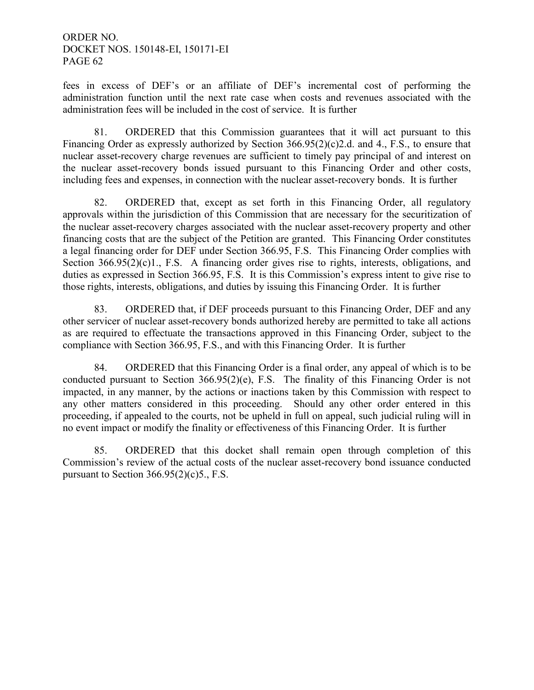fees in excess of DEF's or an affiliate of DEF's incremental cost of performing the administration function until the next rate case when costs and revenues associated with the administration fees will be included in the cost of service. It is further

81. ORDERED that this Commission guarantees that it will act pursuant to this Financing Order as expressly authorized by Section 366.95(2)(c)2.d. and 4., F.S., to ensure that nuclear asset-recovery charge revenues are sufficient to timely pay principal of and interest on the nuclear asset-recovery bonds issued pursuant to this Financing Order and other costs, including fees and expenses, in connection with the nuclear asset-recovery bonds. It is further

82. ORDERED that, except as set forth in this Financing Order, all regulatory approvals within the jurisdiction of this Commission that are necessary for the securitization of the nuclear asset-recovery charges associated with the nuclear asset-recovery property and other financing costs that are the subject of the Petition are granted. This Financing Order constitutes a legal financing order for DEF under Section 366.95, F.S. This Financing Order complies with Section 366.95(2)(c)1., F.S. A financing order gives rise to rights, interests, obligations, and duties as expressed in Section 366.95, F.S. It is this Commission's express intent to give rise to those rights, interests, obligations, and duties by issuing this Financing Order. It is further

83. ORDERED that, if DEF proceeds pursuant to this Financing Order, DEF and any other servicer of nuclear asset-recovery bonds authorized hereby are permitted to take all actions as are required to effectuate the transactions approved in this Financing Order, subject to the compliance with Section 366.95, F.S., and with this Financing Order. It is further

84. ORDERED that this Financing Order is a final order, any appeal of which is to be conducted pursuant to Section 366.95(2)(e), F.S. The finality of this Financing Order is not impacted, in any manner, by the actions or inactions taken by this Commission with respect to any other matters considered in this proceeding. Should any other order entered in this proceeding, if appealed to the courts, not be upheld in full on appeal, such judicial ruling will in no event impact or modify the finality or effectiveness of this Financing Order. It is further

85. ORDERED that this docket shall remain open through completion of this Commission's review of the actual costs of the nuclear asset-recovery bond issuance conducted pursuant to Section  $366.95(2)(c)5$ ., F.S.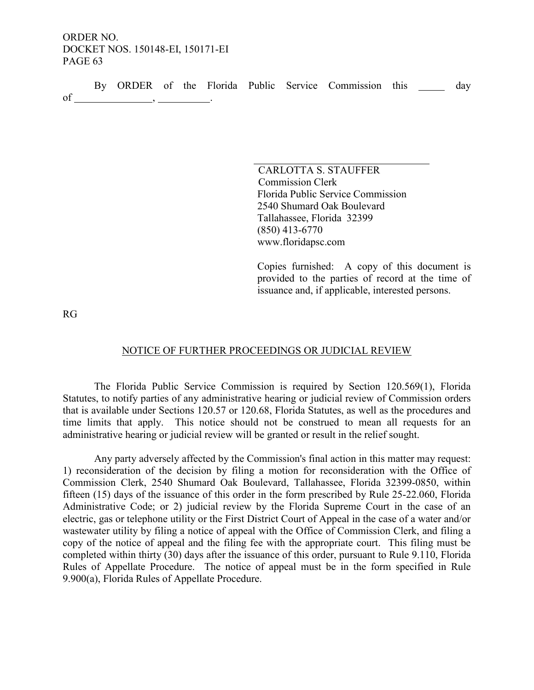|    |  |  |  | By ORDER of the Florida Public Service Commission this |  | dav |
|----|--|--|--|--------------------------------------------------------|--|-----|
| of |  |  |  |                                                        |  |     |

CARLOTTA S. STAUFFER Commission Clerk Florida Public Service Commission 2540 Shumard Oak Boulevard Tallahassee, Florida 32399 (850) 413-6770 www.floridapsc.com

Copies furnished: A copy of this document is provided to the parties of record at the time of issuance and, if applicable, interested persons.

RG

#### NOTICE OF FURTHER PROCEEDINGS OR JUDICIAL REVIEW

The Florida Public Service Commission is required by Section 120.569(1), Florida Statutes, to notify parties of any administrative hearing or judicial review of Commission orders that is available under Sections 120.57 or 120.68, Florida Statutes, as well as the procedures and time limits that apply. This notice should not be construed to mean all requests for an administrative hearing or judicial review will be granted or result in the relief sought.

Any party adversely affected by the Commission's final action in this matter may request: 1) reconsideration of the decision by filing a motion for reconsideration with the Office of Commission Clerk, 2540 Shumard Oak Boulevard, Tallahassee, Florida 32399-0850, within fifteen (15) days of the issuance of this order in the form prescribed by Rule 25-22.060, Florida Administrative Code; or 2) judicial review by the Florida Supreme Court in the case of an electric, gas or telephone utility or the First District Court of Appeal in the case of a water and/or wastewater utility by filing a notice of appeal with the Office of Commission Clerk, and filing a copy of the notice of appeal and the filing fee with the appropriate court. This filing must be completed within thirty (30) days after the issuance of this order, pursuant to Rule 9.110, Florida Rules of Appellate Procedure. The notice of appeal must be in the form specified in Rule 9.900(a), Florida Rules of Appellate Procedure.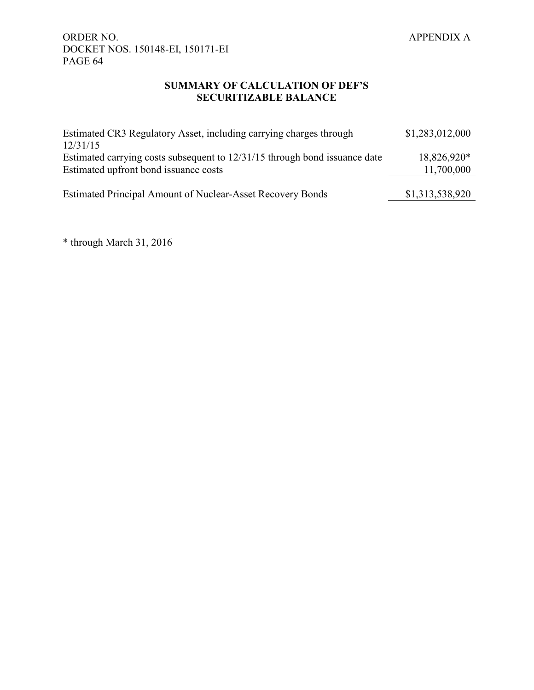## **SUMMARY OF CALCULATION OF DEF'S SECURITIZABLE BALANCE**

| Estimated CR3 Regulatory Asset, including carrying charges through<br>12/31/15                                      | \$1,283,012,000           |
|---------------------------------------------------------------------------------------------------------------------|---------------------------|
| Estimated carrying costs subsequent to 12/31/15 through bond issuance date<br>Estimated upfront bond issuance costs | 18,826,920*<br>11,700,000 |
| <b>Estimated Principal Amount of Nuclear-Asset Recovery Bonds</b>                                                   | \$1,313,538,920           |

\* through March 31, 2016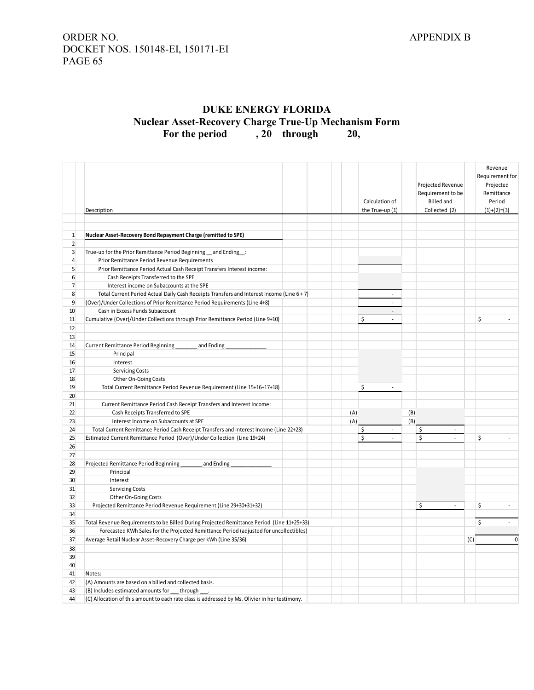## ORDER NO. APPENDIX B DOCKET NOS. 150148-EI, 150171-EI PAGE 65

## **DUKE ENERGY FLORIDA Nuclear Asset-Recovery Charge True-Up Mechanism Form** For the period , 20 through

|                | Description                                                                                    |     | Calculation of<br>the True-up (1) |     | Projected Revenue<br>Requirement to be<br><b>Billed</b> and<br>Collected (2) |     | Revenue<br>Requirement for<br>Projected<br>Remittance<br>Period<br>$(1)+(2)=(3)$ |
|----------------|------------------------------------------------------------------------------------------------|-----|-----------------------------------|-----|------------------------------------------------------------------------------|-----|----------------------------------------------------------------------------------|
|                |                                                                                                |     |                                   |     |                                                                              |     |                                                                                  |
| $\mathbf{1}$   | Nuclear Asset-Recovery Bond Repayment Charge (remitted to SPE)                                 |     |                                   |     |                                                                              |     |                                                                                  |
| $\overline{2}$ |                                                                                                |     |                                   |     |                                                                              |     |                                                                                  |
| 3              | True-up for the Prior Remittance Period Beginning _and Ending _:                               |     |                                   |     |                                                                              |     |                                                                                  |
| 4              | Prior Remittance Period Revenue Requirements                                                   |     |                                   |     |                                                                              |     |                                                                                  |
| 5              | Prior Remittance Period Actual Cash Receipt Transfers Interest income:                         |     |                                   |     |                                                                              |     |                                                                                  |
| 6              | Cash Receipts Transferred to the SPE                                                           |     |                                   |     |                                                                              |     |                                                                                  |
| $\overline{7}$ | Interest income on Subaccounts at the SPE                                                      |     |                                   |     |                                                                              |     |                                                                                  |
| 8              | Total Current Period Actual Daily Cash Receipts Transfers and Interest Income (Line 6 + 7)     |     | $\mathcal{L}_{\mathcal{A}}$       |     |                                                                              |     |                                                                                  |
| $\overline{9}$ | (Over)/Under Collections of Prior Remittance Period Requirements (Line 4+8)                    |     | $\mathcal{L}_{\mathcal{A}}$       |     |                                                                              |     |                                                                                  |
| 10             | Cash in Excess Funds Subaccount                                                                |     | $\mathbf{r}$                      |     |                                                                              |     |                                                                                  |
| 11             | Cumulative (Over)/Under Collections through Prior Remittance Period (Line 9+10)                |     | \$<br>$\sim$                      |     |                                                                              |     | \$<br>$\sim$                                                                     |
| 12             |                                                                                                |     |                                   |     |                                                                              |     |                                                                                  |
| 13             |                                                                                                |     |                                   |     |                                                                              |     |                                                                                  |
| 14             | Current Remittance Period Beginning<br>and Ending                                              |     |                                   |     |                                                                              |     |                                                                                  |
| 15             | Principal                                                                                      |     |                                   |     |                                                                              |     |                                                                                  |
| 16             | Interest                                                                                       |     |                                   |     |                                                                              |     |                                                                                  |
| 17             | <b>Servicing Costs</b>                                                                         |     |                                   |     |                                                                              |     |                                                                                  |
| 18             | Other On-Going Costs                                                                           |     |                                   |     |                                                                              |     |                                                                                  |
| 19             | Total Current Remittance Period Revenue Requirement (Line 15+16+17+18)                         |     | \$<br>$\sim$                      |     |                                                                              |     |                                                                                  |
| 20             |                                                                                                |     |                                   |     |                                                                              |     |                                                                                  |
| 21             | Current Remittance Period Cash Receipt Transfers and Interest Income:                          |     |                                   |     |                                                                              |     |                                                                                  |
| 22             | Cash Receipts Transferred to SPE                                                               | (A) |                                   | (B) |                                                                              |     |                                                                                  |
| 23             | Interest Income on Subaccounts at SPE                                                          | (A) |                                   | (B) |                                                                              |     |                                                                                  |
| 24             | Total Current Remittance Period Cash Receipt Transfers and Interest Income (Line 22+23)        |     | \$<br>$\overline{\phantom{a}}$    |     | \$<br>ä,                                                                     |     |                                                                                  |
| 25             | Estimated Current Remittance Period (Over)/Under Collection (Line 19+24)                       |     | $\sf S$<br>$\overline{a}$         |     | $\mathsf{\hat{S}}$<br>$\overline{a}$                                         |     | \$                                                                               |
| 26             |                                                                                                |     |                                   |     |                                                                              |     |                                                                                  |
| 27             |                                                                                                |     |                                   |     |                                                                              |     |                                                                                  |
| 28             | Projected Remittance Period Beginning<br>and Ending                                            |     |                                   |     |                                                                              |     |                                                                                  |
| 29             | Principal                                                                                      |     |                                   |     |                                                                              |     |                                                                                  |
| 30             | Interest                                                                                       |     |                                   |     |                                                                              |     |                                                                                  |
| 31             | <b>Servicing Costs</b>                                                                         |     |                                   |     |                                                                              |     |                                                                                  |
| 32             | Other On-Going Costs                                                                           |     |                                   |     |                                                                              |     |                                                                                  |
| 33             | Projected Remittance Period Revenue Requirement (Line 29+30+31+32)                             |     |                                   |     | \$<br>$\overline{\phantom{a}}$                                               |     | \$                                                                               |
| 34             |                                                                                                |     |                                   |     |                                                                              |     |                                                                                  |
| 35             | Total Revenue Requirements to be Billed During Projected Remittance Period (Line 11+25+33)     |     |                                   |     |                                                                              |     | \$                                                                               |
| 36             | Forecasted KWh Sales for the Projected Remittance Period (adjusted for uncollectibles)         |     |                                   |     |                                                                              |     |                                                                                  |
| 37             | Average Retail Nuclear Asset-Recovery Charge per kWh (Line 35/36)                              |     |                                   |     |                                                                              | (C) | $\mathbf 0$                                                                      |
| 38             |                                                                                                |     |                                   |     |                                                                              |     |                                                                                  |
| 39             |                                                                                                |     |                                   |     |                                                                              |     |                                                                                  |
| 40             |                                                                                                |     |                                   |     |                                                                              |     |                                                                                  |
| 41             | Notes:                                                                                         |     |                                   |     |                                                                              |     |                                                                                  |
| 42             | (A) Amounts are based on a billed and collected basis.                                         |     |                                   |     |                                                                              |     |                                                                                  |
| 43<br>44       | (B) Includes estimated amounts for through.                                                    |     |                                   |     |                                                                              |     |                                                                                  |
|                | (C) Allocation of this amount to each rate class is addressed by Ms. Olivier in her testimony. |     |                                   |     |                                                                              |     |                                                                                  |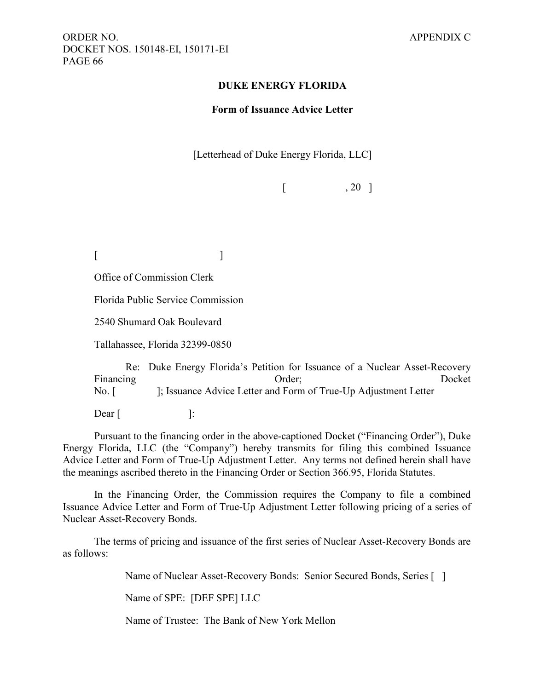#### **DUKE ENERGY FLORIDA**

#### **Form of Issuance Advice Letter**

[Letterhead of Duke Energy Florida, LLC]

 $\begin{bmatrix} 1 & 20 \end{bmatrix}$ 

 $[$ 

Office of Commission Clerk

Florida Public Service Commission

2540 Shumard Oak Boulevard

Tallahassee, Florida 32399-0850

Re: Duke Energy Florida's Petition for Issuance of a Nuclear Asset-Recovery Financing Docket Docket No. [ ]; Issuance Advice Letter and Form of True-Up Adjustment Letter

 $\text{Dear}$  [ ]:

Pursuant to the financing order in the above-captioned Docket ("Financing Order"), Duke Energy Florida, LLC (the "Company") hereby transmits for filing this combined Issuance Advice Letter and Form of True-Up Adjustment Letter. Any terms not defined herein shall have the meanings ascribed thereto in the Financing Order or Section 366.95, Florida Statutes.

In the Financing Order, the Commission requires the Company to file a combined Issuance Advice Letter and Form of True-Up Adjustment Letter following pricing of a series of Nuclear Asset-Recovery Bonds.

The terms of pricing and issuance of the first series of Nuclear Asset-Recovery Bonds are as follows:

Name of Nuclear Asset-Recovery Bonds: Senior Secured Bonds, Series [ ]

Name of SPE: [DEF SPE] LLC

Name of Trustee: The Bank of New York Mellon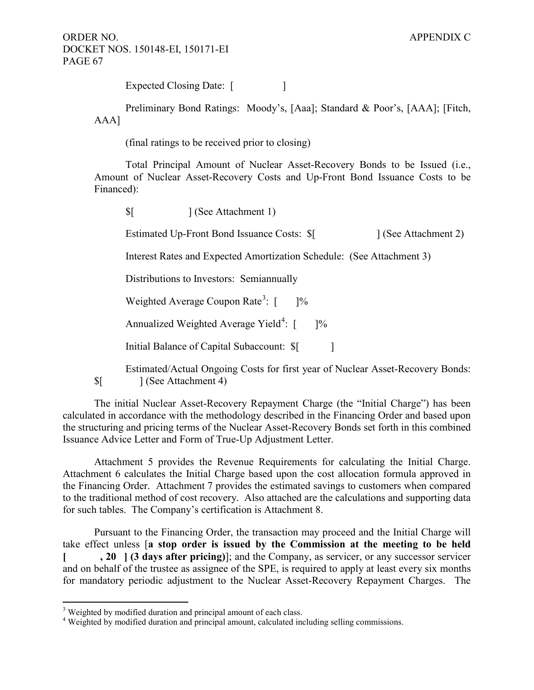Expected Closing Date: [

Preliminary Bond Ratings: Moody's, [Aaa]; Standard & Poor's, [AAA]; [Fitch, AAA]

(final ratings to be received prior to closing)

Total Principal Amount of Nuclear Asset-Recovery Bonds to be Issued (i.e., Amount of Nuclear Asset-Recovery Costs and Up-Front Bond Issuance Costs to be Financed):

Estimated Up-Front Bond Issuance Costs: \$[ ] (See Attachment 2)

Interest Rates and Expected Amortization Schedule: (See Attachment 3)

Distributions to Investors: Semiannually

\$[ ] (See Attachment 1)

Weighted Average Coupon Rate<sup>[3](#page-3-0)</sup>:  $\lceil$  $1\%$ 

Annualized Weighted Average Yield<sup>[4](#page-67-0)</sup>:  $\lceil$  $] %$ 

Initial Balance of Capital Subaccount:  $\{\$ 

Estimated/Actual Ongoing Costs for first year of Nuclear Asset-Recovery Bonds: \$[ ] (See Attachment 4)

The initial Nuclear Asset-Recovery Repayment Charge (the "Initial Charge") has been calculated in accordance with the methodology described in the Financing Order and based upon the structuring and pricing terms of the Nuclear Asset-Recovery Bonds set forth in this combined Issuance Advice Letter and Form of True-Up Adjustment Letter.

Attachment 5 provides the Revenue Requirements for calculating the Initial Charge. Attachment 6 calculates the Initial Charge based upon the cost allocation formula approved in the Financing Order. Attachment 7 provides the estimated savings to customers when compared to the traditional method of cost recovery. Also attached are the calculations and supporting data for such tables. The Company's certification is Attachment 8.

Pursuant to the Financing Order, the transaction may proceed and the Initial Charge will take effect unless [**a stop order is issued by the Commission at the meeting to be held [ , 20 ] (3 days after pricing)**]; and the Company, as servicer, or any successor servicer and on behalf of the trustee as assignee of the SPE, is required to apply at least every six months for mandatory periodic adjustment to the Nuclear Asset-Recovery Repayment Charges. The

 $\overline{a}$ 

<sup>&</sup>lt;sup>3</sup> Weighted by modified duration and principal amount of each class.

<span id="page-67-0"></span><sup>&</sup>lt;sup>4</sup> Weighted by modified duration and principal amount, calculated including selling commissions.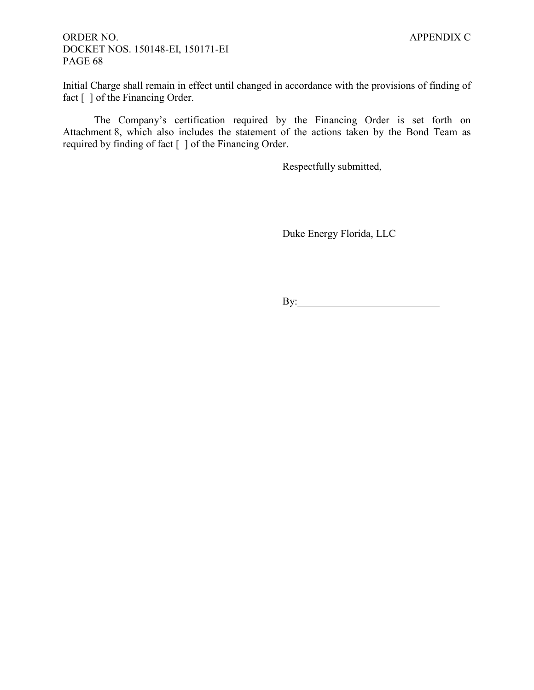Initial Charge shall remain in effect until changed in accordance with the provisions of finding of fact  $\lceil \ \rceil$  of the Financing Order.

The Company's certification required by the Financing Order is set forth on Attachment 8, which also includes the statement of the actions taken by the Bond Team as required by finding of fact [ ] of the Financing Order.

Respectfully submitted,

Duke Energy Florida, LLC

By: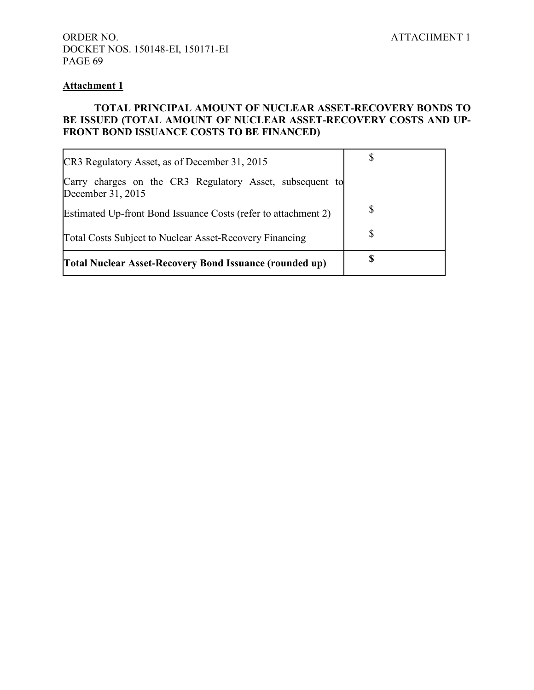### **Attachment 1**

### **TOTAL PRINCIPAL AMOUNT OF NUCLEAR ASSET-RECOVERY BONDS TO BE ISSUED (TOTAL AMOUNT OF NUCLEAR ASSET-RECOVERY COSTS AND UP-FRONT BOND ISSUANCE COSTS TO BE FINANCED)**

| CR3 Regulatory Asset, as of December 31, 2015                                 |    |
|-------------------------------------------------------------------------------|----|
| Carry charges on the CR3 Regulatory Asset, subsequent to<br>December 31, 2015 |    |
| Estimated Up-front Bond Issuance Costs (refer to attachment 2)                | S  |
| Total Costs Subject to Nuclear Asset-Recovery Financing                       | \$ |
| <b>Total Nuclear Asset-Recovery Bond Issuance (rounded up)</b>                |    |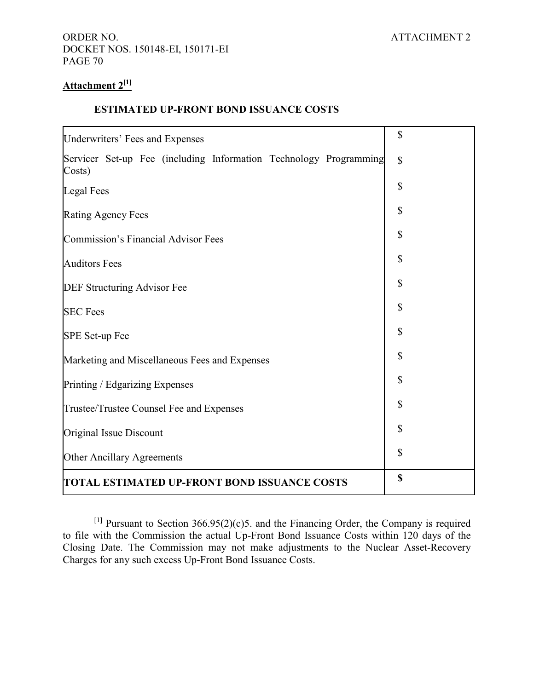## **Attachment 2[1]**

#### **ESTIMATED UP-FRONT BOND ISSUANCE COSTS**

| Underwriters' Fees and Expenses                                             | \$           |
|-----------------------------------------------------------------------------|--------------|
| Servicer Set-up Fee (including Information Technology Programming<br>Costs) | $\mathbb{S}$ |
| <b>Legal Fees</b>                                                           | \$           |
| <b>Rating Agency Fees</b>                                                   | \$           |
| Commission's Financial Advisor Fees                                         | \$           |
| <b>Auditors Fees</b>                                                        | \$           |
| DEF Structuring Advisor Fee                                                 | \$           |
| <b>SEC Fees</b>                                                             | \$           |
| SPE Set-up Fee                                                              | \$           |
| Marketing and Miscellaneous Fees and Expenses                               | \$           |
| Printing / Edgarizing Expenses                                              | \$           |
| Trustee/Trustee Counsel Fee and Expenses                                    | \$           |
| Original Issue Discount                                                     | \$           |
| Other Ancillary Agreements                                                  | \$           |
| TOTAL ESTIMATED UP-FRONT BOND ISSUANCE COSTS                                | \$           |

[1] Pursuant to Section  $366.95(2)(c)5$ . and the Financing Order, the Company is required to file with the Commission the actual Up-Front Bond Issuance Costs within 120 days of the Closing Date. The Commission may not make adjustments to the Nuclear Asset-Recovery Charges for any such excess Up-Front Bond Issuance Costs.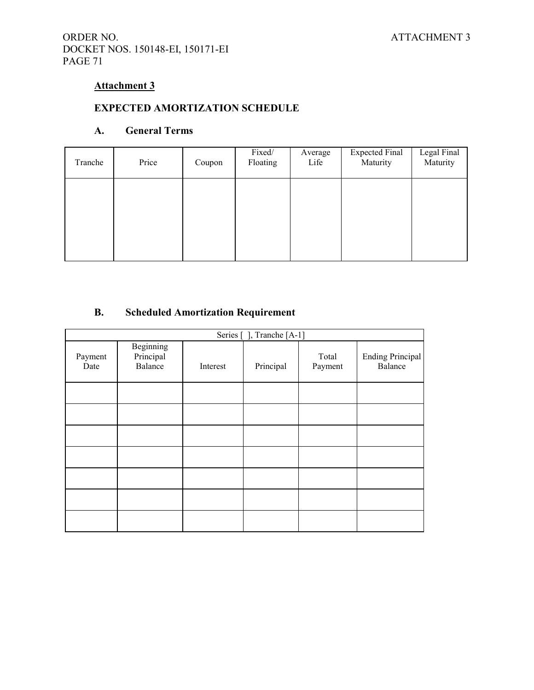## ORDER NO. ATTACHMENT 3 DOCKET NOS. 150148-EI, 150171-EI PAGE 71

## **Attachment 3**

# **EXPECTED AMORTIZATION SCHEDULE**

### **A. General Terms**

| Tranche | Price | Coupon | Fixed/<br>Average<br>Floating<br>Life |  | <b>Expected Final</b><br>Maturity | Legal Final<br>Maturity |  |
|---------|-------|--------|---------------------------------------|--|-----------------------------------|-------------------------|--|
|         |       |        |                                       |  |                                   |                         |  |
|         |       |        |                                       |  |                                   |                         |  |
|         |       |        |                                       |  |                                   |                         |  |

## **B. Scheduled Amortization Requirement**

| Series [], Tranche [A-1] |                                          |  |           |                  |                                    |  |  |  |
|--------------------------|------------------------------------------|--|-----------|------------------|------------------------------------|--|--|--|
| Payment<br>Date          | <b>Beginning</b><br>Principal<br>Balance |  | Principal | Total<br>Payment | <b>Ending Principal</b><br>Balance |  |  |  |
|                          |                                          |  |           |                  |                                    |  |  |  |
|                          |                                          |  |           |                  |                                    |  |  |  |
|                          |                                          |  |           |                  |                                    |  |  |  |
|                          |                                          |  |           |                  |                                    |  |  |  |
|                          |                                          |  |           |                  |                                    |  |  |  |
|                          |                                          |  |           |                  |                                    |  |  |  |
|                          |                                          |  |           |                  |                                    |  |  |  |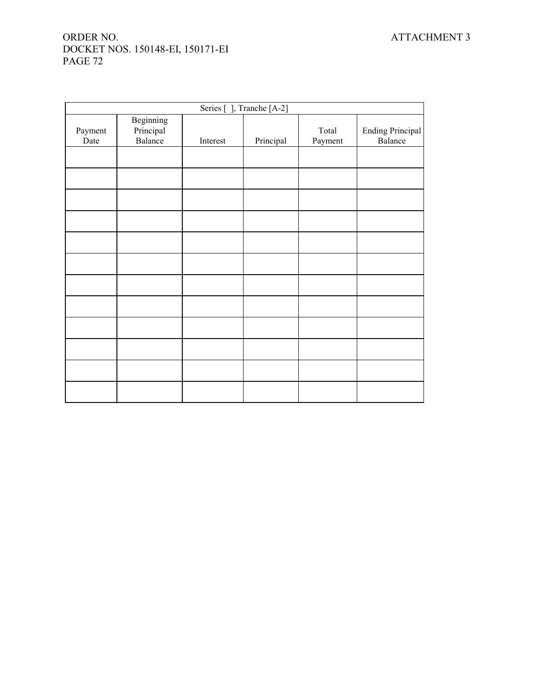## ORDER NO. ATTACHMENT 3 DOCKET NOS. 150148-EI, 150171-EI PAGE 72

| Series [], Tranche [A-2] |                                   |          |           |                  |                                    |  |  |
|--------------------------|-----------------------------------|----------|-----------|------------------|------------------------------------|--|--|
| Payment<br>Date          | Beginning<br>Principal<br>Balance | Interest | Principal | Total<br>Payment | <b>Ending Principal</b><br>Balance |  |  |
|                          |                                   |          |           |                  |                                    |  |  |
|                          |                                   |          |           |                  |                                    |  |  |
|                          |                                   |          |           |                  |                                    |  |  |
|                          |                                   |          |           |                  |                                    |  |  |
|                          |                                   |          |           |                  |                                    |  |  |
|                          |                                   |          |           |                  |                                    |  |  |
|                          |                                   |          |           |                  |                                    |  |  |
|                          |                                   |          |           |                  |                                    |  |  |
|                          |                                   |          |           |                  |                                    |  |  |
|                          |                                   |          |           |                  |                                    |  |  |
|                          |                                   |          |           |                  |                                    |  |  |
|                          |                                   |          |           |                  |                                    |  |  |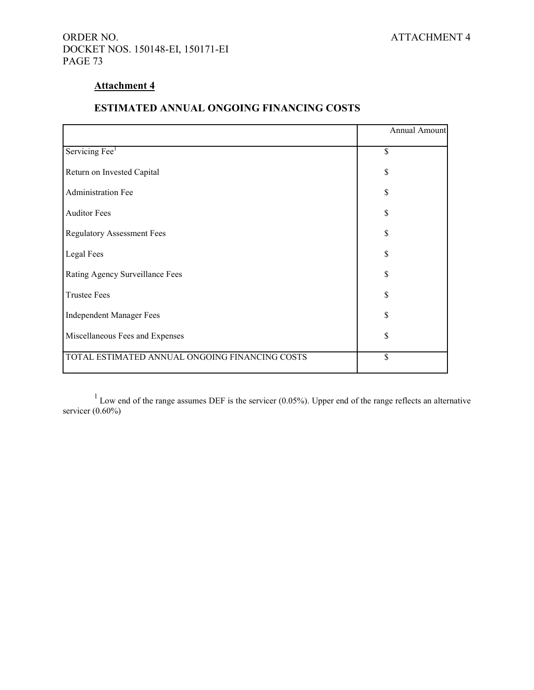## ORDER NO. ATTACHMENT 4 DOCKET NOS. 150148-EI, 150171-EI PAGE 73

## **Attachment 4**

## **ESTIMATED ANNUAL ONGOING FINANCING COSTS**

|                                                | Annual Amount |  |  |
|------------------------------------------------|---------------|--|--|
| Servicing Fee <sup>1</sup>                     | \$            |  |  |
| Return on Invested Capital                     | \$            |  |  |
| Administration Fee                             | \$            |  |  |
| <b>Auditor Fees</b>                            | \$            |  |  |
| <b>Regulatory Assessment Fees</b>              | \$            |  |  |
| Legal Fees                                     | \$            |  |  |
| Rating Agency Surveillance Fees                | \$            |  |  |
| <b>Trustee Fees</b>                            | \$            |  |  |
| <b>Independent Manager Fees</b>                | \$            |  |  |
| Miscellaneous Fees and Expenses                | \$            |  |  |
| TOTAL ESTIMATED ANNUAL ONGOING FINANCING COSTS | \$            |  |  |

 $1$  Low end of the range assumes DEF is the servicer (0.05%). Upper end of the range reflects an alternative servicer  $(0.60\%)$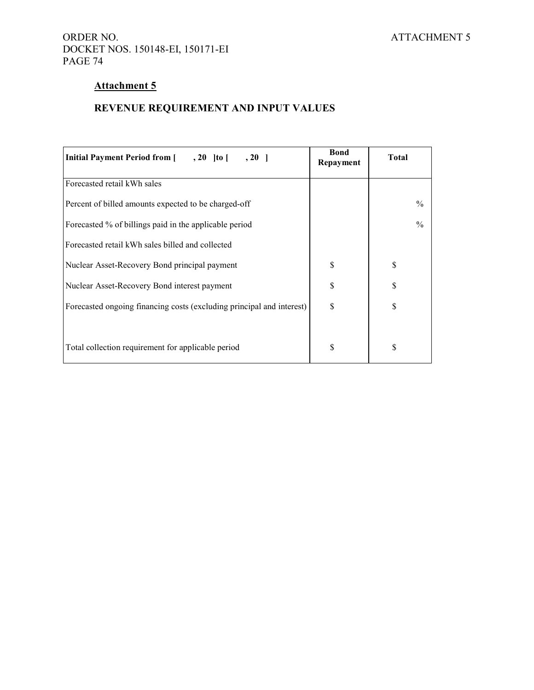## ORDER NO. ATTACHMENT 5 DOCKET NOS. 150148-EI, 150171-EI PAGE 74

# **Attachment 5**

# **REVENUE REQUIREMENT AND INPUT VALUES**

| <b>Initial Payment Period from [954]</b> , 20   to [95]<br>$, 20$     | <b>Bond</b><br>Repayment | <b>Total</b>  |
|-----------------------------------------------------------------------|--------------------------|---------------|
| Forecasted retail kWh sales                                           |                          |               |
| Percent of billed amounts expected to be charged-off                  |                          | $\frac{0}{0}$ |
| Forecasted % of billings paid in the applicable period                |                          | $\frac{0}{0}$ |
| Forecasted retail kWh sales billed and collected                      |                          |               |
| Nuclear Asset-Recovery Bond principal payment                         | \$                       | \$            |
| Nuclear Asset-Recovery Bond interest payment                          | \$                       | \$            |
| Forecasted ongoing financing costs (excluding principal and interest) | S                        | \$            |
|                                                                       |                          |               |
| Total collection requirement for applicable period                    | S                        | \$            |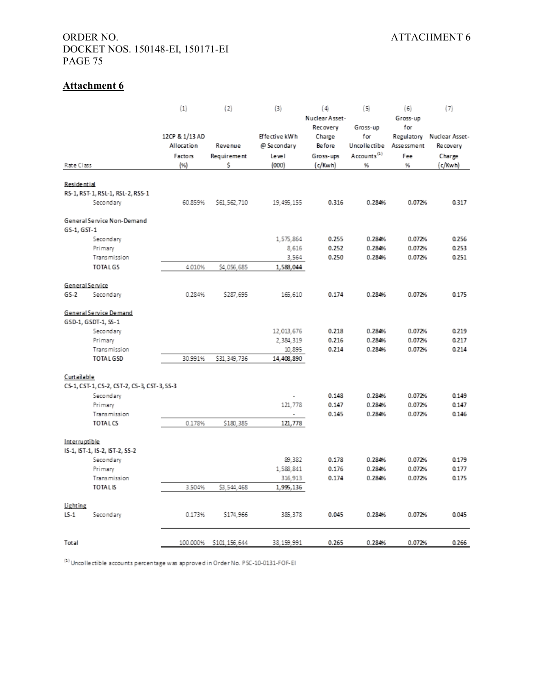## ORDER NO. ATTACHMENT 6 DOCKET NOS. 150148-EI, 150171-EI PAGE 75

# **Attachment 6**

|                    |                                             | (1)            | (2)                | (3)            | (4)            | (5)                     | (6)        | (7)                       |
|--------------------|---------------------------------------------|----------------|--------------------|----------------|----------------|-------------------------|------------|---------------------------|
|                    |                                             |                |                    |                | Nuclear Asset- |                         | Gross-up   |                           |
|                    |                                             |                |                    |                | Recovery       | Gross-up                | for        |                           |
|                    |                                             | 12CP & 1/13 AD |                    | Effective kWh  | Charge         | for                     |            | Regulatory Nuclear Asset- |
|                    |                                             | Allocation     | Revenue            | @ Secondary    | <b>Be fore</b> | Uncollectibe            | Assessment | Recovery                  |
|                    |                                             | Factors        | <b>Requirement</b> | Level          | Gross-ups      | Accounts <sup>(1)</sup> | Fee        | Charge                    |
| Rate Class         |                                             | (96)           | Ś                  | (000)          | (c/Kwh)        | 96                      | 96         | (c/Kwh)                   |
|                    |                                             |                |                    |                |                |                         |            |                           |
| <b>Residential</b> |                                             |                |                    |                |                |                         |            |                           |
|                    | RS-1, RST-1, RSL-1, RSL-2, RSS-1            |                |                    |                |                |                         |            |                           |
|                    | Secondary                                   | 60.859%        | \$61,562,710       | 19, 495, 155   | 0.316          | 0.284%                  | 0.072%     | 0.317                     |
|                    | General Service Non-Demand                  |                |                    |                |                |                         |            |                           |
| GS-1, GST-1        |                                             |                |                    |                |                |                         |            |                           |
|                    | Secondary                                   |                |                    | 1,575,864      | 0.255          | 0.284%                  | 0.072%     | 0.256                     |
|                    | Primary                                     |                |                    | 8,616          | 0.252          | 0.284%                  | 0.072%     | 0.253                     |
|                    | Transmission                                |                |                    | 3,564          | 0.250          | 0.284%                  | 0.072%     | 0.251                     |
|                    | <b>TOTAL GS</b>                             | 4.010%         | \$4,056,685        | 1,588,044      |                |                         |            |                           |
|                    | <b>General Service</b>                      |                |                    |                |                |                         |            |                           |
| $GS-2$             | Secondary                                   | 0.284%         | \$287,695          | 165,610        | 0.174          | 0.284%                  | 0.072%     | 0.175                     |
|                    | General Service Demand                      |                |                    |                |                |                         |            |                           |
|                    | GSD-1, GSDT-1, SS-1                         |                |                    |                |                |                         |            |                           |
|                    | Secondary                                   |                |                    | 12,013,676     | 0.218          | 0.284%                  | 0.072%     | 0.219                     |
|                    | Primary                                     |                |                    | 2,384,319      | 0.216          | 0.284%                  | 0.072%     | 0.217                     |
|                    | <b>Transmission</b>                         |                |                    | 10,895         | 0.214          | 0.284%                  | 0.072%     | 0.214                     |
|                    | <b>TOTAL GSD</b>                            | 30.991%        | \$31,349,736       | 14,408,890     |                |                         |            |                           |
| Curtailable        |                                             |                |                    |                |                |                         |            |                           |
|                    | CS-1, CST-1, CS-2, CST-2, CS-3, CST-3, SS-3 |                |                    |                |                |                         |            |                           |
|                    | Secondary                                   |                |                    |                | 0.148          | 0.284%                  | 0.072%     | 0.149                     |
|                    | Primary                                     |                |                    | 121,778        | 0.147          | 0.284%                  | 0.072%     | 0.147                     |
|                    | Transmission                                |                |                    | $\blacksquare$ | 0.145          | 0.284%                  | 0.072%     | 0.146                     |
|                    | <b>TOTAL CS</b>                             | 0.178%         | \$180,385          | 121,778        |                |                         |            |                           |
| Interruptible      |                                             |                |                    |                |                |                         |            |                           |
|                    | IS-1, IST-1, IS-2, IST-2, SS-2              |                |                    |                |                |                         |            |                           |
|                    | Secondary                                   |                |                    | 89,382         | 0.178          | 0.284%                  | 0.072%     | 0.179                     |
|                    | Primary                                     |                |                    | 1,588,841      | 0.176          | 0.284%                  | 0.072%     | 0.177                     |
|                    | Transmission                                |                |                    | 316,913        | 0.174          | 0.284%                  | 0.072%     | 0.175                     |
|                    | <b>TOTAL IS</b>                             | 3.504%         | \$3,544,468        | 1,995,136      |                |                         |            |                           |
| Lighting           |                                             |                |                    |                |                |                         |            |                           |
| $LS-1$             | Secondary                                   | 0.173%         | \$174,966          | 385, 378       | 0.045          | 0.284%                  | 0.072%     | 0.045                     |
|                    |                                             |                |                    |                |                |                         |            |                           |
| Total              |                                             | 100.000%       | \$101,156,644      | 38.159.991     | 0.265          | 0.284%                  | 0.072%     | 0.266                     |

(1) Uncollectible accounts percentage was approved in Order No. PSC-10-0131-FOF-EI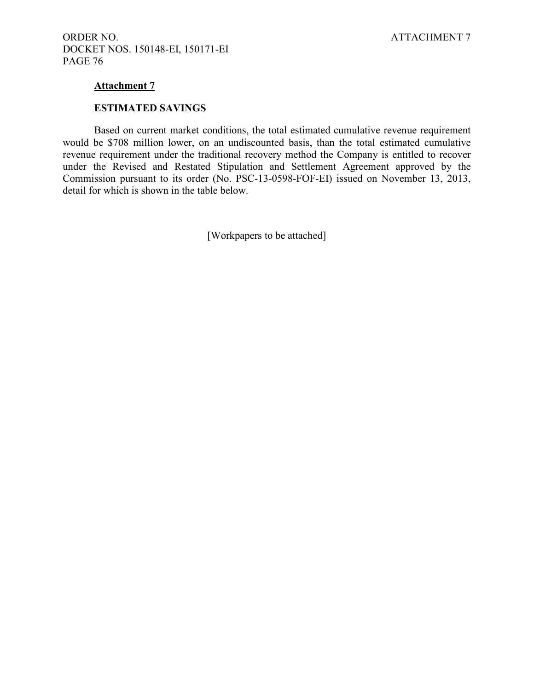#### **Attachment 7**

#### **ESTIMATED SAVINGS**

Based on current market conditions, the total estimated cumulative revenue requirement would be \$708 million lower, on an undiscounted basis, than the total estimated cumulative revenue requirement under the traditional recovery method the Company is entitled to recover under the Revised and Restated Stipulation and Settlement Agreement approved by the Commission pursuant to its order (No. PSC-13-0598-FOF-EI) issued on November 13, 2013, detail for which is shown in the table below.

[Workpapers to be attached]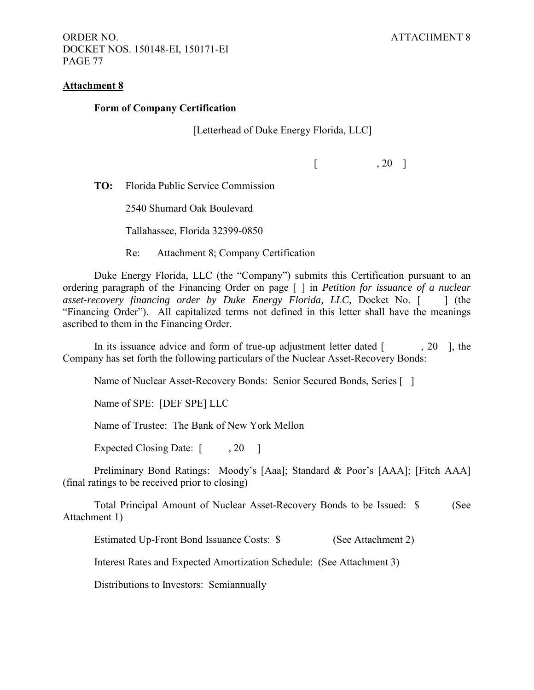ORDER NO. ATTACHMENT 8 DOCKET NOS. 150148-EI, 150171-EI PAGE 77

#### **Attachment 8**

#### **Form of Company Certification**

[Letterhead of Duke Energy Florida, LLC]

 $\begin{bmatrix} 20 \end{bmatrix}$ 

**TO:** Florida Public Service Commission

2540 Shumard Oak Boulevard

Tallahassee, Florida 32399-0850

Re: Attachment 8; Company Certification

Duke Energy Florida, LLC (the "Company") submits this Certification pursuant to an ordering paragraph of the Financing Order on page [ ] in *Petition for issuance of a nuclear asset-recovery financing order by Duke Energy Florida, LLC, Docket No.* [ ] (the "Financing Order"). All capitalized terms not defined in this letter shall have the meanings ascribed to them in the Financing Order.

In its issuance advice and form of true-up adjustment letter dated  $\lceil$ , 20  $\rceil$ , the Company has set forth the following particulars of the Nuclear Asset-Recovery Bonds:

Name of Nuclear Asset-Recovery Bonds: Senior Secured Bonds, Series [ ]

Name of SPE: [DEF SPE] LLC

Name of Trustee: The Bank of New York Mellon

Expected Closing Date: [ , 20 ]

Preliminary Bond Ratings: Moody's [Aaa]; Standard & Poor's [AAA]; [Fitch AAA] (final ratings to be received prior to closing)

Total Principal Amount of Nuclear Asset-Recovery Bonds to be Issued: \$ (See Attachment 1)

Estimated Up-Front Bond Issuance Costs: \$ (See Attachment 2)

Interest Rates and Expected Amortization Schedule: (See Attachment 3)

Distributions to Investors: Semiannually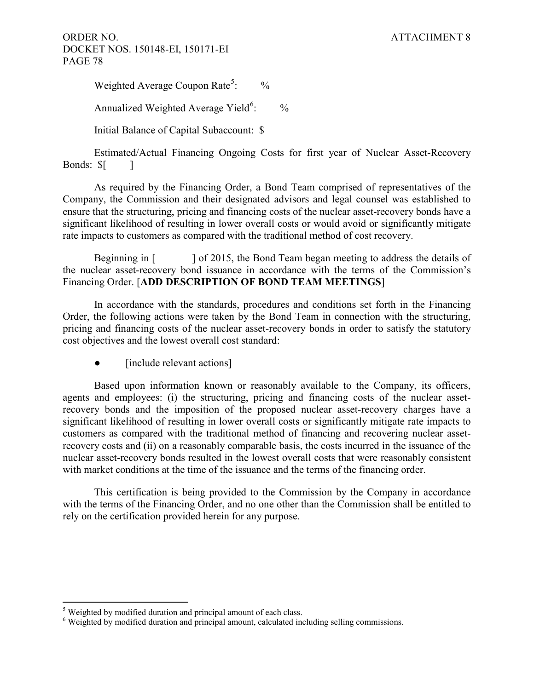ORDER NO. ATTACHMENT 8 DOCKET NOS. 150148-EI, 150171-EI PAGE 78

Weighted Average Coupon Rate<sup>[5](#page-67-0)</sup>:  $\frac{0}{0}$ 

Annualized Weighted Average Yield<sup>[6](#page-78-0)</sup>:  $\frac{0}{0}$ 

Initial Balance of Capital Subaccount: \$

Estimated/Actual Financing Ongoing Costs for first year of Nuclear Asset-Recovery Bonds:  $\[\$\]$ 

As required by the Financing Order, a Bond Team comprised of representatives of the Company, the Commission and their designated advisors and legal counsel was established to ensure that the structuring, pricing and financing costs of the nuclear asset-recovery bonds have a significant likelihood of resulting in lower overall costs or would avoid or significantly mitigate rate impacts to customers as compared with the traditional method of cost recovery.

Beginning in  $\lceil \cdot \cdot \cdot \rceil$  of 2015, the Bond Team began meeting to address the details of the nuclear asset-recovery bond issuance in accordance with the terms of the Commission's Financing Order. [**ADD DESCRIPTION OF BOND TEAM MEETINGS**]

In accordance with the standards, procedures and conditions set forth in the Financing Order, the following actions were taken by the Bond Team in connection with the structuring, pricing and financing costs of the nuclear asset-recovery bonds in order to satisfy the statutory cost objectives and the lowest overall cost standard:

• [include relevant actions]

Based upon information known or reasonably available to the Company, its officers, agents and employees: (i) the structuring, pricing and financing costs of the nuclear assetrecovery bonds and the imposition of the proposed nuclear asset-recovery charges have a significant likelihood of resulting in lower overall costs or significantly mitigate rate impacts to customers as compared with the traditional method of financing and recovering nuclear assetrecovery costs and (ii) on a reasonably comparable basis, the costs incurred in the issuance of the nuclear asset-recovery bonds resulted in the lowest overall costs that were reasonably consistent with market conditions at the time of the issuance and the terms of the financing order.

This certification is being provided to the Commission by the Company in accordance with the terms of the Financing Order, and no one other than the Commission shall be entitled to rely on the certification provided herein for any purpose.

 $\overline{a}$ 

 $<sup>5</sup>$  Weighted by modified duration and principal amount of each class.</sup>

<span id="page-78-0"></span><sup>&</sup>lt;sup>6</sup> Weighted by modified duration and principal amount, calculated including selling commissions.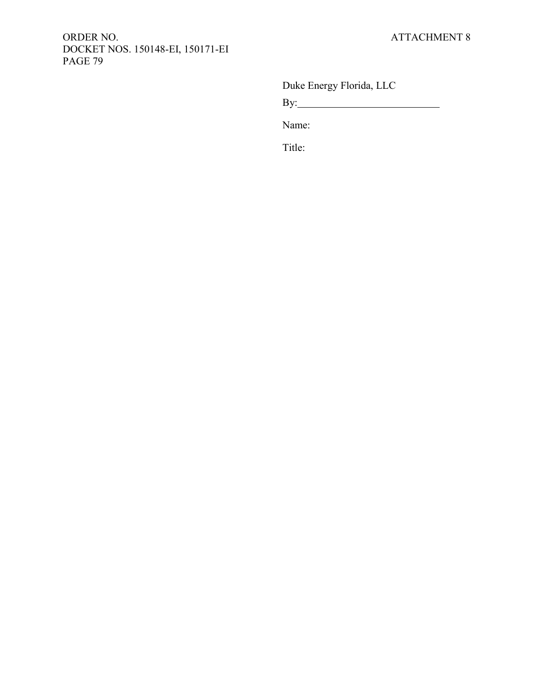## ORDER NO. ATTACHMENT 8 DOCKET NOS. 150148-EI, 150171-EI PAGE 79

Duke Energy Florida, LLC

By:

Name:

Title: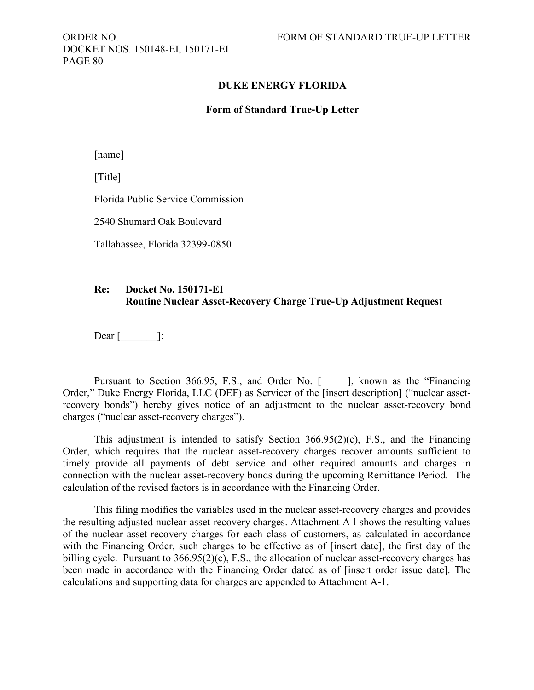DOCKET NOS. 150148-EI, 150171-EI PAGE 80

#### **DUKE ENERGY FLORIDA**

#### **Form of Standard True-Up Letter**

[name]

[Title]

Florida Public Service Commission

2540 Shumard Oak Boulevard

Tallahassee, Florida 32399-0850

### **Re: Docket No. 150171-EI Routine Nuclear Asset-Recovery Charge True-Up Adjustment Request**

Dear  $\lceil$   $\rceil$  :

Pursuant to Section 366.95, F.S., and Order No. [ ], known as the "Financing" Order," Duke Energy Florida, LLC (DEF) as Servicer of the [insert description] ("nuclear assetrecovery bonds") hereby gives notice of an adjustment to the nuclear asset-recovery bond charges ("nuclear asset-recovery charges").

This adjustment is intended to satisfy Section 366.95(2)(c), F.S., and the Financing Order, which requires that the nuclear asset-recovery charges recover amounts sufficient to timely provide all payments of debt service and other required amounts and charges in connection with the nuclear asset-recovery bonds during the upcoming Remittance Period. The calculation of the revised factors is in accordance with the Financing Order.

This filing modifies the variables used in the nuclear asset-recovery charges and provides the resulting adjusted nuclear asset-recovery charges. Attachment A-l shows the resulting values of the nuclear asset-recovery charges for each class of customers, as calculated in accordance with the Financing Order, such charges to be effective as of [insert date], the first day of the billing cycle. Pursuant to 366.95(2)(c), F.S., the allocation of nuclear asset-recovery charges has been made in accordance with the Financing Order dated as of [insert order issue date]. The calculations and supporting data for charges are appended to Attachment A-1.